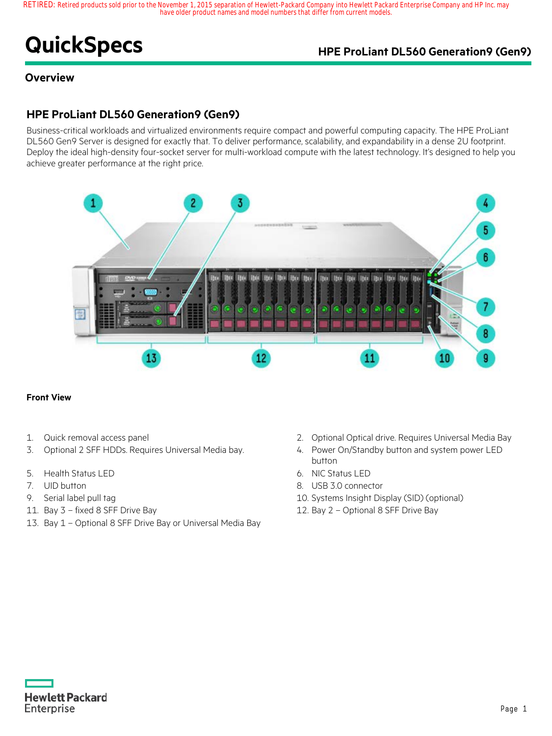# **QuickSpecs HPE ProLiant DL560 Generation9 (Gen9)**

## **Overview**

## **HPE ProLiant DL560 Generation9 (Gen9)**

Business-critical workloads and virtualized environments require compact and powerful computing capacity. The HPE ProLiant DL560 Gen9 Server is designed for exactly that. To deliver performance, scalability, and expandability in a dense 2U footprint. Deploy the ideal high-density four-socket server for multi-workload compute with the latest technology. It's designed to help you achieve greater performance at the right price.



#### **Front View**

- 
- 3. Optional 2 SFF HDDs. Requires Universal Media bay. 4. Power On/Standby button and system power LED
- 5. Health Status LED 6. NIC Status LED
- 
- 
- 
- 13. Bay 1 Optional 8 SFF Drive Bay or Universal Media Bay
- 1. Quick removal access panel 2. Optional Optical drive. Requires Universal Media Bay
	- button
	-
- 7. UID button 8. USB 3.0 connector
- 9. Serial label pull tag 10. Systems Insight Display (SID) (optional)
- 11. Bay 3 fixed 8 SFF Drive Bay 12. Bay 2 Optional 8 SFF Drive Bay

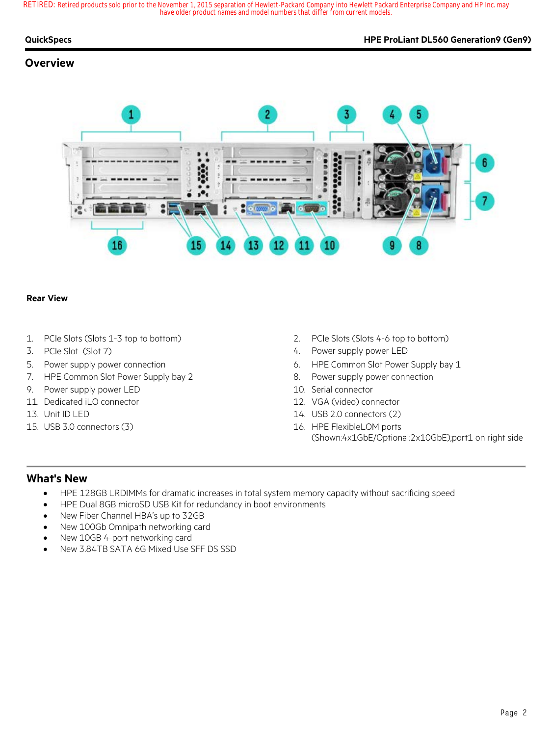#### **QuickSpecs HPE ProLiant DL560 Generation9 (Gen9)**

## **Overview**



### **Rear View**

- 
- 
- 
- 7. HPE Common Slot Power Supply bay 2 8. Power supply power connection
- 9. Power supply power LED 10. Serial connector
- 11. Dedicated iLO connector 12. VGA (video) connector
- 
- 
- 1. PCIe Slots (Slots 1-3 top to bottom) 2. PCIe Slots (Slots 4-6 top to bottom)
- 3. PCIe Slot (Slot 7) 4. Power supply power LED
- 5. Power supply power connection 6. HPE Common Slot Power Supply bay 1
	-
	-
	-
- 13. Unit ID LED 14. USB 2.0 connectors (2)
- 15. USB 3.0 connectors (3) 16. HPE FlexibleLOM ports (Shown:4x1GbE/Optional:2x10GbE);port1 on right side

## **What's New**

- HPE 128GB LRDIMMs for dramatic increases in total system memory capacity without sacrificing speed
- HPE Dual 8GB microSD USB Kit for redundancy in boot environments
- New Fiber Channel HBA's up to 32GB
- New 100Gb Omnipath networking card
- New 10GB 4-port networking card
- New 3.84TB SATA 6G Mixed Use SFF DS SSD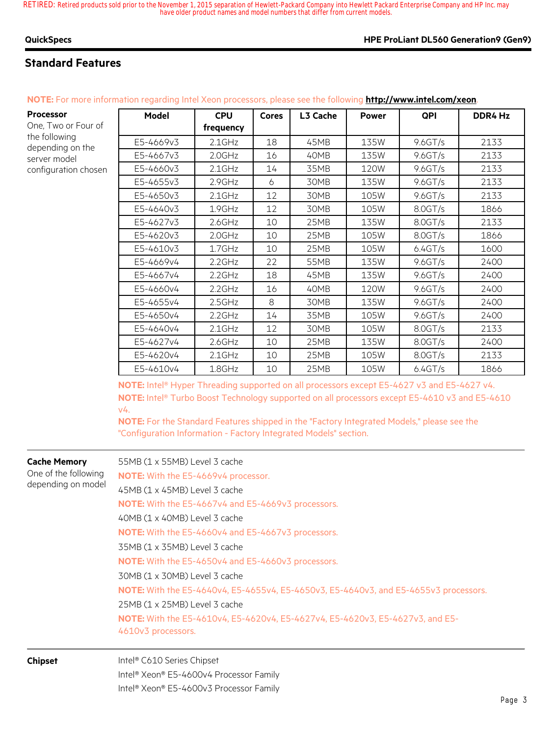## **Standard Features**

| Processor<br>One, Two or Four of  | <b>Model</b> | <b>CPU</b><br>frequency | <b>Cores</b> | L3 Cache | <b>Power</b> | QPI        | DDR4 Hz |
|-----------------------------------|--------------|-------------------------|--------------|----------|--------------|------------|---------|
| the following<br>depending on the | E5-4669v3    | $2.1$ GHz               | 18           | 45MB     | 135W         | $9.6$ GT/s | 2133    |
| server model                      | E5-4667v3    | 2.0GHz                  | 16           | 40MB     | 135W         | 9.6GT/s    | 2133    |
| configuration chosen              | E5-4660v3    | $2.1$ GHz               | 14           | 35MB     | 120W         | 9.6 G T/s  | 2133    |
|                                   | E5-4655v3    | 2.9GHz                  | 6            | 30MB     | 135W         | $9.6$ GT/s | 2133    |
|                                   | E5-4650v3    | $2.1$ GHz               | 12           | 30MB     | 105W         | 9.6 G T/s  | 2133    |
|                                   | E5-4640v3    | 1.9GHz                  | 12           | 30MB     | 105W         | 8.0GT/s    | 1866    |
|                                   | E5-4627v3    | $2.6$ GHz               | 10           | 25MB     | 135W         | 8.0GT/s    | 2133    |
|                                   | E5-4620v3    | 2.0GHz                  | 10           | 25MB     | 105W         | 8.0GT/s    | 1866    |
|                                   | E5-4610v3    | $1.7$ GHz               | 10           | 25MB     | 105W         | 6.4GT/s    | 1600    |
|                                   | E5-4669v4    | 2.2GHz                  | 22           | 55MB     | 135W         | 9.6 G T/s  | 2400    |
|                                   | E5-4667v4    | $2.2$ GHz               | 18           | 45MB     | 135W         | 9.6 G T/s  | 2400    |
|                                   | E5-4660v4    | 2.2GHz                  | 16           | 40MB     | 120W         | 9.6 G T/s  | 2400    |
|                                   | E5-4655v4    | 2.5GHz                  | 8            | 30MB     | 135W         | $9.6$ GT/s | 2400    |
|                                   | E5-4650v4    | 2.2GHz                  | 14           | 35MB     | 105W         | $9.6$ GT/s | 2400    |
|                                   | E5-4640v4    | $2.1$ GHz               | 12           | 30MB     | 105W         | 8.0GT/s    | 2133    |
|                                   | E5-4627v4    | $2.6$ GHz               | 10           | 25MB     | 135W         | 8.0GT/s    | 2400    |
|                                   | E5-4620v4    | $2.1$ GHz               | 10           | 25MB     | 105W         | 8.0GT/s    | 2133    |
|                                   | E5-4610v4    | 1.8GHz                  | 10           | 25MB     | 105W         | 6.4GT/s    | 1866    |

**NOTE:** For more information regarding Intel Xeon processors, please see the following **http://www.intel.com/xeon**.

**NOTE:** Intel® Hyper Threading supported on all processors except E5-4627 v3 and E5-4627 v4. **NOTE:** Intel® Turbo Boost Technology supported on all processors except E5-4610 v3 and E5-4610 v4.

**NOTE:** For the Standard Features shipped in the "Factory Integrated Models," please see the "Configuration Information - Factory Integrated Models" section.

| <b>Cache Memory</b><br>One of the following<br>depending on model | 55MB (1 x 55MB) Level 3 cache                                                               |  |  |  |  |  |
|-------------------------------------------------------------------|---------------------------------------------------------------------------------------------|--|--|--|--|--|
|                                                                   | <b>NOTE:</b> With the E5-4669v4 processor.                                                  |  |  |  |  |  |
|                                                                   | 45MB (1 x 45MB) Level 3 cache                                                               |  |  |  |  |  |
|                                                                   | <b>NOTE:</b> With the E5-4667v4 and E5-4669v3 processors.                                   |  |  |  |  |  |
|                                                                   | 40MB (1 x 40MB) Level 3 cache                                                               |  |  |  |  |  |
|                                                                   | NOTE: With the E5-4660v4 and E5-4667v3 processors.                                          |  |  |  |  |  |
|                                                                   | 35MB (1 x 35MB) Level 3 cache                                                               |  |  |  |  |  |
|                                                                   | NOTE: With the E5-4650v4 and E5-4660v3 processors.<br>30MB (1 x 30MB) Level 3 cache         |  |  |  |  |  |
|                                                                   |                                                                                             |  |  |  |  |  |
|                                                                   | <b>NOTE:</b> With the E5-4640v4, E5-4655v4, E5-4650v3, E5-4640v3, and E5-4655v3 processors. |  |  |  |  |  |
|                                                                   | 25MB (1 x 25MB) Level 3 cache                                                               |  |  |  |  |  |
|                                                                   | NOTE: With the E5-4610v4, E5-4620v4, E5-4627v4, E5-4620v3, E5-4627v3, and E5-               |  |  |  |  |  |
|                                                                   | 4610v3 processors.                                                                          |  |  |  |  |  |
| <b>Chipset</b>                                                    | Intel® C610 Series Chipset                                                                  |  |  |  |  |  |
|                                                                   | Intel® Xeon® E5-4600v4 Processor Family                                                     |  |  |  |  |  |
|                                                                   | Intel <sup>®</sup> Xeon® E5-4600v3 Processor Family                                         |  |  |  |  |  |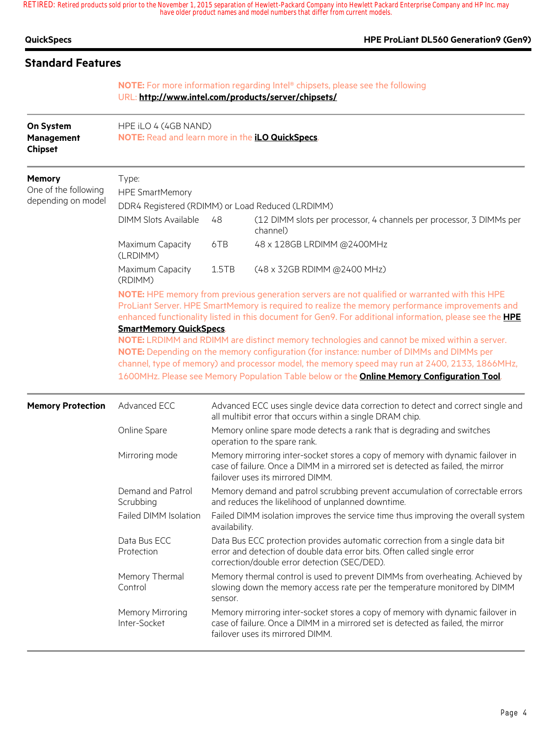| QuickSpecs |  |
|------------|--|
|------------|--|

### **HPE ProLiant DL560 Generation9 (Gen9)**

## **Standard Features**

### **NOTE:** For more information regarding Intel® chipsets, please see the following URL: **http://www.intel.com/products/server/chipsets/**

| On System<br>Management<br><b>Chipset</b>                   | HPE iLO 4 (4GB NAND)<br>NOTE: Read and learn more in the <i>iLO QuickSpecs</i> .                                                                                                                                                                                                                                                                                                                                                                      |                                                                                                                                                                                                        |                                                                                                                                                                                                          |  |  |  |
|-------------------------------------------------------------|-------------------------------------------------------------------------------------------------------------------------------------------------------------------------------------------------------------------------------------------------------------------------------------------------------------------------------------------------------------------------------------------------------------------------------------------------------|--------------------------------------------------------------------------------------------------------------------------------------------------------------------------------------------------------|----------------------------------------------------------------------------------------------------------------------------------------------------------------------------------------------------------|--|--|--|
| <b>Memory</b><br>One of the following<br>depending on model | Type:<br><b>HPE SmartMemory</b><br>DDR4 Registered (RDIMM) or Load Reduced (LRDIMM)                                                                                                                                                                                                                                                                                                                                                                   |                                                                                                                                                                                                        |                                                                                                                                                                                                          |  |  |  |
|                                                             | <b>DIMM Slots Available</b>                                                                                                                                                                                                                                                                                                                                                                                                                           | 48                                                                                                                                                                                                     | (12 DIMM slots per processor, 4 channels per processor, 3 DIMMs per<br>channel)                                                                                                                          |  |  |  |
|                                                             | Maximum Capacity<br>(LRDIMM)                                                                                                                                                                                                                                                                                                                                                                                                                          | 6TB                                                                                                                                                                                                    | 48 x 128GB LRDIMM @2400MHz                                                                                                                                                                               |  |  |  |
|                                                             | Maximum Capacity<br>(RDIMM)                                                                                                                                                                                                                                                                                                                                                                                                                           | 1.5TB                                                                                                                                                                                                  | (48 x 32GB RDIMM @2400 MHz)                                                                                                                                                                              |  |  |  |
|                                                             | NOTE: HPE memory from previous generation servers are not qualified or warranted with this HPE<br>ProLiant Server. HPE SmartMemory is required to realize the memory performance improvements and<br>enhanced functionality listed in this document for Gen9. For additional information, please see the <b>HPE</b><br><b>SmartMemory QuickSpecs.</b><br>NOTE: LRDIMM and RDIMM are distinct memory technologies and cannot be mixed within a server. |                                                                                                                                                                                                        |                                                                                                                                                                                                          |  |  |  |
|                                                             | NOTE: Depending on the memory configuration (for instance: number of DIMMs and DIMMs per<br>channel, type of memory) and processor model, the memory speed may run at 2400, 2133, 1866MHz,<br>1600MHz. Please see Memory Population Table below or the <b>Online Memory Configuration Tool</b> .                                                                                                                                                      |                                                                                                                                                                                                        |                                                                                                                                                                                                          |  |  |  |
| <b>Memory Protection</b>                                    | Advanced ECC                                                                                                                                                                                                                                                                                                                                                                                                                                          | Advanced ECC uses single device data correction to detect and correct single and<br>all multibit error that occurs within a single DRAM chip.                                                          |                                                                                                                                                                                                          |  |  |  |
|                                                             | Online Spare                                                                                                                                                                                                                                                                                                                                                                                                                                          |                                                                                                                                                                                                        | Memory online spare mode detects a rank that is degrading and switches<br>operation to the spare rank.                                                                                                   |  |  |  |
|                                                             | Mirroring mode                                                                                                                                                                                                                                                                                                                                                                                                                                        | Memory mirroring inter-socket stores a copy of memory with dynamic failover in<br>case of failure. Once a DIMM in a mirrored set is detected as failed, the mirror<br>failover uses its mirrored DIMM. |                                                                                                                                                                                                          |  |  |  |
|                                                             | Demand and Patrol<br>Scrubbing                                                                                                                                                                                                                                                                                                                                                                                                                        |                                                                                                                                                                                                        | Memory demand and patrol scrubbing prevent accumulation of correctable errors<br>and reduces the likelihood of unplanned downtime.                                                                       |  |  |  |
|                                                             | Failed DIMM Isolation                                                                                                                                                                                                                                                                                                                                                                                                                                 | availability.                                                                                                                                                                                          | Failed DIMM isolation improves the service time thus improving the overall system                                                                                                                        |  |  |  |
|                                                             | Data Bus ECC<br>Protection                                                                                                                                                                                                                                                                                                                                                                                                                            |                                                                                                                                                                                                        | Data Bus ECC protection provides automatic correction from a single data bit<br>error and detection of double data error bits. Often called single error<br>correction/double error detection (SEC/DED). |  |  |  |
|                                                             | Memory Thermal<br>Control                                                                                                                                                                                                                                                                                                                                                                                                                             | sensor.                                                                                                                                                                                                | Memory thermal control is used to prevent DIMMs from overheating. Achieved by<br>slowing down the memory access rate per the temperature monitored by DIMM                                               |  |  |  |
|                                                             | Memory Mirroring<br>Inter-Socket                                                                                                                                                                                                                                                                                                                                                                                                                      |                                                                                                                                                                                                        | Memory mirroring inter-socket stores a copy of memory with dynamic failover in<br>case of failure. Once a DIMM in a mirrored set is detected as failed, the mirror<br>failover uses its mirrored DIMM.   |  |  |  |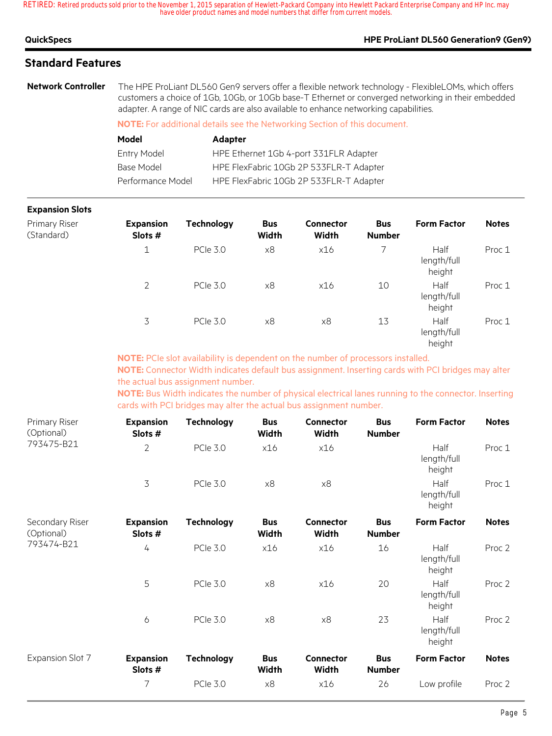## **QuickSpecs HPE ProLiant DL560 Generation9 (Gen9)**

## **Standard Features**

**Network Controller** The HPE ProLiant DL560 Gen9 servers offer a flexible network technology - FlexibleLOMs, which offers customers a choice of 1Gb, 10Gb, or 10Gb base-T Ethernet or converged networking in their embedded adapter. A range of NIC cards are also available to enhance networking capabilities.

**NOTE:** For additional details see the Networking Section of this document.

| Model             | <b>Adapter</b>                          |
|-------------------|-----------------------------------------|
| Entry Model       | HPE Ethernet 1Gb 4-port 331FLR Adapter  |
| Base Model        | HPE FlexFabric 10Gb 2P 533FLR-T Adapter |
| Performance Model | HPE FlexFabric 10Gb 2P 533FLR-T Adapter |

### **Expansion Slots**

| Primary Riser<br>(Standard) | <b>Expansion</b><br>Slots # | <b>Technology</b> | <b>Bus</b><br>Width | <b>Connector</b><br>Width | <b>Bus</b><br><b>Number</b> | <b>Form Factor</b>            | <b>Notes</b> |
|-----------------------------|-----------------------------|-------------------|---------------------|---------------------------|-----------------------------|-------------------------------|--------------|
|                             | 1                           | <b>PCIe 3.0</b>   | x8                  | x16                       |                             | Half<br>length/full<br>height | Proc 1       |
|                             | $\overline{2}$              | <b>PCIe 3.0</b>   | x8                  | x16                       | 10                          | Half<br>length/full<br>height | Proc 1       |
|                             | 3                           | <b>PCIe 3.0</b>   | x8                  | x8                        | 13                          | Half<br>length/full<br>height | Proc 1       |

**NOTE:** PCIe slot availability is dependent on the number of processors installed. **NOTE:** Connector Width indicates default bus assignment. Inserting cards with PCI bridges may alter the actual bus assignment number.

**NOTE:** Bus Width indicates the number of physical electrical lanes running to the connector. Inserting cards with PCI bridges may alter the actual bus assignment number.

| Primary Riser<br>(Optional)   | <b>Expansion</b><br>Slots # | <b>Technology</b> | <b>Bus</b><br>Width        | <b>Connector</b><br>Width | <b>Bus</b><br><b>Number</b> | <b>Form Factor</b>            | <b>Notes</b>      |
|-------------------------------|-----------------------------|-------------------|----------------------------|---------------------------|-----------------------------|-------------------------------|-------------------|
| 793475-B21                    | $\overline{2}$              | <b>PCle 3.0</b>   | x16                        | x16                       |                             | Half<br>length/full<br>height | Proc 1            |
|                               | $\overline{3}$              | <b>PCle 3.0</b>   | x8                         | x8                        |                             | Half<br>length/full<br>height | Proc 1            |
| Secondary Riser<br>(Optional) | <b>Expansion</b><br>Slots # | <b>Technology</b> | <b>Bus</b><br><b>Width</b> | <b>Connector</b><br>Width | <b>Bus</b><br><b>Number</b> | <b>Form Factor</b>            | <b>Notes</b>      |
| 793474-B21                    | 4                           | <b>PCle 3.0</b>   | x16                        | x16                       | 16                          | Half<br>length/full<br>height | Proc 2            |
|                               | 5                           | <b>PCIe 3.0</b>   | x8                         | x16                       | 20                          | Half<br>length/full<br>height | Proc <sub>2</sub> |
|                               | 6                           | <b>PCIe 3.0</b>   | x8                         | x8                        | 23                          | Half<br>length/full<br>height | Proc 2            |
| Expansion Slot 7              | <b>Expansion</b><br>Slots # | <b>Technology</b> | <b>Bus</b><br>Width        | <b>Connector</b><br>Width | <b>Bus</b><br><b>Number</b> | <b>Form Factor</b>            | <b>Notes</b>      |
|                               | 7                           | <b>PCle 3.0</b>   | x8                         | x16                       | 26                          | Low profile                   | Proc 2            |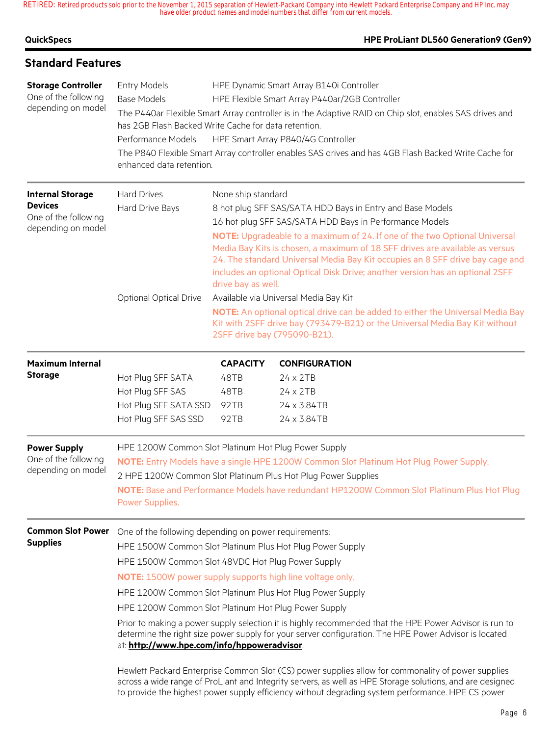### **HPE ProLiant DL560 Generation9 (Gen9)**

| <b>Standard Features</b>                                                                |                                                                                                                                                                                                                                                                                                                                   |                                                                                                                                                                                                                                                                                                                                                                                                                                                                                                                                                                                                                                                                                                                                            |                                                                                                                                                                                                                                                                                                                                                                                                                                                                                                                                                                                                                                                                   |  |  |
|-----------------------------------------------------------------------------------------|-----------------------------------------------------------------------------------------------------------------------------------------------------------------------------------------------------------------------------------------------------------------------------------------------------------------------------------|--------------------------------------------------------------------------------------------------------------------------------------------------------------------------------------------------------------------------------------------------------------------------------------------------------------------------------------------------------------------------------------------------------------------------------------------------------------------------------------------------------------------------------------------------------------------------------------------------------------------------------------------------------------------------------------------------------------------------------------------|-------------------------------------------------------------------------------------------------------------------------------------------------------------------------------------------------------------------------------------------------------------------------------------------------------------------------------------------------------------------------------------------------------------------------------------------------------------------------------------------------------------------------------------------------------------------------------------------------------------------------------------------------------------------|--|--|
| <b>Storage Controller</b><br>One of the following<br>depending on model                 | Entry Models<br><b>Base Models</b><br>Performance Models<br>enhanced data retention.                                                                                                                                                                                                                                              | HPE Dynamic Smart Array B140i Controller<br>HPE Flexible Smart Array P440ar/2GB Controller<br>The P440ar Flexible Smart Array controller is in the Adaptive RAID on Chip slot, enables SAS drives and<br>has 2GB Flash Backed Write Cache for data retention.<br>HPE Smart Array P840/4G Controller<br>The P840 Flexible Smart Array controller enables SAS drives and has 4GB Flash Backed Write Cache for                                                                                                                                                                                                                                                                                                                                |                                                                                                                                                                                                                                                                                                                                                                                                                                                                                                                                                                                                                                                                   |  |  |
| <b>Internal Storage</b><br><b>Devices</b><br>One of the following<br>depending on model | <b>Hard Drives</b><br>Hard Drive Bays<br><b>Optional Optical Drive</b>                                                                                                                                                                                                                                                            | None ship standard<br>8 hot plug SFF SAS/SATA HDD Bays in Entry and Base Models<br>16 hot plug SFF SAS/SATA HDD Bays in Performance Models<br>NOTE: Upgradeable to a maximum of 24. If one of the two Optional Universal<br>Media Bay Kits is chosen, a maximum of 18 SFF drives are available as versus<br>24. The standard Universal Media Bay Kit occupies an 8 SFF drive bay cage and<br>includes an optional Optical Disk Drive; another version has an optional 2SFF<br>drive bay as well.<br>Available via Universal Media Bay Kit<br>NOTE: An optional optical drive can be added to either the Universal Media Bay<br>Kit with 2SFF drive bay (793479-B21) or the Universal Media Bay Kit without<br>2SFF drive bay (795090-B21). |                                                                                                                                                                                                                                                                                                                                                                                                                                                                                                                                                                                                                                                                   |  |  |
| <b>Maximum Internal</b><br><b>Storage</b>                                               | Hot Plug SFF SATA<br>Hot Plug SFF SAS<br>Hot Plug SFF SATA SSD<br>Hot Plug SFF SAS SSD                                                                                                                                                                                                                                            | <b>CAPACITY</b><br>48TB<br>48TB<br>92TB<br>92TB                                                                                                                                                                                                                                                                                                                                                                                                                                                                                                                                                                                                                                                                                            | <b>CONFIGURATION</b><br>24 x 2TB<br>$24 \times 2TB$<br>24 x 3.84TB<br>24 x 3.84TB                                                                                                                                                                                                                                                                                                                                                                                                                                                                                                                                                                                 |  |  |
| <b>Power Supply</b><br>One of the following<br>depending on model                       | HPE 1200W Common Slot Platinum Hot Plug Power Supply<br>NOTE: Entry Models have a single HPE 1200W Common Slot Platinum Hot Plug Power Supply.<br>2 HPE 1200W Common Slot Platinum Plus Hot Plug Power Supplies<br>NOTE: Base and Performance Models have redundant HP1200W Common Slot Platinum Plus Hot Plug<br>Power Supplies. |                                                                                                                                                                                                                                                                                                                                                                                                                                                                                                                                                                                                                                                                                                                                            |                                                                                                                                                                                                                                                                                                                                                                                                                                                                                                                                                                                                                                                                   |  |  |
| <b>Common Slot Power</b><br><b>Supplies</b>                                             | One of the following depending on power requirements:<br>HPE 1500W Common Slot 48VDC Hot Plug Power Supply<br><b>NOTE:</b> 1500W power supply supports high line voltage only.<br>HPE 1200W Common Slot Platinum Hot Plug Power Supply<br>at: http://www.hpe.com/info/hppoweradvisor.                                             |                                                                                                                                                                                                                                                                                                                                                                                                                                                                                                                                                                                                                                                                                                                                            | HPE 1500W Common Slot Platinum Plus Hot Plug Power Supply<br>HPE 1200W Common Slot Platinum Plus Hot Plug Power Supply<br>Prior to making a power supply selection it is highly recommended that the HPE Power Advisor is run to<br>determine the right size power supply for your server configuration. The HPE Power Advisor is located<br>Hewlett Packard Enterprise Common Slot (CS) power supplies allow for commonality of power supplies<br>across a wide range of ProLiant and Integrity servers, as well as HPE Storage solutions, and are designed<br>to provide the highest power supply efficiency without degrading system performance. HPE CS power |  |  |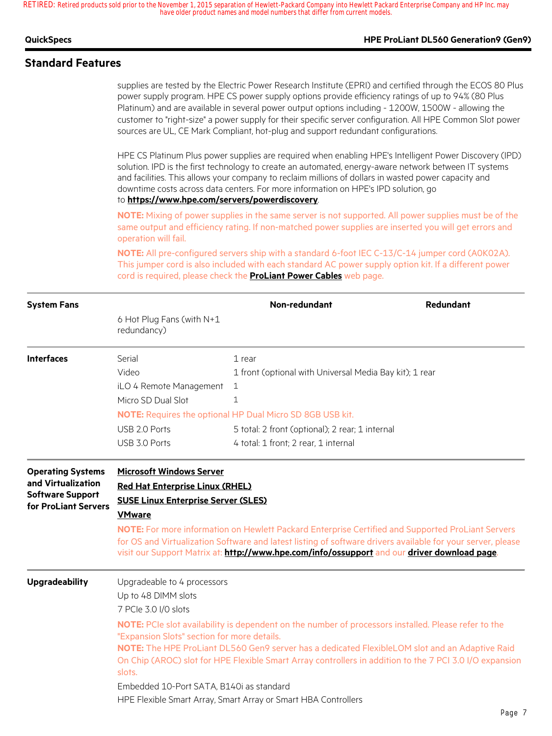#### **QuickSpecs HPE ProLiant DL560 Generation9 (Gen9)**

### **Standard Features**

supplies are tested by the Electric Power Research Institute (EPRI) and certified through the ECOS 80 Plus power supply program. HPE CS power supply options provide efficiency ratings of up to 94% (80 Plus Platinum) and are available in several power output options including - 1200W, 1500W - allowing the customer to "right-size" a power supply for their specific server configuration. All HPE Common Slot power sources are UL, CE Mark Compliant, hot-plug and support redundant configurations.

HPE CS Platinum Plus power supplies are required when enabling HPE's Intelligent Power Discovery (IPD) solution. IPD is the first technology to create an automated, energy-aware network between IT systems and facilities. This allows your company to reclaim millions of dollars in wasted power capacity and downtime costs across data centers. For more information on HPE's IPD solution, go to **https://www.hpe.com/servers/powerdiscovery**.

**NOTE:** Mixing of power supplies in the same server is not supported. All power supplies must be of the same output and efficiency rating. If non-matched power supplies are inserted you will get errors and operation will fail.

**NOTE:** All pre-configured servers ship with a standard 6-foot IEC C-13/C-14 jumper cord (A0K02A). This jumper cord is also included with each standard AC power supply option kit. If a different power cord is required, please check the **ProLiant Power Cables** web page.

| <b>System Fans</b>                                                                                |                                                                                                                                                                                                                                                                                                                                                              | Non-redundant                                                                                | <b>Redundant</b> |  |  |  |
|---------------------------------------------------------------------------------------------------|--------------------------------------------------------------------------------------------------------------------------------------------------------------------------------------------------------------------------------------------------------------------------------------------------------------------------------------------------------------|----------------------------------------------------------------------------------------------|------------------|--|--|--|
|                                                                                                   | 6 Hot Plug Fans (with N+1<br>redundancy)                                                                                                                                                                                                                                                                                                                     |                                                                                              |                  |  |  |  |
| <b>Interfaces</b>                                                                                 | Serial                                                                                                                                                                                                                                                                                                                                                       | $1$ rear                                                                                     |                  |  |  |  |
|                                                                                                   | Video<br>1 front (optional with Universal Media Bay kit); 1 rear                                                                                                                                                                                                                                                                                             |                                                                                              |                  |  |  |  |
|                                                                                                   | iLO 4 Remote Management                                                                                                                                                                                                                                                                                                                                      | 1                                                                                            |                  |  |  |  |
|                                                                                                   | Micro SD Dual Slot                                                                                                                                                                                                                                                                                                                                           | 1                                                                                            |                  |  |  |  |
|                                                                                                   |                                                                                                                                                                                                                                                                                                                                                              | NOTE: Requires the optional HP Dual Micro SD 8GB USB kit.                                    |                  |  |  |  |
|                                                                                                   | USB 2.0 Ports                                                                                                                                                                                                                                                                                                                                                | 5 total: 2 front (optional); 2 rear; 1 internal                                              |                  |  |  |  |
|                                                                                                   | USB 3.0 Ports                                                                                                                                                                                                                                                                                                                                                | 4 total: 1 front; 2 rear, 1 internal                                                         |                  |  |  |  |
| <b>Operating Systems</b><br>and Virtualization<br><b>Software Support</b><br>for ProLiant Servers | <b>Microsoft Windows Server</b><br><b>Red Hat Enterprise Linux (RHEL)</b><br><b>SUSE Linux Enterprise Server (SLES)</b><br><b>VMware</b><br>NOTE: For more information on Hewlett Packard Enterprise Certified and Supported ProLiant Servers<br>for OS and Virtualization Software and latest listing of software drivers available for your server, please |                                                                                              |                  |  |  |  |
| <b>Upgradeability</b>                                                                             | Upgradeable to 4 processors<br>Up to 48 DIMM slots                                                                                                                                                                                                                                                                                                           | visit our Support Matrix at: http://www.hpe.com/info/ossupport and our driver download page. |                  |  |  |  |
|                                                                                                   | 7 PCIe 3.0 I/O slots                                                                                                                                                                                                                                                                                                                                         |                                                                                              |                  |  |  |  |
|                                                                                                   | NOTE: PCIe slot availability is dependent on the number of processors installed. Please refer to the<br>"Expansion Slots" section for more details.                                                                                                                                                                                                          |                                                                                              |                  |  |  |  |
|                                                                                                   | NOTE: The HPE ProLiant DL560 Gen9 server has a dedicated FlexibleLOM slot and an Adaptive Raid<br>On Chip (AROC) slot for HPE Flexible Smart Array controllers in addition to the 7 PCI 3.0 I/O expansion<br>slots.                                                                                                                                          |                                                                                              |                  |  |  |  |
|                                                                                                   | Embedded 10-Port SATA, B140i as standard                                                                                                                                                                                                                                                                                                                     |                                                                                              |                  |  |  |  |
|                                                                                                   |                                                                                                                                                                                                                                                                                                                                                              | HPE Flexible Smart Array, Smart Array or Smart HBA Controllers                               |                  |  |  |  |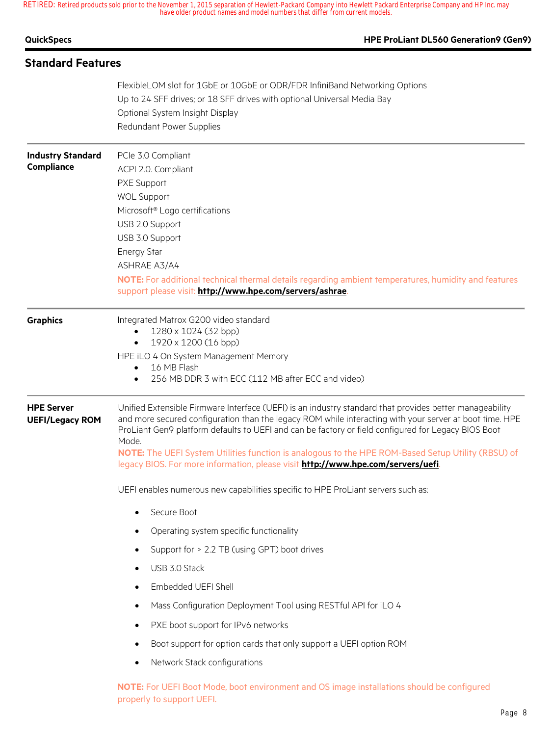| <b>QuickSpecs</b>                           | HPE ProLiant DL560 Generation9 (Gen9)                                                                                                                                                                                                                                                                                                                                                                                                                                                                                                                                                                                                                                                                                                                                                                                                                                                                                                                                                                                                                                                                                |
|---------------------------------------------|----------------------------------------------------------------------------------------------------------------------------------------------------------------------------------------------------------------------------------------------------------------------------------------------------------------------------------------------------------------------------------------------------------------------------------------------------------------------------------------------------------------------------------------------------------------------------------------------------------------------------------------------------------------------------------------------------------------------------------------------------------------------------------------------------------------------------------------------------------------------------------------------------------------------------------------------------------------------------------------------------------------------------------------------------------------------------------------------------------------------|
| <b>Standard Features</b>                    |                                                                                                                                                                                                                                                                                                                                                                                                                                                                                                                                                                                                                                                                                                                                                                                                                                                                                                                                                                                                                                                                                                                      |
|                                             | FlexibleLOM slot for 1GbE or 10GbE or QDR/FDR InfiniBand Networking Options<br>Up to 24 SFF drives; or 18 SFF drives with optional Universal Media Bay<br>Optional System Insight Display<br>Redundant Power Supplies                                                                                                                                                                                                                                                                                                                                                                                                                                                                                                                                                                                                                                                                                                                                                                                                                                                                                                |
| <b>Industry Standard</b><br>Compliance      | PCle 3.0 Compliant<br>ACPI 2.0. Compliant<br>PXE Support<br><b>WOL Support</b><br>Microsoft® Logo certifications<br>USB 2.0 Support<br>USB 3.0 Support<br><b>Energy Star</b><br>ASHRAE A3/A4<br>NOTE: For additional technical thermal details regarding ambient temperatures, humidity and features<br>support please visit: http://www.hpe.com/servers/ashrae.                                                                                                                                                                                                                                                                                                                                                                                                                                                                                                                                                                                                                                                                                                                                                     |
| <b>Graphics</b>                             | Integrated Matrox G200 video standard<br>1280 x 1024 (32 bpp)<br>$\bullet$<br>1920 x 1200 (16 bpp)<br>$\bullet$<br>HPE iLO 4 On System Management Memory<br>16 MB Flash<br>$\bullet$<br>256 MB DDR 3 with ECC (112 MB after ECC and video)                                                                                                                                                                                                                                                                                                                                                                                                                                                                                                                                                                                                                                                                                                                                                                                                                                                                           |
| <b>HPE Server</b><br><b>UEFI/Legacy ROM</b> | Unified Extensible Firmware Interface (UEFI) is an industry standard that provides better manageability<br>and more secured configuration than the legacy ROM while interacting with your server at boot time. HPE<br>ProLiant Gen9 platform defaults to UEFI and can be factory or field configured for Legacy BIOS Boot<br>Mode.<br>NOTE: The UEFI System Utilities function is analogous to the HPE ROM-Based Setup Utility (RBSU) of<br>legacy BIOS. For more information, please visit http://www.hpe.com/servers/uefi.<br>UEFI enables numerous new capabilities specific to HPE ProLiant servers such as:<br>Secure Boot<br>$\bullet$<br>Operating system specific functionality<br>Support for > 2.2 TB (using GPT) boot drives<br>$\bullet$<br>USB 3.0 Stack<br>Embedded UEFI Shell<br>Mass Configuration Deployment Tool using RESTful API for iLO 4<br>PXE boot support for IPv6 networks<br>Boot support for option cards that only support a UEFI option ROM<br>$\bullet$<br>Network Stack configurations<br>NOTE: For UEFI Boot Mode, boot environment and OS image installations should be configured |
|                                             | properly to support UEFI.                                                                                                                                                                                                                                                                                                                                                                                                                                                                                                                                                                                                                                                                                                                                                                                                                                                                                                                                                                                                                                                                                            |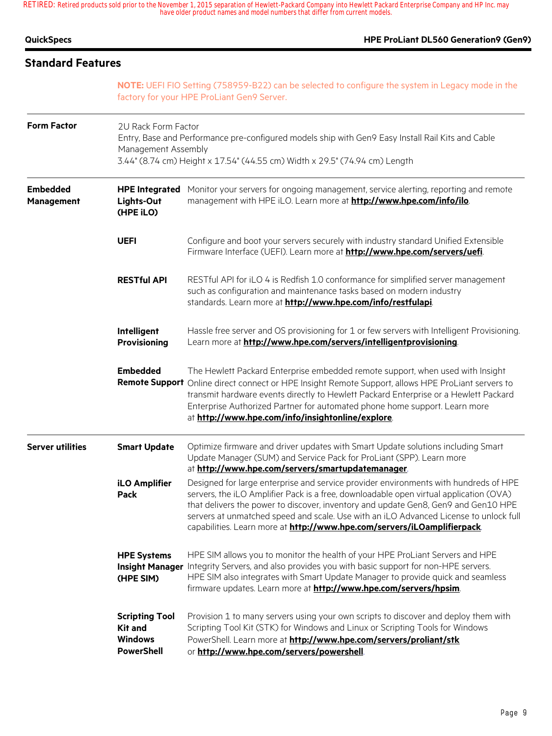| <b>QuickSpecs</b>             |                                                                                                                                                                                                                               | HPE ProLiant DL560 Generation9 (Gen9)                                                                                                                                                                                                                                                                                                                                                                                                     |  |  |  |  |
|-------------------------------|-------------------------------------------------------------------------------------------------------------------------------------------------------------------------------------------------------------------------------|-------------------------------------------------------------------------------------------------------------------------------------------------------------------------------------------------------------------------------------------------------------------------------------------------------------------------------------------------------------------------------------------------------------------------------------------|--|--|--|--|
| <b>Standard Features</b>      |                                                                                                                                                                                                                               |                                                                                                                                                                                                                                                                                                                                                                                                                                           |  |  |  |  |
|                               | NOTE: UEFI FIO Setting (758959-B22) can be selected to configure the system in Legacy mode in the<br>factory for your HPE ProLiant Gen9 Server.                                                                               |                                                                                                                                                                                                                                                                                                                                                                                                                                           |  |  |  |  |
| <b>Form Factor</b>            | 2U Rack Form Factor<br>Entry, Base and Performance pre-configured models ship with Gen9 Easy Install Rail Kits and Cable<br>Management Assembly<br>3.44" (8.74 cm) Height x 17.54" (44.55 cm) Width x 29.5" (74.94 cm) Length |                                                                                                                                                                                                                                                                                                                                                                                                                                           |  |  |  |  |
| <b>Embedded</b><br>Management | <b>HPE Integrated</b><br>Lights-Out<br>(HPE iLO)                                                                                                                                                                              | Monitor your servers for ongoing management, service alerting, reporting and remote<br>management with HPE iLO. Learn more at http://www.hpe.com/info/ilo.                                                                                                                                                                                                                                                                                |  |  |  |  |
|                               | <b>UEFI</b>                                                                                                                                                                                                                   | Configure and boot your servers securely with industry standard Unified Extensible<br>Firmware Interface (UEFI). Learn more at http://www.hpe.com/servers/uefi.                                                                                                                                                                                                                                                                           |  |  |  |  |
|                               | <b>RESTful API</b>                                                                                                                                                                                                            | RESTful API for iLO 4 is Redfish 1.0 conformance for simplified server management<br>such as configuration and maintenance tasks based on modern industry<br>standards. Learn more at http://www.hpe.com/info/restfulapi.                                                                                                                                                                                                                 |  |  |  |  |
|                               | Intelligent<br>Provisioning                                                                                                                                                                                                   | Hassle free server and OS provisioning for 1 or few servers with Intelligent Provisioning.<br>Learn more at http://www.hpe.com/servers/intelligentprovisioning.                                                                                                                                                                                                                                                                           |  |  |  |  |
|                               | <b>Embedded</b>                                                                                                                                                                                                               | The Hewlett Packard Enterprise embedded remote support, when used with Insight<br>Remote Support Online direct connect or HPE Insight Remote Support, allows HPE ProLiant servers to<br>transmit hardware events directly to Hewlett Packard Enterprise or a Hewlett Packard<br>Enterprise Authorized Partner for automated phone home support. Learn more<br>at http://www.hpe.com/info/insightonline/explore.                           |  |  |  |  |
| <b>Server utilities</b>       | <b>Smart Update</b>                                                                                                                                                                                                           | Optimize firmware and driver updates with Smart Update solutions including Smart<br>Update Manager (SUM) and Service Pack for ProLiant (SPP). Learn more<br>at http://www.hpe.com/servers/smartupdatemanager.                                                                                                                                                                                                                             |  |  |  |  |
|                               | <b>iLO Amplifier</b><br>Pack                                                                                                                                                                                                  | Designed for large enterprise and service provider environments with hundreds of HPE<br>servers, the iLO Amplifier Pack is a free, downloadable open virtual application (OVA)<br>that delivers the power to discover, inventory and update Gen8, Gen9 and Gen10 HPE<br>servers at unmatched speed and scale. Use with an iLO Advanced License to unlock full<br>capabilities. Learn more at http://www.hpe.com/servers/iLOamplifierpack. |  |  |  |  |
|                               | <b>HPE Systems</b><br>(HPE SIM)                                                                                                                                                                                               | HPE SIM allows you to monitor the health of your HPE ProLiant Servers and HPE<br>Insight Manager Integrity Servers, and also provides you with basic support for non-HPE servers.<br>HPE SIM also integrates with Smart Update Manager to provide quick and seamless<br>firmware updates. Learn more at <b>http://www.hpe.com/servers/hpsim</b> .                                                                                         |  |  |  |  |
|                               | <b>Scripting Tool</b><br><b>Kit and</b><br><b>Windows</b><br><b>PowerShell</b>                                                                                                                                                | Provision 1 to many servers using your own scripts to discover and deploy them with<br>Scripting Tool Kit (STK) for Windows and Linux or Scripting Tools for Windows<br>PowerShell. Learn more at http://www.hpe.com/servers/proliant/stk<br>or http://www.hpe.com/servers/powershell.                                                                                                                                                    |  |  |  |  |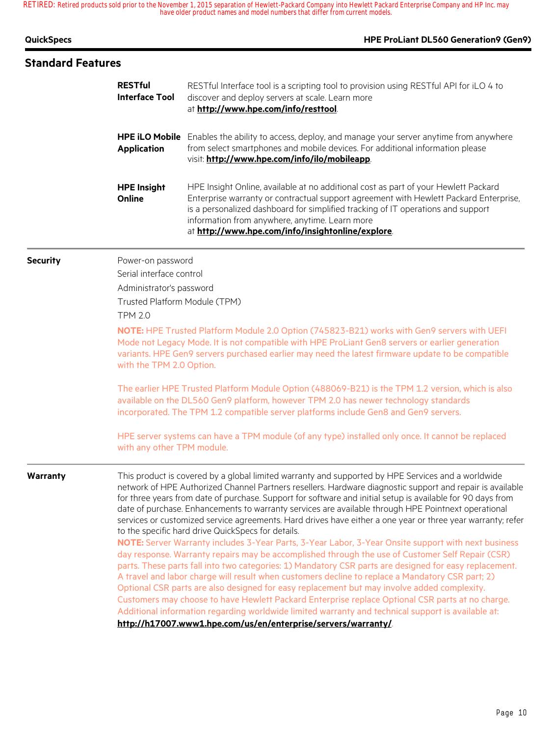| <b>QuickSpecs</b>        |                                                                                                                                                                                                                                                                                                               | HPE ProLiant DL560 Generation9 (Gen9)                                                                                                                                                                                                                                                                                                                                                                                                                                                                                                                                                                                                                                                                             |  |
|--------------------------|---------------------------------------------------------------------------------------------------------------------------------------------------------------------------------------------------------------------------------------------------------------------------------------------------------------|-------------------------------------------------------------------------------------------------------------------------------------------------------------------------------------------------------------------------------------------------------------------------------------------------------------------------------------------------------------------------------------------------------------------------------------------------------------------------------------------------------------------------------------------------------------------------------------------------------------------------------------------------------------------------------------------------------------------|--|
| <b>Standard Features</b> |                                                                                                                                                                                                                                                                                                               |                                                                                                                                                                                                                                                                                                                                                                                                                                                                                                                                                                                                                                                                                                                   |  |
|                          | <b>RESTful</b><br><b>Interface Tool</b>                                                                                                                                                                                                                                                                       | RESTful Interface tool is a scripting tool to provision using RESTful API for iLO 4 to<br>discover and deploy servers at scale. Learn more<br>at http://www.hpe.com/info/resttool.                                                                                                                                                                                                                                                                                                                                                                                                                                                                                                                                |  |
|                          | <b>Application</b>                                                                                                                                                                                                                                                                                            | HPE iLO Mobile Enables the ability to access, deploy, and manage your server anytime from anywhere<br>from select smartphones and mobile devices. For additional information please<br>visit: http://www.hpe.com/info/ilo/mobileapp.                                                                                                                                                                                                                                                                                                                                                                                                                                                                              |  |
|                          | <b>HPE Insight</b><br>Online                                                                                                                                                                                                                                                                                  | HPE Insight Online, available at no additional cost as part of your Hewlett Packard<br>Enterprise warranty or contractual support agreement with Hewlett Packard Enterprise,<br>is a personalized dashboard for simplified tracking of IT operations and support<br>information from anywhere, anytime. Learn more<br>at http://www.hpe.com/info/insightonline/explore.                                                                                                                                                                                                                                                                                                                                           |  |
| <b>Security</b>          | Power-on password<br>Serial interface control<br>Administrator's password<br>Trusted Platform Module (TPM)<br><b>TPM 2.0</b>                                                                                                                                                                                  | NOTE: HPE Trusted Platform Module 2.0 Option (745823-B21) works with Gen9 servers with UEFI<br>Mode not Legacy Mode. It is not compatible with HPE ProLiant Gen8 servers or earlier generation<br>variants. HPE Gen9 servers purchased earlier may need the latest firmware update to be compatible                                                                                                                                                                                                                                                                                                                                                                                                               |  |
|                          | with the TPM 2.0 Option.<br>The earlier HPE Trusted Platform Module Option (488069-B21) is the TPM 1.2 version, which is also<br>available on the DL560 Gen9 platform, however TPM 2.0 has newer technology standards<br>incorporated. The TPM 1.2 compatible server platforms include Gen8 and Gen9 servers. |                                                                                                                                                                                                                                                                                                                                                                                                                                                                                                                                                                                                                                                                                                                   |  |
|                          | HPE server systems can have a TPM module (of any type) installed only once. It cannot be replaced<br>with any other TPM module.                                                                                                                                                                               |                                                                                                                                                                                                                                                                                                                                                                                                                                                                                                                                                                                                                                                                                                                   |  |
| Warranty                 |                                                                                                                                                                                                                                                                                                               | This product is covered by a global limited warranty and supported by HPE Services and a worldwide<br>network of HPE Authorized Channel Partners resellers. Hardware diagnostic support and repair is available<br>for three years from date of purchase. Support for software and initial setup is available for 90 days from<br>date of purchase. Enhancements to warranty services are available through HPE Pointnext operational<br>services or customized service agreements. Hard drives have either a one year or three year warranty; refer<br>to the specific hard drive QuickSpecs for details.<br>NOTE: Server Warranty includes 3-Year Parts, 3-Year Labor, 3-Year Onsite support with next business |  |
|                          |                                                                                                                                                                                                                                                                                                               | day response. Warranty repairs may be accomplished through the use of Customer Self Repair (CSR)<br>parts. These parts fall into two categories: 1) Mandatory CSR parts are designed for easy replacement.<br>A travel and labor charge will result when customers decline to replace a Mandatory CSR part; 2)<br>Optional CSR parts are also designed for easy replacement but may involve added complexity.<br>Customers may choose to have Hewlett Packard Enterprise replace Optional CSR parts at no charge.<br>Additional information regarding worldwide limited warranty and technical support is available at:                                                                                           |  |
|                          |                                                                                                                                                                                                                                                                                                               | http://h17007.www1.hpe.com/us/en/enterprise/servers/warranty/                                                                                                                                                                                                                                                                                                                                                                                                                                                                                                                                                                                                                                                     |  |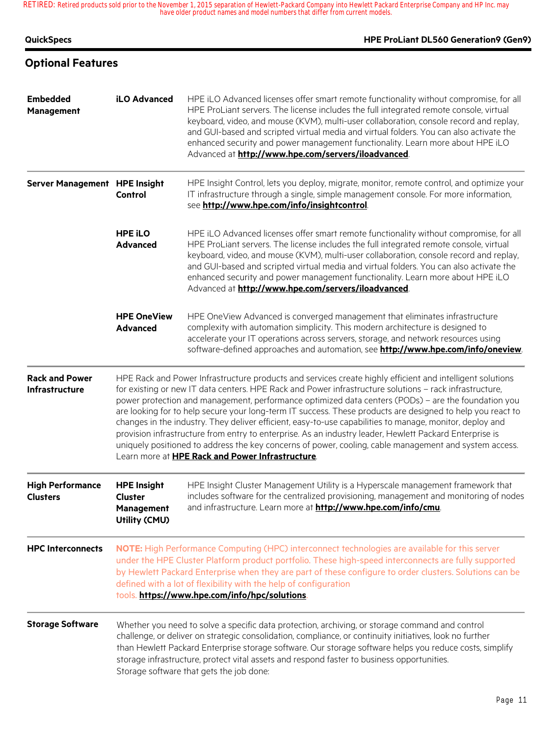| <b>QuickSpecs</b>                          |                                                                                                                                                                                                                                                                                                                                                                                                                                                                                                                                                                                                                                                                                                                                                                                                                                | HPE ProLiant DL560 Generation9 (Gen9)                                                                                                                                                                                                                                                                                                                                                                                                                                                                          |
|--------------------------------------------|--------------------------------------------------------------------------------------------------------------------------------------------------------------------------------------------------------------------------------------------------------------------------------------------------------------------------------------------------------------------------------------------------------------------------------------------------------------------------------------------------------------------------------------------------------------------------------------------------------------------------------------------------------------------------------------------------------------------------------------------------------------------------------------------------------------------------------|----------------------------------------------------------------------------------------------------------------------------------------------------------------------------------------------------------------------------------------------------------------------------------------------------------------------------------------------------------------------------------------------------------------------------------------------------------------------------------------------------------------|
| <b>Optional Features</b>                   |                                                                                                                                                                                                                                                                                                                                                                                                                                                                                                                                                                                                                                                                                                                                                                                                                                |                                                                                                                                                                                                                                                                                                                                                                                                                                                                                                                |
| <b>Embedded</b><br>Management              | iLO Advanced                                                                                                                                                                                                                                                                                                                                                                                                                                                                                                                                                                                                                                                                                                                                                                                                                   | HPE iLO Advanced licenses offer smart remote functionality without compromise, for all<br>HPE ProLiant servers. The license includes the full integrated remote console, virtual<br>keyboard, video, and mouse (KVM), multi-user collaboration, console record and replay,<br>and GUI-based and scripted virtual media and virtual folders. You can also activate the<br>enhanced security and power management functionality. Learn more about HPE iLO<br>Advanced at http://www.hpe.com/servers/iloadvanced. |
| Server Management HPE Insight              | Control                                                                                                                                                                                                                                                                                                                                                                                                                                                                                                                                                                                                                                                                                                                                                                                                                        | HPE Insight Control, lets you deploy, migrate, monitor, remote control, and optimize your<br>IT infrastructure through a single, simple management console. For more information,<br>see http://www.hpe.com/info/insightcontrol.                                                                                                                                                                                                                                                                               |
|                                            | <b>HPE ILO</b><br><b>Advanced</b>                                                                                                                                                                                                                                                                                                                                                                                                                                                                                                                                                                                                                                                                                                                                                                                              | HPE iLO Advanced licenses offer smart remote functionality without compromise, for all<br>HPE ProLiant servers. The license includes the full integrated remote console, virtual<br>keyboard, video, and mouse (KVM), multi-user collaboration, console record and replay,<br>and GUI-based and scripted virtual media and virtual folders. You can also activate the<br>enhanced security and power management functionality. Learn more about HPE iLO<br>Advanced at http://www.hpe.com/servers/iloadvanced. |
|                                            | <b>HPE OneView</b><br><b>Advanced</b>                                                                                                                                                                                                                                                                                                                                                                                                                                                                                                                                                                                                                                                                                                                                                                                          | HPE OneView Advanced is converged management that eliminates infrastructure<br>complexity with automation simplicity. This modern architecture is designed to<br>accelerate your IT operations across servers, storage, and network resources using<br>software-defined approaches and automation, see http://www.hpe.com/info/oneview.                                                                                                                                                                        |
| <b>Rack and Power</b><br>Infrastructure    | HPE Rack and Power Infrastructure products and services create highly efficient and intelligent solutions<br>for existing or new IT data centers. HPE Rack and Power infrastructure solutions - rack infrastructure,<br>power protection and management, performance optimized data centers (PODs) - are the foundation you<br>are looking for to help secure your long-term IT success. These products are designed to help you react to<br>changes in the industry. They deliver efficient, easy-to-use capabilities to manage, monitor, deploy and<br>provision infrastructure from entry to enterprise. As an industry leader, Hewlett Packard Enterprise is<br>uniquely positioned to address the key concerns of power, cooling, cable management and system access.<br>Learn more at HPE Rack and Power Infrastructure. |                                                                                                                                                                                                                                                                                                                                                                                                                                                                                                                |
| <b>High Performance</b><br><b>Clusters</b> | <b>HPE Insight</b><br><b>Cluster</b><br>Management<br>Utility (CMU)                                                                                                                                                                                                                                                                                                                                                                                                                                                                                                                                                                                                                                                                                                                                                            | HPE Insight Cluster Management Utility is a Hyperscale management framework that<br>includes software for the centralized provisioning, management and monitoring of nodes<br>and infrastructure. Learn more at http://www.hpe.com/info/cmu.                                                                                                                                                                                                                                                                   |
| <b>HPC Interconnects</b>                   | NOTE: High Performance Computing (HPC) interconnect technologies are available for this server<br>under the HPE Cluster Platform product portfolio. These high-speed interconnects are fully supported<br>by Hewlett Packard Enterprise when they are part of these configure to order clusters. Solutions can be<br>defined with a lot of flexibility with the help of configuration<br>tools. https://www.hpe.com/info/hpc/solutions.                                                                                                                                                                                                                                                                                                                                                                                        |                                                                                                                                                                                                                                                                                                                                                                                                                                                                                                                |
| <b>Storage Software</b>                    |                                                                                                                                                                                                                                                                                                                                                                                                                                                                                                                                                                                                                                                                                                                                                                                                                                | Whether you need to solve a specific data protection, archiving, or storage command and control<br>challenge, or deliver on strategic consolidation, compliance, or continuity initiatives, look no further<br>than Hewlett Packard Enterprise storage software. Our storage software helps you reduce costs, simplify<br>storage infrastructure, protect vital assets and respond faster to business opportunities.<br>Storage software that gets the job done:                                               |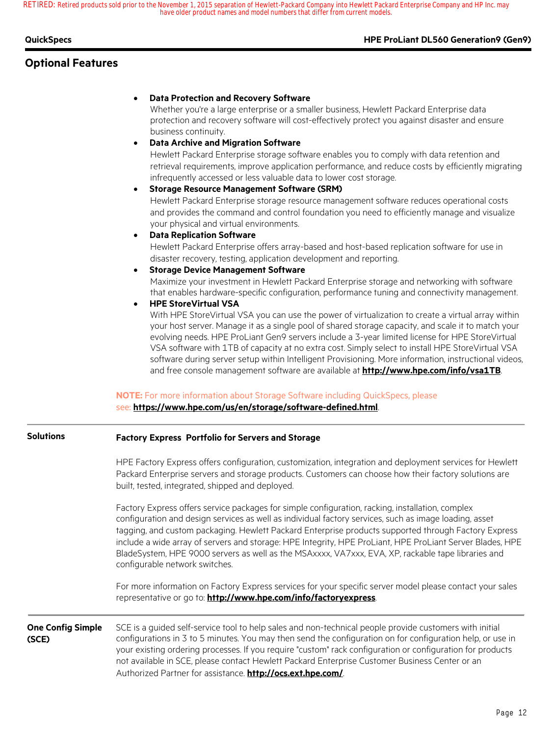### **QuickSpecs HPE ProLiant DL560 Generation9 (Gen9)**

## **Optional Features**

#### • **Data Protection and Recovery Software**

Whether you're a large enterprise or a smaller business, Hewlett Packard Enterprise data protection and recovery software will cost-effectively protect you against disaster and ensure business continuity.

#### • **Data Archive and Migration Software**

Hewlett Packard Enterprise storage software enables you to comply with data retention and retrieval requirements, improve application performance, and reduce costs by efficiently migrating infrequently accessed or less valuable data to lower cost storage.

#### • **Storage Resource Management Software (SRM)**

Hewlett Packard Enterprise storage resource management software reduces operational costs and provides the command and control foundation you need to efficiently manage and visualize your physical and virtual environments.

#### • **Data Replication Software**

Hewlett Packard Enterprise offers array-based and host-based replication software for use in disaster recovery, testing, application development and reporting.

• **Storage Device Management Software**

Maximize your investment in Hewlett Packard Enterprise storage and networking with software that enables hardware-specific configuration, performance tuning and connectivity management.

### • **HPE StoreVirtual VSA**

With HPE StoreVirtual VSA you can use the power of virtualization to create a virtual array within your host server. Manage it as a single pool of shared storage capacity, and scale it to match your evolving needs. HPE ProLiant Gen9 servers include a 3-year limited license for HPE StoreVirtual VSA software with 1TB of capacity at no extra cost. Simply select to install HPE StoreVirtual VSA software during server setup within Intelligent Provisioning. More information, instructional videos, and free console management software are available at **http://www.hpe.com/info/vsa1TB**.

#### **NOTE:** For more information about Storage Software including QuickSpecs, please

#### see: **https://www.hpe.com/us/en/storage/software-defined.html**.

| <b>Solutions</b>                  | <b>Factory Express Portfolio for Servers and Storage</b>                                                                                                                                                                                                                                                                                                                                                                                                                                                                                                                |  |  |  |
|-----------------------------------|-------------------------------------------------------------------------------------------------------------------------------------------------------------------------------------------------------------------------------------------------------------------------------------------------------------------------------------------------------------------------------------------------------------------------------------------------------------------------------------------------------------------------------------------------------------------------|--|--|--|
|                                   | HPE Factory Express offers configuration, customization, integration and deployment services for Hewlett<br>Packard Enterprise servers and storage products. Customers can choose how their factory solutions are<br>built, tested, integrated, shipped and deployed.                                                                                                                                                                                                                                                                                                   |  |  |  |
|                                   | Factory Express offers service packages for simple configuration, racking, installation, complex<br>configuration and design services as well as individual factory services, such as image loading, asset<br>tagging, and custom packaging. Hewlett Packard Enterprise products supported through Factory Express<br>include a wide array of servers and storage: HPE Integrity, HPE ProLiant, HPE ProLiant Server Blades, HPE<br>BladeSystem, HPE 9000 servers as well as the MSAxxxx, VA7xxx, EVA, XP, rackable tape libraries and<br>configurable network switches. |  |  |  |
|                                   | For more information on Factory Express services for your specific server model please contact your sales<br>representative or go to: http://www.hpe.com/info/factoryexpress.                                                                                                                                                                                                                                                                                                                                                                                           |  |  |  |
| <b>One Config Simple</b><br>(SCE) | SCE is a guided self-service tool to help sales and non-technical people provide customers with initial<br>configurations in 3 to 5 minutes. You may then send the configuration on for configuration help, or use in<br>your existing ordering processes. If you require "custom" rack configuration or configuration for products<br>not available in SCE, please contact Hewlett Packard Enterprise Customer Business Center or an<br>Authorized Partner for assistance. http://ocs.ext.hpe.com/.                                                                    |  |  |  |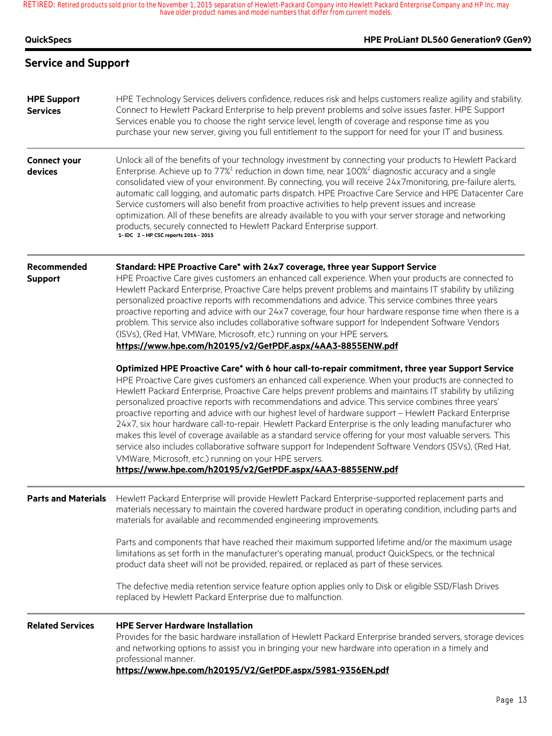| <b>QuickSpecs</b>                     | HPE ProLiant DL560 Generation9 (Gen9)                                                                                                                                                                                                                                                                                                                                                                                                                                                                                                                                                                                                                                                                                                                                                                                                                                                                                                                                                          |
|---------------------------------------|------------------------------------------------------------------------------------------------------------------------------------------------------------------------------------------------------------------------------------------------------------------------------------------------------------------------------------------------------------------------------------------------------------------------------------------------------------------------------------------------------------------------------------------------------------------------------------------------------------------------------------------------------------------------------------------------------------------------------------------------------------------------------------------------------------------------------------------------------------------------------------------------------------------------------------------------------------------------------------------------|
| <b>Service and Support</b>            |                                                                                                                                                                                                                                                                                                                                                                                                                                                                                                                                                                                                                                                                                                                                                                                                                                                                                                                                                                                                |
| <b>HPE Support</b><br><b>Services</b> | HPE Technology Services delivers confidence, reduces risk and helps customers realize agility and stability.<br>Connect to Hewlett Packard Enterprise to help prevent problems and solve issues faster. HPE Support<br>Services enable you to choose the right service level, length of coverage and response time as you<br>purchase your new server, giving you full entitlement to the support for need for your IT and business.                                                                                                                                                                                                                                                                                                                                                                                                                                                                                                                                                           |
| <b>Connect your</b><br>devices        | Unlock all of the benefits of your technology investment by connecting your products to Hewlett Packard<br>Enterprise. Achieve up to 77% <sup>1</sup> reduction in down time, near 100% <sup>2</sup> diagnostic accuracy and a single<br>consolidated view of your environment. By connecting, you will receive 24x7monitoring, pre-failure alerts,<br>automatic call logging, and automatic parts dispatch. HPE Proactive Care Service and HPE Datacenter Care<br>Service customers will also benefit from proactive activities to help prevent issues and increase<br>optimization. All of these benefits are already available to you with your server storage and networking<br>products, securely connected to Hewlett Packard Enterprise support.<br>1- IDC 2 - HP CSC reports 2014 - 2015                                                                                                                                                                                               |
| Recommended<br><b>Support</b>         | Standard: HPE Proactive Care* with 24x7 coverage, three year Support Service<br>HPE Proactive Care gives customers an enhanced call experience. When your products are connected to<br>Hewlett Packard Enterprise, Proactive Care helps prevent problems and maintains IT stability by utilizing<br>personalized proactive reports with recommendations and advice. This service combines three years<br>proactive reporting and advice with our 24x7 coverage, four hour hardware response time when there is a<br>problem. This service also includes collaborative software support for Independent Software Vendors<br>(ISVs), (Red Hat, VMWare, Microsoft, etc.) running on your HPE servers.<br>https://www.hpe.com/h20195/v2/GetPDF.aspx/4AA3-8855ENW.pdf                                                                                                                                                                                                                               |
|                                       | Optimized HPE Proactive Care* with 6 hour call-to-repair commitment, three year Support Service<br>HPE Proactive Care gives customers an enhanced call experience. When your products are connected to<br>Hewlett Packard Enterprise, Proactive Care helps prevent problems and maintains IT stability by utilizing<br>personalized proactive reports with recommendations and advice. This service combines three years'<br>proactive reporting and advice with our highest level of hardware support - Hewlett Packard Enterprise<br>24x7, six hour hardware call-to-repair. Hewlett Packard Enterprise is the only leading manufacturer who<br>makes this level of coverage available as a standard service offering for your most valuable servers. This<br>service also includes collaborative software support for Independent Software Vendors (ISVs), (Red Hat,<br>VMWare, Microsoft, etc.) running on your HPE servers.<br>https://www.hpe.com/h20195/v2/GetPDF.aspx/4AA3-8855ENW.pdf |
| <b>Parts and Materials</b>            | Hewlett Packard Enterprise will provide Hewlett Packard Enterprise-supported replacement parts and<br>materials necessary to maintain the covered hardware product in operating condition, including parts and<br>materials for available and recommended engineering improvements.                                                                                                                                                                                                                                                                                                                                                                                                                                                                                                                                                                                                                                                                                                            |
|                                       | Parts and components that have reached their maximum supported lifetime and/or the maximum usage<br>limitations as set forth in the manufacturer's operating manual, product QuickSpecs, or the technical<br>product data sheet will not be provided, repaired, or replaced as part of these services.                                                                                                                                                                                                                                                                                                                                                                                                                                                                                                                                                                                                                                                                                         |
|                                       | The defective media retention service feature option applies only to Disk or eligible SSD/Flash Drives<br>replaced by Hewlett Packard Enterprise due to malfunction.                                                                                                                                                                                                                                                                                                                                                                                                                                                                                                                                                                                                                                                                                                                                                                                                                           |
| <b>Related Services</b>               | <b>HPE Server Hardware Installation</b><br>Provides for the basic hardware installation of Hewlett Packard Enterprise branded servers, storage devices<br>and networking options to assist you in bringing your new hardware into operation in a timely and<br>professional manner.<br>https://www.hpe.com/h20195/V2/GetPDF.aspx/5981-9356EN.pdf                                                                                                                                                                                                                                                                                                                                                                                                                                                                                                                                                                                                                                               |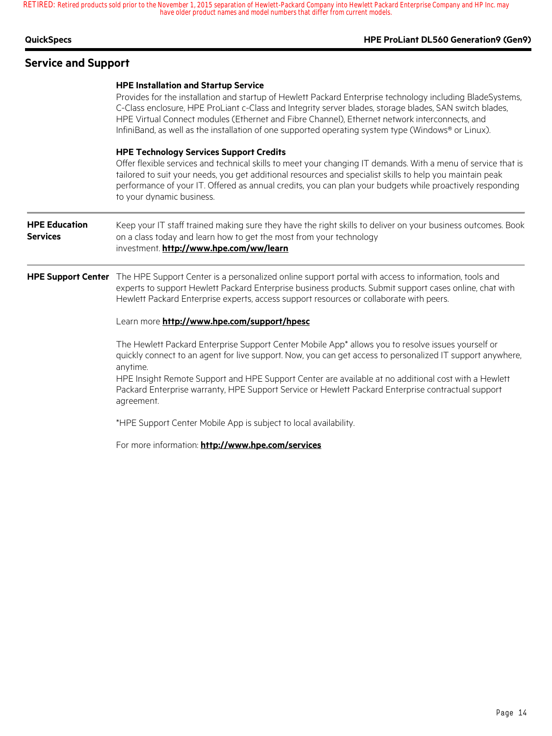## **Service and Support**

#### **HPE ProLiant DL560 Generation9 (Gen9)**

|                                         | <b>HPE Installation and Startup Service</b><br>Provides for the installation and startup of Hewlett Packard Enterprise technology including BladeSystems,<br>C-Class enclosure, HPE ProLiant c-Class and Integrity server blades, storage blades, SAN switch blades,<br>HPE Virtual Connect modules (Ethernet and Fibre Channel), Ethernet network interconnects, and<br>InfiniBand, as well as the installation of one supported operating system type (Windows® or Linux). |
|-----------------------------------------|------------------------------------------------------------------------------------------------------------------------------------------------------------------------------------------------------------------------------------------------------------------------------------------------------------------------------------------------------------------------------------------------------------------------------------------------------------------------------|
|                                         | <b>HPE Technology Services Support Credits</b><br>Offer flexible services and technical skills to meet your changing IT demands. With a menu of service that is<br>tailored to suit your needs, you get additional resources and specialist skills to help you maintain peak<br>performance of your IT. Offered as annual credits, you can plan your budgets while proactively responding<br>to your dynamic business.                                                       |
| <b>HPE Education</b><br><b>Services</b> | Keep your IT staff trained making sure they have the right skills to deliver on your business outcomes. Book<br>on a class today and learn how to get the most from your technology<br>investment. http://www.hpe.com/ww/learn                                                                                                                                                                                                                                               |
|                                         | HPE Support Center The HPE Support Center is a personalized online support portal with access to information, tools and<br>experts to support Hewlett Packard Enterprise business products. Submit support cases online, chat with<br>Hewlett Packard Enterprise experts, access support resources or collaborate with peers.                                                                                                                                                |
|                                         | Learn more http://www.hpe.com/support/hpesc                                                                                                                                                                                                                                                                                                                                                                                                                                  |
|                                         | The Hewlett Packard Enterprise Support Center Mobile App <sup>*</sup> allows you to resolve issues yourself or<br>quickly connect to an agent for live support. Now, you can get access to personalized IT support anywhere,<br>anytime.                                                                                                                                                                                                                                     |
|                                         | HPE Insight Remote Support and HPE Support Center are available at no additional cost with a Hewlett<br>Packard Enterprise warranty, HPE Support Service or Hewlett Packard Enterprise contractual support<br>agreement.                                                                                                                                                                                                                                                     |

\*HPE Support Center Mobile App is subject to local availability.

For more information: **http://www.hpe.com/services**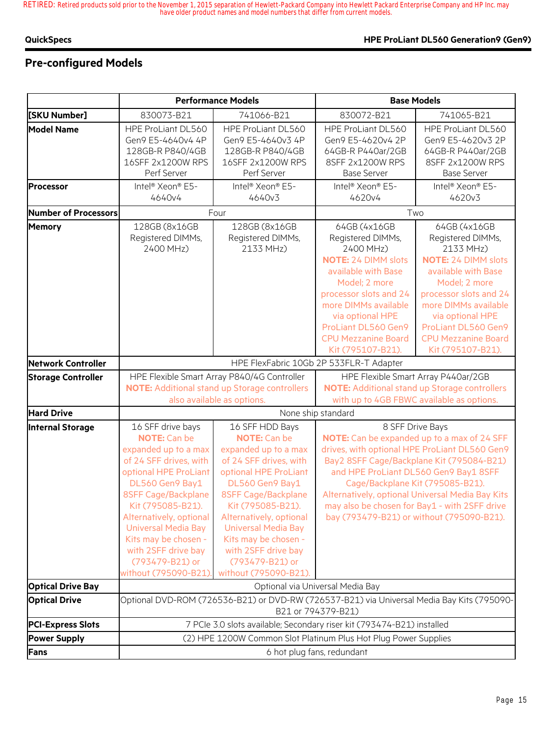## **Pre-configured Models**

|                           |                                                                                                                                                                                                                                                                                                                                       | <b>Performance Models</b>                                                                                                                                                                                                                                                                                                            | <b>Base Models</b>                                                                                                                                                                                                                              |                                                                                                                                                                                                                                                                                                                                                                                              |  |
|---------------------------|---------------------------------------------------------------------------------------------------------------------------------------------------------------------------------------------------------------------------------------------------------------------------------------------------------------------------------------|--------------------------------------------------------------------------------------------------------------------------------------------------------------------------------------------------------------------------------------------------------------------------------------------------------------------------------------|-------------------------------------------------------------------------------------------------------------------------------------------------------------------------------------------------------------------------------------------------|----------------------------------------------------------------------------------------------------------------------------------------------------------------------------------------------------------------------------------------------------------------------------------------------------------------------------------------------------------------------------------------------|--|
| [SKU Number]              | 830073-B21                                                                                                                                                                                                                                                                                                                            | 741066-B21                                                                                                                                                                                                                                                                                                                           | 830072-B21                                                                                                                                                                                                                                      | 741065-B21                                                                                                                                                                                                                                                                                                                                                                                   |  |
| <b>Model Name</b>         | HPE ProLiant DL560<br>Gen9 E5-4640v4 4P<br>128GB-R P840/4GB<br>16SFF 2x1200W RPS<br>Perf Server                                                                                                                                                                                                                                       | HPE ProLiant DL560<br>Gen9 E5-4640v3 4P<br>128GB-R P840/4GB<br>16SFF 2x1200W RPS<br>Perf Server                                                                                                                                                                                                                                      | HPE ProLiant DL560<br>Gen9 E5-4620v4 2P<br>64GB-R P440ar/2GB<br>8SFF 2x1200W RPS<br><b>Base Server</b>                                                                                                                                          | HPE ProLiant DL560<br>Gen9 E5-4620v3 2P<br>64GB-R P440ar/2GB<br>8SFF 2x1200W RPS<br><b>Base Server</b>                                                                                                                                                                                                                                                                                       |  |
| <b>Processor</b>          | Intel <sup>®</sup> Xeon® E5-<br>4640v4                                                                                                                                                                                                                                                                                                | Intel <sup>®</sup> Xeon <sup>®</sup> E5-<br>4640v3                                                                                                                                                                                                                                                                                   | Intel <sup>®</sup> Xeon® E5-<br>4620v4                                                                                                                                                                                                          | Intel <sup>®</sup> Xeon® E5-<br>4620v3                                                                                                                                                                                                                                                                                                                                                       |  |
| Number of Processors      |                                                                                                                                                                                                                                                                                                                                       | Four                                                                                                                                                                                                                                                                                                                                 |                                                                                                                                                                                                                                                 | Two                                                                                                                                                                                                                                                                                                                                                                                          |  |
| <b>Memory</b>             | 128GB (8x16GB<br>Registered DIMMs,<br>2400 MHz)                                                                                                                                                                                                                                                                                       | 128GB (8x16GB<br>Registered DIMMs,<br>2133 MHz)                                                                                                                                                                                                                                                                                      | 64GB (4x16GB<br>Registered DIMMs,<br>2400 MHz)<br><b>NOTE: 24 DIMM slots</b><br>available with Base<br>Model; 2 more<br>processor slots and 24<br>more DIMMs available<br>via optional HPE<br>ProLiant DL560 Gen9<br><b>CPU Mezzanine Board</b> | 64GB (4x16GB<br>Registered DIMMs,<br>2133 MHz)<br><b>NOTE: 24 DIMM slots</b><br>available with Base<br>Model; 2 more<br>processor slots and 24<br>more DIMMs available<br>via optional HPE<br>ProLiant DL560 Gen9<br><b>CPU Mezzanine Board</b>                                                                                                                                              |  |
| Network Controller        |                                                                                                                                                                                                                                                                                                                                       |                                                                                                                                                                                                                                                                                                                                      | Kit (795107-B21).                                                                                                                                                                                                                               | Kit (795107-B21).                                                                                                                                                                                                                                                                                                                                                                            |  |
| <b>Storage Controller</b> |                                                                                                                                                                                                                                                                                                                                       |                                                                                                                                                                                                                                                                                                                                      | HPE FlexFabric 10Gb 2P 533FLR-T Adapter                                                                                                                                                                                                         | HPE Flexible Smart Array P440ar/2GB                                                                                                                                                                                                                                                                                                                                                          |  |
|                           | HPE Flexible Smart Array P840/4G Controller<br><b>NOTE:</b> Additional stand up Storage controllers<br>also available as options.                                                                                                                                                                                                     |                                                                                                                                                                                                                                                                                                                                      | <b>NOTE:</b> Additional stand up Storage controllers<br>with up to 4GB FBWC available as options.                                                                                                                                               |                                                                                                                                                                                                                                                                                                                                                                                              |  |
| <b>Hard Drive</b>         | None ship standard                                                                                                                                                                                                                                                                                                                    |                                                                                                                                                                                                                                                                                                                                      |                                                                                                                                                                                                                                                 |                                                                                                                                                                                                                                                                                                                                                                                              |  |
| <b>Internal Storage</b>   | 16 SFF drive bays<br><b>NOTE:</b> Can be<br>expanded up to a max<br>of 24 SFF drives, with<br>optional HPE ProLiant<br>DL560 Gen9 Bay1<br>8SFF Cage/Backplane<br>Kit (795085-B21).<br>Alternatively, optional<br><b>Universal Media Bay</b><br>Kits may be chosen -<br>with 2SFF drive bay<br>(793479-B21) or<br>without (795090-B21) | 16 SFF HDD Bays<br><b>NOTE:</b> Can be<br>expanded up to a max<br>of 24 SFF drives, with<br>optional HPE ProLiant<br>DL560 Gen9 Bay1<br>8SFF Cage/Backplane<br>Kit (795085-B21).<br>Alternatively, optional<br><b>Universal Media Bay</b><br>Kits may be chosen -<br>with 2SFF drive bay<br>(793479-B21) or<br>without (795090-B21). |                                                                                                                                                                                                                                                 | 8 SFF Drive Bays<br>NOTE: Can be expanded up to a max of 24 SFF<br>drives, with optional HPE ProLiant DL560 Gen9<br>Bay2 8SFF Cage/Backplane Kit (795084-B21)<br>and HPE ProLiant DL560 Gen9 Bay1 8SFF<br>Cage/Backplane Kit (795085-B21).<br>Alternatively, optional Universal Media Bay Kits<br>may also be chosen for Bay1 - with 2SFF drive<br>bay (793479-B21) or without (795090-B21). |  |
| <b>Optical Drive Bay</b>  |                                                                                                                                                                                                                                                                                                                                       |                                                                                                                                                                                                                                                                                                                                      | Optional via Universal Media Bay                                                                                                                                                                                                                |                                                                                                                                                                                                                                                                                                                                                                                              |  |
| <b>Optical Drive</b>      | Optional DVD-ROM (726536-B21) or DVD-RW (726537-B21) via Universal Media Bay Kits (795090-<br>B21 or 794379-B21)                                                                                                                                                                                                                      |                                                                                                                                                                                                                                                                                                                                      |                                                                                                                                                                                                                                                 |                                                                                                                                                                                                                                                                                                                                                                                              |  |
| <b>PCI-Express Slots</b>  |                                                                                                                                                                                                                                                                                                                                       | 7 PCIe 3.0 slots available; Secondary riser kit (793474-B21) installed                                                                                                                                                                                                                                                               |                                                                                                                                                                                                                                                 |                                                                                                                                                                                                                                                                                                                                                                                              |  |
| <b>Power Supply</b>       |                                                                                                                                                                                                                                                                                                                                       | (2) HPE 1200W Common Slot Platinum Plus Hot Plug Power Supplies                                                                                                                                                                                                                                                                      |                                                                                                                                                                                                                                                 |                                                                                                                                                                                                                                                                                                                                                                                              |  |
| Fans                      | 6 hot plug fans, redundant                                                                                                                                                                                                                                                                                                            |                                                                                                                                                                                                                                                                                                                                      |                                                                                                                                                                                                                                                 |                                                                                                                                                                                                                                                                                                                                                                                              |  |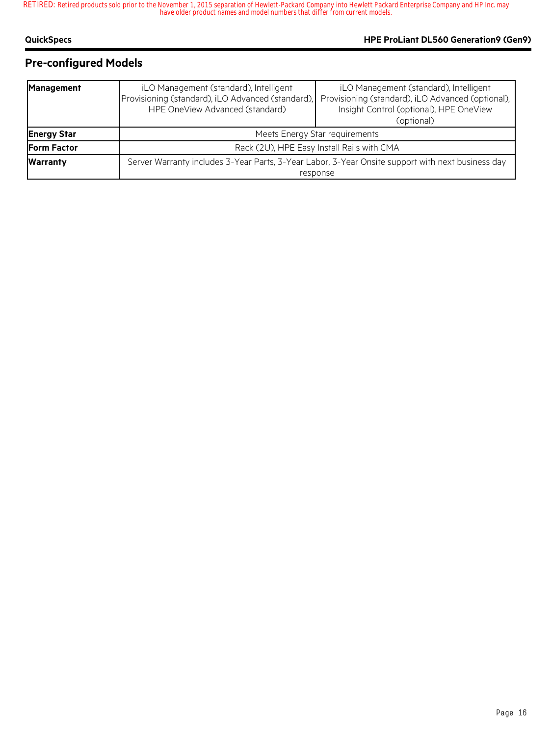## **Pre-configured Models**

| <b>Management</b>  | iLO Management (standard), Intelligent<br>Provisioning (standard), iLO Advanced (standard),<br>HPE OneView Advanced (standard) | iLO Management (standard), Intelligent<br>Provisioning (standard), iLO Advanced (optional),<br>Insight Control (optional), HPE OneView<br>(optional) |  |
|--------------------|--------------------------------------------------------------------------------------------------------------------------------|------------------------------------------------------------------------------------------------------------------------------------------------------|--|
| <b>Energy Star</b> | Meets Energy Star requirements                                                                                                 |                                                                                                                                                      |  |
| <b>Form Factor</b> | Rack (2U), HPE Easy Install Rails with CMA                                                                                     |                                                                                                                                                      |  |
| <b>Warranty</b>    |                                                                                                                                | Server Warranty includes 3-Year Parts, 3-Year Labor, 3-Year Onsite support with next business day<br>response                                        |  |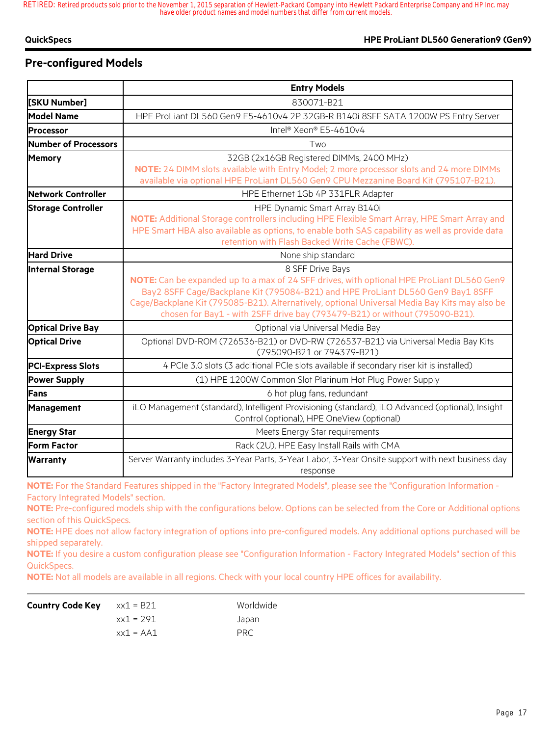## **Pre-configured Models**

|                           | <b>Entry Models</b>                                                                                                                                                                                                                                                                                                                                                              |  |  |
|---------------------------|----------------------------------------------------------------------------------------------------------------------------------------------------------------------------------------------------------------------------------------------------------------------------------------------------------------------------------------------------------------------------------|--|--|
| [SKU Number]              | 830071-B21                                                                                                                                                                                                                                                                                                                                                                       |  |  |
| <b>Model Name</b>         | HPE ProLiant DL560 Gen9 E5-4610v4 2P 32GB-R B140i 8SFF SATA 1200W PS Entry Server                                                                                                                                                                                                                                                                                                |  |  |
| <b>Processor</b>          | Intel® Xeon® E5-4610v4                                                                                                                                                                                                                                                                                                                                                           |  |  |
| Number of Processors      | Two                                                                                                                                                                                                                                                                                                                                                                              |  |  |
| <b>Memory</b>             | 32GB (2x16GB Registered DIMMs, 2400 MHz)<br>NOTE: 24 DIMM slots available with Entry Model; 2 more processor slots and 24 more DIMMs<br>available via optional HPE ProLiant DL560 Gen9 CPU Mezzanine Board Kit (795107-B21).                                                                                                                                                     |  |  |
| Network Controller        | HPE Ethernet 1Gb 4P 331FLR Adapter                                                                                                                                                                                                                                                                                                                                               |  |  |
| <b>Storage Controller</b> | HPE Dynamic Smart Array B140i<br>NOTE: Additional Storage controllers including HPE Flexible Smart Array, HPE Smart Array and<br>HPE Smart HBA also available as options, to enable both SAS capability as well as provide data<br>retention with Flash Backed Write Cache (FBWC).                                                                                               |  |  |
| <b>Hard Drive</b>         | None ship standard                                                                                                                                                                                                                                                                                                                                                               |  |  |
| <b>Internal Storage</b>   | 8 SFF Drive Bays<br>NOTE: Can be expanded up to a max of 24 SFF drives, with optional HPE ProLiant DL560 Gen9<br>Bay2 8SFF Cage/Backplane Kit (795084-B21) and HPE ProLiant DL560 Gen9 Bay1 8SFF<br>Cage/Backplane Kit (795085-B21). Alternatively, optional Universal Media Bay Kits may also be<br>chosen for Bay1 - with 2SFF drive bay (793479-B21) or without (795090-B21). |  |  |
| <b>Optical Drive Bay</b>  | Optional via Universal Media Bay                                                                                                                                                                                                                                                                                                                                                 |  |  |
| <b>Optical Drive</b>      | Optional DVD-ROM (726536-B21) or DVD-RW (726537-B21) via Universal Media Bay Kits<br>(795090-B21 or 794379-B21)                                                                                                                                                                                                                                                                  |  |  |
| <b>PCI-Express Slots</b>  | 4 PCIe 3.0 slots (3 additional PCIe slots available if secondary riser kit is installed)                                                                                                                                                                                                                                                                                         |  |  |
| <b>Power Supply</b>       | (1) HPE 1200W Common Slot Platinum Hot Plug Power Supply                                                                                                                                                                                                                                                                                                                         |  |  |
| Fans                      | 6 hot plug fans, redundant                                                                                                                                                                                                                                                                                                                                                       |  |  |
| Management                | iLO Management (standard), Intelligent Provisioning (standard), iLO Advanced (optional), Insight<br>Control (optional), HPE OneView (optional)                                                                                                                                                                                                                                   |  |  |
| <b>Energy Star</b>        | Meets Energy Star requirements                                                                                                                                                                                                                                                                                                                                                   |  |  |
| <b>Form Factor</b>        | Rack (2U), HPE Easy Install Rails with CMA                                                                                                                                                                                                                                                                                                                                       |  |  |
| <b>Warranty</b>           | Server Warranty includes 3-Year Parts, 3-Year Labor, 3-Year Onsite support with next business day<br>response                                                                                                                                                                                                                                                                    |  |  |

**NOTE:** For the Standard Features shipped in the "Factory Integrated Models", please see the "Configuration Information - Factory Integrated Models" section.

**NOTE:** Pre-configured models ship with the configurations below. Options can be selected from the Core or Additional options section of this QuickSpecs.

**NOTE:** HPE does not allow factory integration of options into pre-configured models. Any additional options purchased will be shipped separately.

**NOTE:** If you desire a custom configuration please see "Configuration Information - Factory Integrated Models" section of this QuickSpecs.

**NOTE:** Not all models are available in all regions. Check with your local country HPE offices for availability.

| <b>Country Code Key</b> $x \times 1 = B21$ |              | Worldwide |
|--------------------------------------------|--------------|-----------|
|                                            | xx1 = 291    | Japan     |
|                                            | $xx1 = A A1$ | PRC       |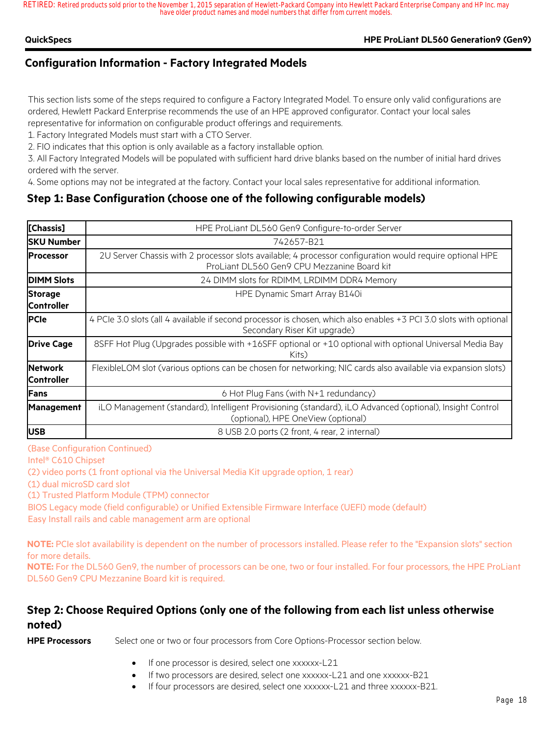### **QuickSpecs HPE ProLiant DL560 Generation9 (Gen9)**

## **Configuration Information - Factory Integrated Models**

This section lists some of the steps required to configure a Factory Integrated Model. To ensure only valid configurations are ordered, Hewlett Packard Enterprise recommends the use of an HPE approved configurator. Contact your local sales representative for information on configurable product offerings and requirements.

1. Factory Integrated Models must start with a CTO Server.

2. FIO indicates that this option is only available as a factory installable option.

3. All Factory Integrated Models will be populated with sufficient hard drive blanks based on the number of initial hard drives ordered with the server.

4. Some options may not be integrated at the factory. Contact your local sales representative for additional information.

## **Step 1: Base Configuration (choose one of the following configurable models)**

| [Chassis]                           | HPE ProLiant DL560 Gen9 Configure-to-order Server                                                                                                       |
|-------------------------------------|---------------------------------------------------------------------------------------------------------------------------------------------------------|
| <b>SKU Number</b>                   | 742657-B21                                                                                                                                              |
| <b>IProcessor</b>                   | 2U Server Chassis with 2 processor slots available; 4 processor configuration would require optional HPE<br>ProLiant DL560 Gen9 CPU Mezzanine Board kit |
| <b>DIMM Slots</b>                   | 24 DIMM slots for RDIMM, LRDIMM DDR4 Memory                                                                                                             |
| <b>Storage</b><br><b>Controller</b> | HPE Dynamic Smart Array B140i                                                                                                                           |
| <b>PCIe</b>                         | 4 PCIe 3.0 slots (all 4 available if second processor is chosen, which also enables +3 PCI 3.0 slots with optional<br>Secondary Riser Kit upgrade)      |
| <b>Drive Cage</b>                   | 8SFF Hot Plug (Upgrades possible with +16SFF optional or +10 optional with optional Universal Media Bay<br>Kits)                                        |
| <b>Network</b><br><b>Controller</b> | FlexibleLOM slot (various options can be chosen for networking; NIC cards also available via expansion slots)                                           |
| <b>IFans</b>                        | 6 Hot Plug Fans (with N+1 redundancy)                                                                                                                   |
| <b>Management</b>                   | iLO Management (standard), Intelligent Provisioning (standard), iLO Advanced (optional), Insight Control<br>(optional), HPE OneView (optional)          |
| <b>USB</b>                          | 8 USB 2.0 ports (2 front, 4 rear, 2 internal)                                                                                                           |

(Base Configuration Continued)

Intel® C610 Chipset

(2) video ports (1 front optional via the Universal Media Kit upgrade option, 1 rear)

(1) dual microSD card slot

(1) Trusted Platform Module (TPM) connector

BIOS Legacy mode (field configurable) or Unified Extensible Firmware Interface (UEFI) mode (default) Easy Install rails and cable management arm are optional

**NOTE:** PCIe slot availability is dependent on the number of processors installed. Please refer to the "Expansion slots" section for more details.

**NOTE:** For the DL560 Gen9, the number of processors can be one, two or four installed. For four processors, the HPE ProLiant DL560 Gen9 CPU Mezzanine Board kit is required.

## **Step 2: Choose Required Options (only one of the following from each list unless otherwise noted)**

**HPE Processors** Select one or two or four processors from Core Options-Processor section below.

- If one processor is desired, select one xxxxxx-L21
- If two processors are desired, select one xxxxxx-L21 and one xxxxxx-B21
- If four processors are desired, select one xxxxxx-L21 and three xxxxxx-B21.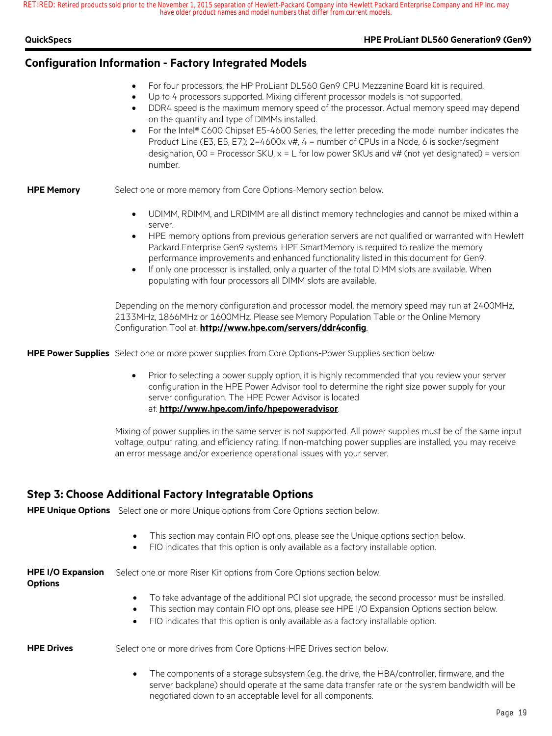|  | QuickSpecs |  |
|--|------------|--|
|  |            |  |

### **HPE ProLiant DL560 Generation9 (Gen9)**

## **Configuration Information - Factory Integrated Models**

- For four processors, the HP ProLiant DL560 Gen9 CPU Mezzanine Board kit is required.
- Up to 4 processors supported. Mixing different processor models is not supported.
- DDR4 speed is the maximum memory speed of the processor. Actual memory speed may depend on the quantity and type of DIMMs installed.
- For the Intel® C600 Chipset E5-4600 Series, the letter preceding the model number indicates the Product Line (E3, E5, E7);  $2=4600x v#$ ,  $4 =$  number of CPUs in a Node, 6 is socket/segment designation,  $00 =$  Processor SKU,  $x = L$  for low power SKUs and  $v#$  (not yet designated) = version number.

### **HPE Memory** Select one or more memory from Core Options-Memory section below.

- UDIMM, RDIMM, and LRDIMM are all distinct memory technologies and cannot be mixed within a server.
- HPE memory options from previous generation servers are not qualified or warranted with Hewlett Packard Enterprise Gen9 systems. HPE SmartMemory is required to realize the memory performance improvements and enhanced functionality listed in this document for Gen9.
- If only one processor is installed, only a quarter of the total DIMM slots are available. When populating with four processors all DIMM slots are available.

Depending on the memory configuration and processor model, the memory speed may run at 2400MHz, 2133MHz, 1866MHz or 1600MHz. Please see Memory Population Table or the Online Memory Configuration Tool at: **http://www.hpe.com/servers/ddr4config**.

**HPE Power Supplies** Select one or more power supplies from Core Options-Power Supplies section below.

• Prior to selecting a power supply option, it is highly recommended that you review your server configuration in the HPE Power Advisor tool to determine the right size power supply for your server configuration. The HPE Power Advisor is located at: **http://www.hpe.com/info/hpepoweradvisor**.

Mixing of power supplies in the same server is not supported. All power supplies must be of the same input voltage, output rating, and efficiency rating. If non-matching power supplies are installed, you may receive an error message and/or experience operational issues with your server.

## **Step 3: Choose Additional Factory Integratable Options**

**HPE Unique Options** Select one or more Unique options from Core Options section below.

|  |  |  |  |  | This section may contain FIO options, please see the Unique options section below. |  |
|--|--|--|--|--|------------------------------------------------------------------------------------|--|
|--|--|--|--|--|------------------------------------------------------------------------------------|--|

• FIO indicates that this option is only available as a factory installable option.

| <b>HPE I/O Expansion</b><br><b>Options</b> | Select one or more Riser Kit options from Core Options section below.                                                                                                                                                                                                                                                  |
|--------------------------------------------|------------------------------------------------------------------------------------------------------------------------------------------------------------------------------------------------------------------------------------------------------------------------------------------------------------------------|
|                                            | To take advantage of the additional PCI slot upgrade, the second processor must be installed.<br>$\bullet$<br>This section may contain FIO options, please see HPE I/O Expansion Options section below.<br>$\bullet$<br>FIO indicates that this option is only available as a factory installable option.<br>$\bullet$ |
| <b>HPE Drives</b>                          | Select one or more drives from Core Options-HPE Drives section below.                                                                                                                                                                                                                                                  |

The components of a storage subsystem (e.g. the drive, the HBA/controller, firmware, and the server backplane) should operate at the same data transfer rate or the system bandwidth will be negotiated down to an acceptable level for all components.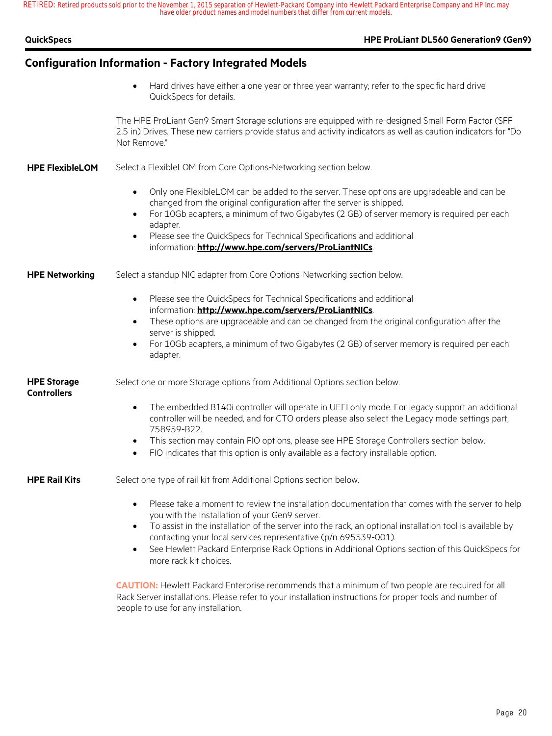| QuickSpecs |  |
|------------|--|
|            |  |

## **HPE ProLiant DL560 Generation9 (Gen9)**

| <b>Configuration Information - Factory Integrated Models</b> |                                                                                                                                                                                                                                                                                                                                                                                                                                                                                                                                                                                                            |  |
|--------------------------------------------------------------|------------------------------------------------------------------------------------------------------------------------------------------------------------------------------------------------------------------------------------------------------------------------------------------------------------------------------------------------------------------------------------------------------------------------------------------------------------------------------------------------------------------------------------------------------------------------------------------------------------|--|
|                                                              | Hard drives have either a one year or three year warranty; refer to the specific hard drive<br>$\bullet$<br>QuickSpecs for details.                                                                                                                                                                                                                                                                                                                                                                                                                                                                        |  |
|                                                              | The HPE ProLiant Gen9 Smart Storage solutions are equipped with re-designed Small Form Factor (SFF<br>2.5 in) Drives. These new carriers provide status and activity indicators as well as caution indicators for "Do<br>Not Remove."                                                                                                                                                                                                                                                                                                                                                                      |  |
| <b>HPE FlexibleLOM</b>                                       | Select a FlexibleLOM from Core Options-Networking section below.                                                                                                                                                                                                                                                                                                                                                                                                                                                                                                                                           |  |
|                                                              | Only one FlexibleLOM can be added to the server. These options are upgradeable and can be<br>$\bullet$<br>changed from the original configuration after the server is shipped.<br>For 10Gb adapters, a minimum of two Gigabytes (2 GB) of server memory is required per each<br>$\bullet$<br>adapter.<br>Please see the QuickSpecs for Technical Specifications and additional<br>$\bullet$<br>information: http://www.hpe.com/servers/ProLiantNICs.                                                                                                                                                       |  |
| <b>HPE Networking</b>                                        | Select a standup NIC adapter from Core Options-Networking section below.                                                                                                                                                                                                                                                                                                                                                                                                                                                                                                                                   |  |
|                                                              | Please see the QuickSpecs for Technical Specifications and additional<br>$\bullet$<br>information: http://www.hpe.com/servers/ProLiantNICs.<br>These options are upgradeable and can be changed from the original configuration after the<br>$\bullet$<br>server is shipped.<br>For 10Gb adapters, a minimum of two Gigabytes (2 GB) of server memory is required per each<br>$\bullet$<br>adapter.                                                                                                                                                                                                        |  |
| <b>HPE Storage</b><br><b>Controllers</b>                     | Select one or more Storage options from Additional Options section below.                                                                                                                                                                                                                                                                                                                                                                                                                                                                                                                                  |  |
|                                                              | The embedded B140i controller will operate in UEFI only mode. For legacy support an additional<br>$\bullet$<br>controller will be needed, and for CTO orders please also select the Legacy mode settings part,<br>758959-B22.<br>This section may contain FIO options, please see HPE Storage Controllers section below.<br>$\bullet$<br>FIO indicates that this option is only available as a factory installable option.<br>$\bullet$                                                                                                                                                                    |  |
| <b>HPE Rail Kits</b>                                         | Select one type of rail kit from Additional Options section below.                                                                                                                                                                                                                                                                                                                                                                                                                                                                                                                                         |  |
|                                                              | Please take a moment to review the installation documentation that comes with the server to help<br>$\bullet$<br>you with the installation of your Gen9 server.<br>To assist in the installation of the server into the rack, an optional installation tool is available by<br>$\bullet$<br>contacting your local services representative (p/n 695539-001).<br>See Hewlett Packard Enterprise Rack Options in Additional Options section of this QuickSpecs for<br>$\bullet$<br>more rack kit choices.<br>CAUTION: Hewlett Packard Enterprise recommends that a minimum of two people are required for all |  |
|                                                              | Rack Server installations. Please refer to your installation instructions for proper tools and number of<br>people to use for any installation.                                                                                                                                                                                                                                                                                                                                                                                                                                                            |  |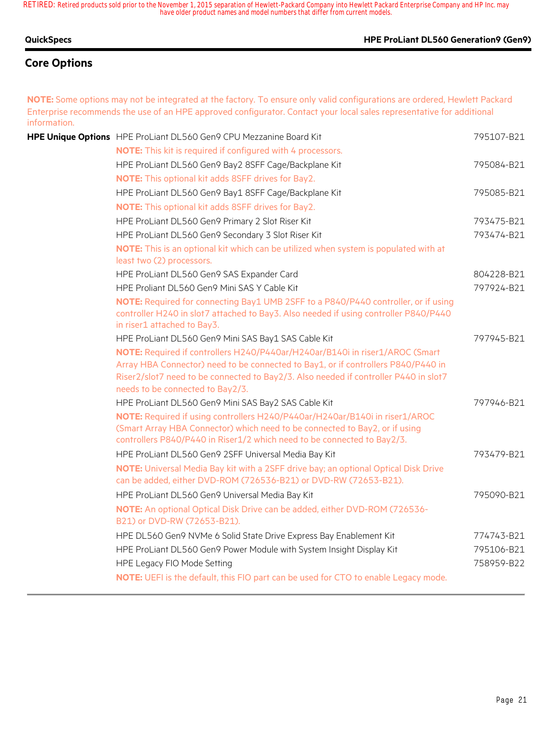### **QuickSpecs HPE ProLiant DL560 Generation9 (Gen9)**

## **Core Options**

**NOTE:** Some options may not be integrated at the factory. To ensure only valid configurations are ordered, Hewlett Packard Enterprise recommends the use of an HPE approved configurator. Contact your local sales representative for additional information.

| HPE Unique Options HPE ProLiant DL560 Gen9 CPU Mezzanine Board Kit                                                                                                                                                                                                                            | 795107-B21 |
|-----------------------------------------------------------------------------------------------------------------------------------------------------------------------------------------------------------------------------------------------------------------------------------------------|------------|
| NOTE: This kit is required if configured with 4 processors.                                                                                                                                                                                                                                   |            |
| HPE ProLiant DL560 Gen9 Bay2 8SFF Cage/Backplane Kit                                                                                                                                                                                                                                          | 795084-B21 |
| <b>NOTE:</b> This optional kit adds 8SFF drives for Bay2.                                                                                                                                                                                                                                     |            |
| HPE ProLiant DL560 Gen9 Bay1 8SFF Cage/Backplane Kit                                                                                                                                                                                                                                          | 795085-B21 |
| <b>NOTE:</b> This optional kit adds 8SFF drives for Bay2.                                                                                                                                                                                                                                     |            |
| HPE ProLiant DL560 Gen9 Primary 2 Slot Riser Kit                                                                                                                                                                                                                                              | 793475-B21 |
| HPE ProLiant DL560 Gen9 Secondary 3 Slot Riser Kit                                                                                                                                                                                                                                            | 793474-B21 |
| NOTE: This is an optional kit which can be utilized when system is populated with at<br>least two (2) processors.                                                                                                                                                                             |            |
| HPE ProLiant DL560 Gen9 SAS Expander Card                                                                                                                                                                                                                                                     | 804228-B21 |
| HPE Proliant DL560 Gen9 Mini SAS Y Cable Kit                                                                                                                                                                                                                                                  | 797924-B21 |
| NOTE: Required for connecting Bay1 UMB 2SFF to a P840/P440 controller, or if using<br>controller H240 in slot7 attached to Bay3. Also needed if using controller P840/P440<br>in riser1 attached to Bay3.                                                                                     |            |
| HPE ProLiant DL560 Gen9 Mini SAS Bay1 SAS Cable Kit                                                                                                                                                                                                                                           | 797945-B21 |
| NOTE: Required if controllers H240/P440ar/H240ar/B140i in riser1/AROC (Smart<br>Array HBA Connector) need to be connected to Bay1, or if controllers P840/P440 in<br>Riser2/slot7 need to be connected to Bay2/3. Also needed if controller P440 in slot7<br>needs to be connected to Bay2/3. |            |
| HPE ProLiant DL560 Gen9 Mini SAS Bay2 SAS Cable Kit                                                                                                                                                                                                                                           | 797946-B21 |
| NOTE: Required if using controllers H240/P440ar/H240ar/B140i in riser1/AROC<br>(Smart Array HBA Connector) which need to be connected to Bay2, or if using<br>controllers P840/P440 in Riser1/2 which need to be connected to Bay2/3.                                                         |            |
| HPE ProLiant DL560 Gen9 2SFF Universal Media Bay Kit                                                                                                                                                                                                                                          | 793479-B21 |
| NOTE: Universal Media Bay kit with a 2SFF drive bay; an optional Optical Disk Drive<br>can be added, either DVD-ROM (726536-B21) or DVD-RW (72653-B21).                                                                                                                                       |            |
| HPE ProLiant DL560 Gen9 Universal Media Bay Kit                                                                                                                                                                                                                                               | 795090-B21 |
| NOTE: An optional Optical Disk Drive can be added, either DVD-ROM (726536-<br>B21) or DVD-RW (72653-B21).                                                                                                                                                                                     |            |
| HPE DL560 Gen9 NVMe 6 Solid State Drive Express Bay Enablement Kit                                                                                                                                                                                                                            | 774743-B21 |
| HPE ProLiant DL560 Gen9 Power Module with System Insight Display Kit                                                                                                                                                                                                                          | 795106-B21 |
| HPE Legacy FIO Mode Setting                                                                                                                                                                                                                                                                   | 758959-B22 |
| <b>NOTE:</b> UEFI is the default, this FIO part can be used for CTO to enable Legacy mode.                                                                                                                                                                                                    |            |
|                                                                                                                                                                                                                                                                                               |            |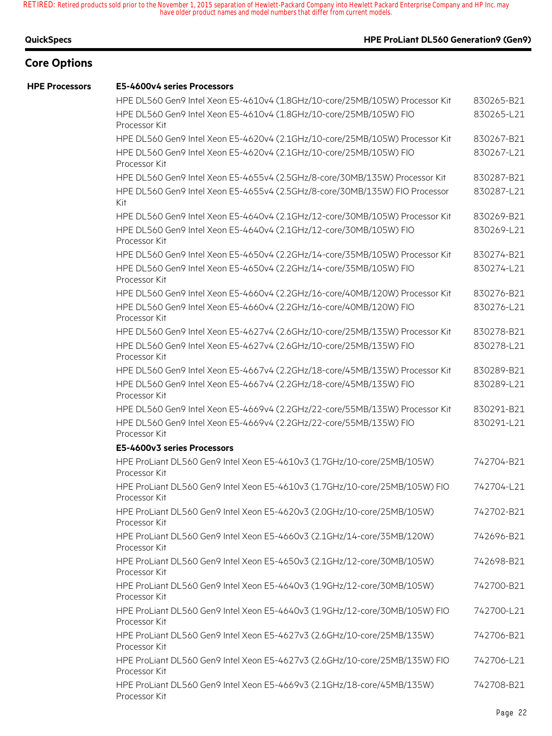### **QuickSpecs HPE ProLiant DL560 Generation9 (Gen9)**

## **Core Options**

#### **HPE Processors E5-4600v4 series Processors**

| HPE DL560 Gen9 Intel Xeon E5-4610v4 (1.8GHz/10-core/25MB/105W) Processor Kit                 | 830265-B21 |
|----------------------------------------------------------------------------------------------|------------|
| HPE DL560 Gen9 Intel Xeon E5-4610v4 (1.8GHz/10-core/25MB/105W) FIO<br>Processor Kit          | 830265-L21 |
| HPE DL560 Gen9 Intel Xeon E5-4620v4 (2.1GHz/10-core/25MB/105W) Processor Kit                 | 830267-B21 |
| HPE DL560 Gen9 Intel Xeon E5-4620v4 (2.1GHz/10-core/25MB/105W) FIO<br>Processor Kit          | 830267-L21 |
| HPE DL560 Gen9 Intel Xeon E5-4655v4 (2.5GHz/8-core/30MB/135W) Processor Kit                  | 830287-B21 |
| HPE DL560 Gen9 Intel Xeon E5-4655v4 (2.5GHz/8-core/30MB/135W) FIO Processor<br>Kit           | 830287-L21 |
| HPE DL560 Gen9 Intel Xeon E5-4640v4 (2.1GHz/12-core/30MB/105W) Processor Kit                 | 830269-B21 |
| HPE DL560 Gen9 Intel Xeon E5-4640v4 (2.1GHz/12-core/30MB/105W) FIO<br>Processor Kit          | 830269-L21 |
| HPE DL560 Gen9 Intel Xeon E5-4650v4 (2.2GHz/14-core/35MB/105W) Processor Kit                 | 830274-B21 |
| HPE DL560 Gen9 Intel Xeon E5-4650v4 (2.2GHz/14-core/35MB/105W) FIO<br>Processor Kit          | 830274-L21 |
| HPE DL560 Gen9 Intel Xeon E5-4660v4 (2.2GHz/16-core/40MB/120W) Processor Kit                 | 830276-B21 |
| HPE DL560 Gen9 Intel Xeon E5-4660v4 (2.2GHz/16-core/40MB/120W) FIO<br>Processor Kit          | 830276-L21 |
| HPE DL560 Gen9 Intel Xeon E5-4627v4 (2.6GHz/10-core/25MB/135W) Processor Kit                 | 830278-B21 |
| HPE DL560 Gen9 Intel Xeon E5-4627v4 (2.6GHz/10-core/25MB/135W) FIO<br>Processor Kit          | 830278-L21 |
| HPE DL560 Gen9 Intel Xeon E5-4667v4 (2.2GHz/18-core/45MB/135W) Processor Kit                 | 830289-B21 |
| HPE DL560 Gen9 Intel Xeon E5-4667v4 (2.2GHz/18-core/45MB/135W) FIO<br>Processor Kit          | 830289-L21 |
| HPE DL560 Gen9 Intel Xeon E5-4669v4 (2.2GHz/22-core/55MB/135W) Processor Kit                 | 830291-B21 |
| HPE DL560 Gen9 Intel Xeon E5-4669v4 (2.2GHz/22-core/55MB/135W) FIO<br>Processor Kit          | 830291-L21 |
| E5-4600v3 series Processors                                                                  |            |
| HPE ProLiant DL560 Gen9 Intel Xeon E5-4610v3 (1.7GHz/10-core/25MB/105W)<br>Processor Kit     | 742704-B21 |
| HPE ProLiant DL560 Gen9 Intel Xeon E5-4610v3 (1.7GHz/10-core/25MB/105W) FIO<br>Processor Kit | 742704-L21 |
| HPE ProLiant DL560 Gen9 Intel Xeon E5-4620v3 (2.0GHz/10-core/25MB/105W)<br>Processor Kit     | 742702-B21 |
| HPE ProLiant DL560 Gen9 Intel Xeon E5-4660v3 (2.1GHz/14-core/35MB/120W)<br>Processor Kit     | 742696-B21 |
| HPE ProLiant DL560 Gen9 Intel Xeon E5-4650v3 (2.1GHz/12-core/30MB/105W)<br>Processor Kit     | 742698-B21 |
| HPE ProLiant DL560 Gen9 Intel Xeon E5-4640v3 (1.9GHz/12-core/30MB/105W)<br>Processor Kit     | 742700-B21 |
| HPE ProLiant DL560 Gen9 Intel Xeon E5-4640v3 (1.9GHz/12-core/30MB/105W) FIO<br>Processor Kit | 742700-L21 |
| HPE ProLiant DL560 Gen9 Intel Xeon E5-4627v3 (2.6GHz/10-core/25MB/135W)<br>Processor Kit     | 742706-B21 |
| HPE ProLiant DL560 Gen9 Intel Xeon E5-4627v3 (2.6GHz/10-core/25MB/135W) FIO<br>Processor Kit | 742706-L21 |
| HPE ProLiant DL560 Gen9 Intel Xeon E5-4669v3 (2.1GHz/18-core/45MB/135W)<br>Processor Kit     | 742708-B21 |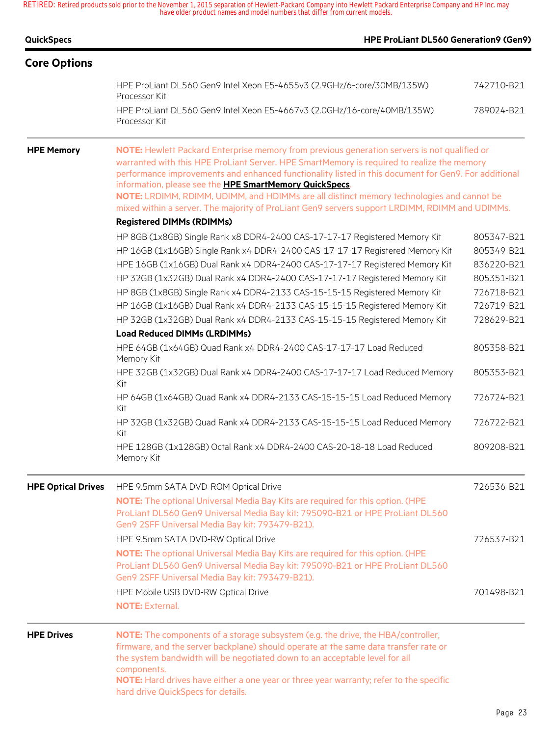| <b>QuickSpecs</b>         | HPE ProLiant DL560 Generation9 (Gen9)                                                                                                                                                                                                                                                                                                                                                                                                                      |            |
|---------------------------|------------------------------------------------------------------------------------------------------------------------------------------------------------------------------------------------------------------------------------------------------------------------------------------------------------------------------------------------------------------------------------------------------------------------------------------------------------|------------|
| <b>Core Options</b>       |                                                                                                                                                                                                                                                                                                                                                                                                                                                            |            |
|                           | HPE ProLiant DL560 Gen9 Intel Xeon E5-4655v3 (2.9GHz/6-core/30MB/135W)<br>Processor Kit                                                                                                                                                                                                                                                                                                                                                                    | 742710-B21 |
|                           | HPE ProLiant DL560 Gen9 Intel Xeon E5-4667v3 (2.0GHz/16-core/40MB/135W)<br>Processor Kit                                                                                                                                                                                                                                                                                                                                                                   | 789024-B21 |
| <b>HPE Memory</b>         | NOTE: Hewlett Packard Enterprise memory from previous generation servers is not qualified or<br>warranted with this HPE ProLiant Server. HPE SmartMemory is required to realize the memory<br>performance improvements and enhanced functionality listed in this document for Gen9. For additional<br>information, please see the HPE SmartMemory QuickSpecs.<br>NOTE: LRDIMM, RDIMM, UDIMM, and HDIMMs are all distinct memory technologies and cannot be |            |
|                           | mixed within a server. The majority of ProLiant Gen9 servers support LRDIMM, RDIMM and UDIMMs.                                                                                                                                                                                                                                                                                                                                                             |            |
|                           | <b>Registered DIMMs (RDIMMs)</b>                                                                                                                                                                                                                                                                                                                                                                                                                           |            |
|                           | HP 8GB (1x8GB) Single Rank x8 DDR4-2400 CAS-17-17-17 Registered Memory Kit                                                                                                                                                                                                                                                                                                                                                                                 | 805347-B21 |
|                           | HP 16GB (1x16GB) Single Rank x4 DDR4-2400 CAS-17-17-17 Registered Memory Kit                                                                                                                                                                                                                                                                                                                                                                               | 805349-B21 |
|                           | HPE 16GB (1x16GB) Dual Rank x4 DDR4-2400 CAS-17-17-17 Registered Memory Kit                                                                                                                                                                                                                                                                                                                                                                                | 836220-B21 |
|                           | HP 32GB (1x32GB) Dual Rank x4 DDR4-2400 CAS-17-17-17 Registered Memory Kit                                                                                                                                                                                                                                                                                                                                                                                 | 805351-B21 |
|                           | HP 8GB (1x8GB) Single Rank x4 DDR4-2133 CAS-15-15-15 Registered Memory Kit                                                                                                                                                                                                                                                                                                                                                                                 | 726718-B21 |
|                           | HP 16GB (1x16GB) Dual Rank x4 DDR4-2133 CAS-15-15-15 Registered Memory Kit                                                                                                                                                                                                                                                                                                                                                                                 | 726719-B21 |
|                           | HP 32GB (1x32GB) Dual Rank x4 DDR4-2133 CAS-15-15-15 Registered Memory Kit                                                                                                                                                                                                                                                                                                                                                                                 | 728629-B21 |
|                           | <b>Load Reduced DIMMs (LRDIMMs)</b>                                                                                                                                                                                                                                                                                                                                                                                                                        |            |
|                           | HPE 64GB (1x64GB) Quad Rank x4 DDR4-2400 CAS-17-17-17 Load Reduced<br>Memory Kit                                                                                                                                                                                                                                                                                                                                                                           | 805358-B21 |
|                           | HPE 32GB (1x32GB) Dual Rank x4 DDR4-2400 CAS-17-17-17 Load Reduced Memory<br>Kit                                                                                                                                                                                                                                                                                                                                                                           | 805353-B21 |
|                           | HP 64GB (1x64GB) Quad Rank x4 DDR4-2133 CAS-15-15-15 Load Reduced Memory<br>Kit                                                                                                                                                                                                                                                                                                                                                                            | 726724-B21 |
|                           | HP 32GB (1x32GB) Quad Rank x4 DDR4-2133 CAS-15-15-15 Load Reduced Memory<br>Kit                                                                                                                                                                                                                                                                                                                                                                            | 726722-B21 |
|                           | HPE 128GB (1x128GB) Octal Rank x4 DDR4-2400 CAS-20-18-18 Load Reduced<br>Memory Kit                                                                                                                                                                                                                                                                                                                                                                        | 809208-B21 |
| <b>HPE Optical Drives</b> | HPE 9.5mm SATA DVD-ROM Optical Drive                                                                                                                                                                                                                                                                                                                                                                                                                       | 726536-B21 |
|                           | NOTE: The optional Universal Media Bay Kits are required for this option. (HPE<br>ProLiant DL560 Gen9 Universal Media Bay kit: 795090-B21 or HPE ProLiant DL560<br>Gen9 2SFF Universal Media Bay kit: 793479-B21).                                                                                                                                                                                                                                         |            |
|                           | HPE 9.5mm SATA DVD-RW Optical Drive                                                                                                                                                                                                                                                                                                                                                                                                                        | 726537-B21 |
|                           | NOTE: The optional Universal Media Bay Kits are required for this option. (HPE<br>ProLiant DL560 Gen9 Universal Media Bay kit: 795090-B21 or HPE ProLiant DL560<br>Gen9 2SFF Universal Media Bay kit: 793479-B21).                                                                                                                                                                                                                                         |            |
|                           | HPE Mobile USB DVD-RW Optical Drive                                                                                                                                                                                                                                                                                                                                                                                                                        | 701498-B21 |
|                           | <b>NOTE: External.</b>                                                                                                                                                                                                                                                                                                                                                                                                                                     |            |
| <b>HPE Drives</b>         | NOTE: The components of a storage subsystem (e.g. the drive, the HBA/controller,<br>firmware, and the server backplane) should operate at the same data transfer rate or<br>the system bandwidth will be negotiated down to an acceptable level for all<br>components.<br>NOTE: Hard drives have either a one year or three year warranty; refer to the specific<br>hard drive QuickSpecs for details.                                                     |            |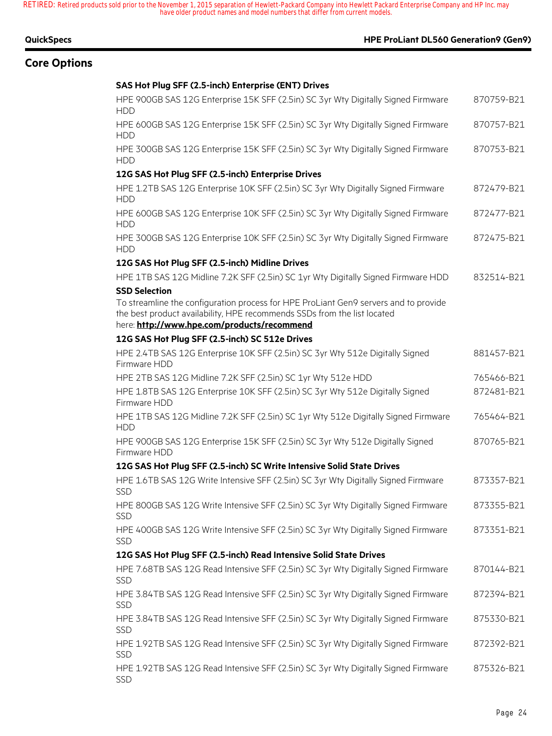## **Core Options**

## **QuickSpecs HPE ProLiant DL560 Generation9 (Gen9)**

### **SAS Hot Plug SFF (2.5-inch) Enterprise (ENT) Drives**

| HPE 900GB SAS 12G Enterprise 15K SFF (2.5in) SC 3yr Wty Digitally Signed Firmware<br><b>HDD</b>                                                                                                                                         | 870759-B21 |
|-----------------------------------------------------------------------------------------------------------------------------------------------------------------------------------------------------------------------------------------|------------|
| HPE 600GB SAS 12G Enterprise 15K SFF (2.5in) SC 3yr Wty Digitally Signed Firmware<br><b>HDD</b>                                                                                                                                         | 870757-B21 |
| HPE 300GB SAS 12G Enterprise 15K SFF (2.5in) SC 3yr Wty Digitally Signed Firmware<br><b>HDD</b>                                                                                                                                         | 870753-B21 |
| 12G SAS Hot Plug SFF (2.5-inch) Enterprise Drives                                                                                                                                                                                       |            |
| HPE 1.2TB SAS 12G Enterprise 10K SFF (2.5in) SC 3yr Wty Digitally Signed Firmware<br><b>HDD</b>                                                                                                                                         | 872479-B21 |
| HPE 600GB SAS 12G Enterprise 10K SFF (2.5in) SC 3yr Wty Digitally Signed Firmware<br><b>HDD</b>                                                                                                                                         | 872477-B21 |
| HPE 300GB SAS 12G Enterprise 10K SFF (2.5in) SC 3yr Wty Digitally Signed Firmware<br><b>HDD</b>                                                                                                                                         | 872475-B21 |
| 12G SAS Hot Plug SFF (2.5-inch) Midline Drives                                                                                                                                                                                          |            |
| HPE 1TB SAS 12G Midline 7.2K SFF (2.5in) SC 1yr Wty Digitally Signed Firmware HDD                                                                                                                                                       | 832514-B21 |
| <b>SSD Selection</b><br>To streamline the configuration process for HPE ProLiant Gen9 servers and to provide<br>the best product availability, HPE recommends SSDs from the list located<br>here: http://www.hpe.com/products/recommend |            |
| 12G SAS Hot Plug SFF (2.5-inch) SC 512e Drives                                                                                                                                                                                          |            |
| HPE 2.4TB SAS 12G Enterprise 10K SFF (2.5in) SC 3yr Wty 512e Digitally Signed<br>Firmware HDD                                                                                                                                           | 881457-B21 |
| HPE 2TB SAS 12G Midline 7.2K SFF (2.5in) SC 1yr Wty 512e HDD                                                                                                                                                                            | 765466-B21 |
| HPE 1.8TB SAS 12G Enterprise 10K SFF (2.5in) SC 3yr Wty 512e Digitally Signed<br>Firmware HDD                                                                                                                                           | 872481-B21 |
| HPE 1TB SAS 12G Midline 7.2K SFF (2.5in) SC 1yr Wty 512e Digitally Signed Firmware<br><b>HDD</b>                                                                                                                                        | 765464-B21 |
| HPE 900GB SAS 12G Enterprise 15K SFF (2.5in) SC 3yr Wty 512e Digitally Signed<br>Firmware HDD                                                                                                                                           | 870765-B21 |
| 12G SAS Hot Plug SFF (2.5-inch) SC Write Intensive Solid State Drives                                                                                                                                                                   |            |
| HPE 1.6TB SAS 12G Write Intensive SFF (2.5in) SC 3yr Wty Digitally Signed Firmware<br><b>SSD</b>                                                                                                                                        | 873357-B21 |
| HPE 800GB SAS 12G Write Intensive SFF (2.5in) SC 3yr Wty Digitally Signed Firmware<br>SSD                                                                                                                                               | 873355-B21 |
| HPE 400GB SAS 12G Write Intensive SFF (2.5in) SC 3yr Wty Digitally Signed Firmware<br>SSD                                                                                                                                               | 873351-B21 |
| 12G SAS Hot Plug SFF (2.5-inch) Read Intensive Solid State Drives                                                                                                                                                                       |            |
| HPE 7.68TB SAS 12G Read Intensive SFF (2.5in) SC 3yr Wty Digitally Signed Firmware<br><b>SSD</b>                                                                                                                                        | 870144-B21 |
| HPE 3.84TB SAS 12G Read Intensive SFF (2.5in) SC 3yr Wty Digitally Signed Firmware<br>SSD                                                                                                                                               | 872394-B21 |
| HPE 3.84TB SAS 12G Read Intensive SFF (2.5in) SC 3yr Wty Digitally Signed Firmware<br><b>SSD</b>                                                                                                                                        | 875330-B21 |
| HPE 1.92TB SAS 12G Read Intensive SFF (2.5in) SC 3yr Wty Digitally Signed Firmware<br>SSD                                                                                                                                               | 872392-B21 |
| HPE 1.92TB SAS 12G Read Intensive SFF (2.5in) SC 3yr Wty Digitally Signed Firmware<br><b>SSD</b>                                                                                                                                        | 875326-B21 |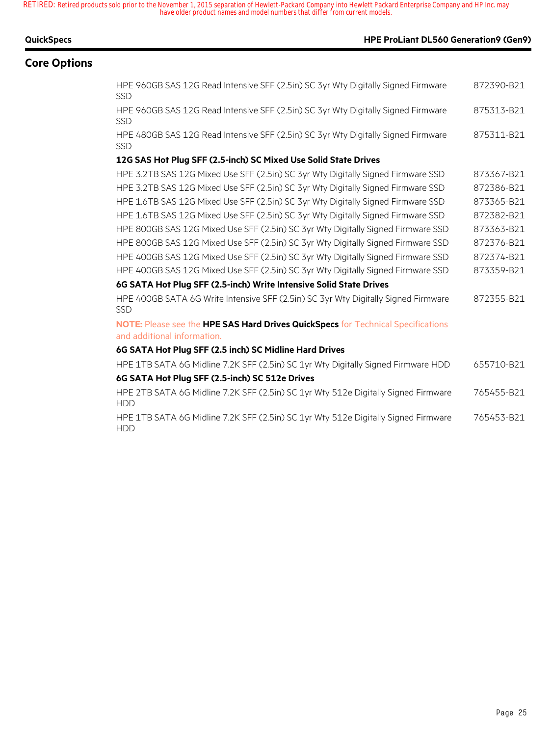| <b>QuickSpecs</b>   |                                                                                                 | <b>HPE ProLiant DL560 Generation9 (Gen9)</b> |  |
|---------------------|-------------------------------------------------------------------------------------------------|----------------------------------------------|--|
| <b>Core Options</b> |                                                                                                 |                                              |  |
|                     | HPE 960GB SAS 12G Read Intensive SFF (2.5in) SC 3yr Wty Digitally Signed Firmware<br><b>SSD</b> | 872390-B21                                   |  |
|                     | HPE 960GB SAS 12G Read Intensive SFF (2.5in) SC 3yr Wty Digitally Signed Firmware<br><b>SSD</b> | 875313-B21                                   |  |
|                     | HPE 480GB SAS 12G Read Intensive SFF (2.5in) SC 3yr Wty Digitally Signed Firmware<br><b>SSD</b> | 875311-B21                                   |  |
|                     | 12G SAS Hot Plug SFF (2.5-inch) SC Mixed Use Solid State Drives                                 |                                              |  |
|                     | HPE 3.2TB SAS 12G Mixed Use SFF (2.5in) SC 3yr Wty Digitally Signed Firmware SSD                | 873367-B21                                   |  |

**6G SATA Hot Plug SFF (2.5-inch) Write Intensive Solid State Drives**

**6G SATA Hot Plug SFF (2.5 inch) SC Midline Hard Drives**

**6G SATA Hot Plug SFF (2.5-inch) SC 512e Drives**

SSD

HDD

HDD

and additional information.

HPE 400GB SATA 6G Write Intensive SFF (2.5in) SC 3yr Wty Digitally Signed Firmware

**NOTE:** Please see the **HPE SAS Hard Drives QuickSpecs** for Technical Specifications

HPE 2TB SATA 6G Midline 7.2K SFF (2.5in) SC 1yr Wty 512e Digitally Signed Firmware

HPE 1TB SATA 6G Midline 7.2K SFF (2.5in) SC 1yr Wty 512e Digitally Signed Firmware

HPE 3.2TB SAS 12G Mixed Use SFF (2.5in) SC 3yr Wty Digitally Signed Firmware SSD 872386-B21 HPE 1.6TB SAS 12G Mixed Use SFF (2.5in) SC 3yr Wty Digitally Signed Firmware SSD 873365-B21 HPE 1.6TB SAS 12G Mixed Use SFF (2.5in) SC 3yr Wty Digitally Signed Firmware SSD 872382-B21 HPE 800GB SAS 12G Mixed Use SFF (2.5in) SC 3yr Wty Digitally Signed Firmware SSD 873363-B21 HPE 800GB SAS 12G Mixed Use SFF (2.5in) SC 3yr Wty Digitally Signed Firmware SSD 872376-B21 HPE 400GB SAS 12G Mixed Use SFF (2.5in) SC 3yr Wty Digitally Signed Firmware SSD 872374-B21 HPE 400GB SAS 12G Mixed Use SFF (2.5in) SC 3yr Wty Digitally Signed Firmware SSD 873359-B21

HPE 1TB SATA 6G Midline 7.2K SFF (2.5in) SC 1yr Wty Digitally Signed Firmware HDD 655710-B21

872355-B21

765455-B21

765453-B21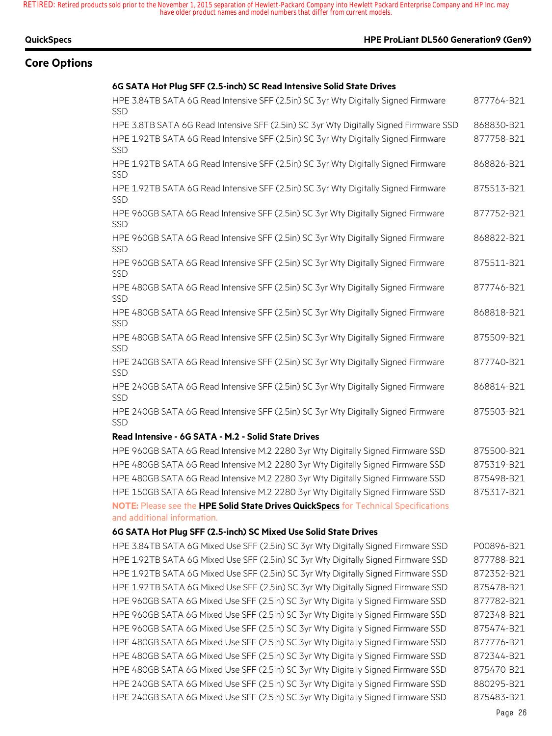#### **QuickSpecs HPE ProLiant DL560 Generation9 (Gen9)**

### **Core Options**

#### **6G SATA Hot Plug SFF (2.5-inch) SC Read Intensive Solid State Drives**

| HPE 3.84TB SATA 6G Read Intensive SFF (2.5in) SC 3yr Wty Digitally Signed Firmware<br><b>SSD</b>                          | 877764-B21 |
|---------------------------------------------------------------------------------------------------------------------------|------------|
| HPE 3.8TB SATA 6G Read Intensive SFF (2.5in) SC 3yr Wty Digitally Signed Firmware SSD                                     | 868830-B21 |
| HPE 1.92TB SATA 6G Read Intensive SFF (2.5in) SC 3yr Wty Digitally Signed Firmware<br><b>SSD</b>                          | 877758-B21 |
| HPE 1.92TB SATA 6G Read Intensive SFF (2.5in) SC 3yr Wty Digitally Signed Firmware<br>SSD                                 | 868826-B21 |
| HPE 1.92TB SATA 6G Read Intensive SFF (2.5in) SC 3yr Wty Digitally Signed Firmware<br>SSD                                 | 875513-B21 |
| HPE 960GB SATA 6G Read Intensive SFF (2.5in) SC 3yr Wty Digitally Signed Firmware<br>SSD                                  | 877752-B21 |
| HPE 960GB SATA 6G Read Intensive SFF (2.5in) SC 3yr Wty Digitally Signed Firmware<br>SSD                                  | 868822-B21 |
| HPE 960GB SATA 6G Read Intensive SFF (2.5in) SC 3yr Wty Digitally Signed Firmware<br>SSD                                  | 875511-B21 |
| HPE 480GB SATA 6G Read Intensive SFF (2.5in) SC 3yr Wty Digitally Signed Firmware<br>SSD                                  | 877746-B21 |
| HPE 480GB SATA 6G Read Intensive SFF (2.5in) SC 3yr Wty Digitally Signed Firmware<br>SSD                                  | 868818-B21 |
| HPE 480GB SATA 6G Read Intensive SFF (2.5in) SC 3yr Wty Digitally Signed Firmware<br>SSD                                  | 875509-B21 |
| HPE 240GB SATA 6G Read Intensive SFF (2.5in) SC 3yr Wty Digitally Signed Firmware<br>SSD                                  | 877740-B21 |
| HPE 240GB SATA 6G Read Intensive SFF (2.5in) SC 3yr Wty Digitally Signed Firmware<br>SSD                                  | 868814-B21 |
| HPE 240GB SATA 6G Read Intensive SFF (2.5in) SC 3yr Wty Digitally Signed Firmware<br><b>SSD</b>                           | 875503-B21 |
| Read Intensive - 6G SATA - M.2 - Solid State Drives                                                                       |            |
| HPE 960GB SATA 6G Read Intensive M.2 2280 3yr Wty Digitally Signed Firmware SSD                                           | 875500-B21 |
| HPE 480GB SATA 6G Read Intensive M.2 2280 3yr Wty Digitally Signed Firmware SSD                                           | 875319-B21 |
| HPE 480GB SATA 6G Read Intensive M.2 2280 3yr Wty Digitally Signed Firmware SSD                                           | 875498-B21 |
| HPE 150GB SATA 6G Read Intensive M.2 2280 3yr Wty Digitally Signed Firmware SSD                                           | 875317-B21 |
| NOTE: Please see the <b>HPE Solid State Drives QuickSpecs</b> for Technical Specifications<br>and additional information. |            |
| 6G SATA Hot Plug SFF (2.5-inch) SC Mixed Use Solid State Drives                                                           |            |

HPE 3.84TB SATA 6G Mixed Use SFF (2.5in) SC 3yr Wty Digitally Signed Firmware SSD P00896-B21 HPE 1.92TB SATA 6G Mixed Use SFF (2.5in) SC 3yr Wty Digitally Signed Firmware SSD 877788-B21 HPE 1.92TB SATA 6G Mixed Use SFF (2.5in) SC 3yr Wty Digitally Signed Firmware SSD 872352-B21 HPE 1.92TB SATA 6G Mixed Use SFF (2.5in) SC 3yr Wty Digitally Signed Firmware SSD 875478-B21 HPE 960GB SATA 6G Mixed Use SFF (2.5in) SC 3yr Wty Digitally Signed Firmware SSD 877782-B21 HPE 960GB SATA 6G Mixed Use SFF (2.5in) SC 3yr Wty Digitally Signed Firmware SSD 872348-B21 HPE 960GB SATA 6G Mixed Use SFF (2.5in) SC 3yr Wty Digitally Signed Firmware SSD 875474-B21 HPE 480GB SATA 6G Mixed Use SFF (2.5in) SC 3yr Wty Digitally Signed Firmware SSD 877776-B21 HPE 480GB SATA 6G Mixed Use SFF (2.5in) SC 3yr Wty Digitally Signed Firmware SSD 872344-B21 HPE 480GB SATA 6G Mixed Use SFF (2.5in) SC 3yr Wty Digitally Signed Firmware SSD 875470-B21 HPE 240GB SATA 6G Mixed Use SFF (2.5in) SC 3yr Wty Digitally Signed Firmware SSD 880295-B21 HPE 240GB SATA 6G Mixed Use SFF (2.5in) SC 3yr Wty Digitally Signed Firmware SSD 875483-B21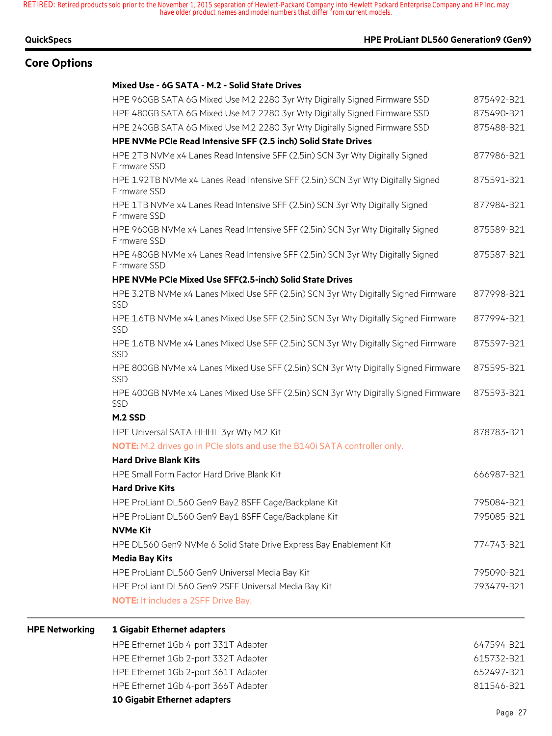#### **QuickSpecs HPE ProLiant DL560 Generation9 (Gen9)**

## **Core Options**

**HPE** Networking

#### **Mixed Use - 6G SATA - M.2 - Solid State Drives**

| 1 Gigabit Ethernet adapters<br>HPE Ethernet 1Gb 4-port 331T Adapter                                                                             | 647594-B21 |
|-------------------------------------------------------------------------------------------------------------------------------------------------|------------|
| <b>NOTE:</b> It includes a 2SFF Drive Bay.                                                                                                      |            |
| HPE ProLiant DL560 Gen9 2SFF Universal Media Bay Kit                                                                                            | 793479-B21 |
| HPE ProLiant DL560 Gen9 Universal Media Bay Kit                                                                                                 | 795090-B21 |
| <b>Media Bay Kits</b>                                                                                                                           |            |
| HPE DL560 Gen9 NVMe 6 Solid State Drive Express Bay Enablement Kit                                                                              | 774743-B21 |
| <b>NVMe Kit</b>                                                                                                                                 |            |
| HPE ProLiant DL560 Gen9 Bay1 8SFF Cage/Backplane Kit                                                                                            | 795085-B21 |
| HPE ProLiant DL560 Gen9 Bay2 8SFF Cage/Backplane Kit                                                                                            | 795084-B21 |
| <b>Hard Drive Kits</b>                                                                                                                          |            |
| HPE Small Form Factor Hard Drive Blank Kit                                                                                                      | 666987-B21 |
| <b>NOTE:</b> M.2 drives go in PCIe slots and use the B140i SATA controller only.<br><b>Hard Drive Blank Kits</b>                                |            |
| HPE Universal SATA HHHL 3yr Wty M.2 Kit                                                                                                         | 878783-B21 |
| M.2 SSD                                                                                                                                         |            |
| SSD                                                                                                                                             |            |
| HPE 400GB NVMe x4 Lanes Mixed Use SFF (2.5in) SCN 3yr Wty Digitally Signed Firmware                                                             | 875593-B21 |
| HPE 800GB NVMe x4 Lanes Mixed Use SFF (2.5in) SCN 3yr Wty Digitally Signed Firmware<br>SSD                                                      | 875595-B21 |
| HPE 1.6TB NVMe x4 Lanes Mixed Use SFF (2.5in) SCN 3yr Wty Digitally Signed Firmware<br>SSD                                                      | 875597-B21 |
| HPE 1.6TB NVMe x4 Lanes Mixed Use SFF (2.5in) SCN 3yr Wty Digitally Signed Firmware<br>SSD                                                      | 877994-B21 |
| HPE 3.2TB NVMe x4 Lanes Mixed Use SFF (2.5in) SCN 3yr Wty Digitally Signed Firmware<br>SSD                                                      | 877998-B21 |
| HPE NVMe PCIe Mixed Use SFF(2.5-inch) Solid State Drives                                                                                        |            |
| HPE 480GB NVMe x4 Lanes Read Intensive SFF (2.5in) SCN 3yr Wty Digitally Signed<br>Firmware SSD                                                 | 875587-B21 |
| HPE 960GB NVMe x4 Lanes Read Intensive SFF (2.5in) SCN 3yr Wty Digitally Signed<br>Firmware SSD                                                 | 875589-B21 |
| HPE 1TB NVMe x4 Lanes Read Intensive SFF (2.5in) SCN 3yr Wty Digitally Signed<br>Firmware SSD                                                   | 877984-B21 |
| HPE 1.92TB NVMe x4 Lanes Read Intensive SFF (2.5in) SCN 3yr Wty Digitally Signed<br>Firmware SSD                                                | 875591-B21 |
| Firmware SSD                                                                                                                                    |            |
| HPE NVMe PCIe Read Intensive SFF (2.5 inch) Solid State Drives<br>HPE 2TB NVMe x4 Lanes Read Intensive SFF (2.5in) SCN 3yr Wty Digitally Signed | 877986-B21 |
| HPE 240GB SATA 6G Mixed Use M.2 2280 3yr Wty Digitally Signed Firmware SSD                                                                      | 875488-B21 |
| HPE 480GB SATA 6G Mixed Use M.2 2280 3yr Wty Digitally Signed Firmware SSD                                                                      | 875490-B21 |
| HPE 960GB SATA 6G Mixed Use M.2 2280 3yr Wty Digitally Signed Firmware SSD                                                                      | 875492-B21 |
|                                                                                                                                                 |            |

| HPE Ethernet 1Gb 4-port 366T Adapter | 811546-B21 |
|--------------------------------------|------------|
| HPE Ethernet 1Gb 2-port 361T Adapter | 652497-B21 |
| HPE Ethernet 1Gb 2-port 332T Adapter | 615732-B21 |
|                                      |            |

**10 Gigabit Ethernet adapters**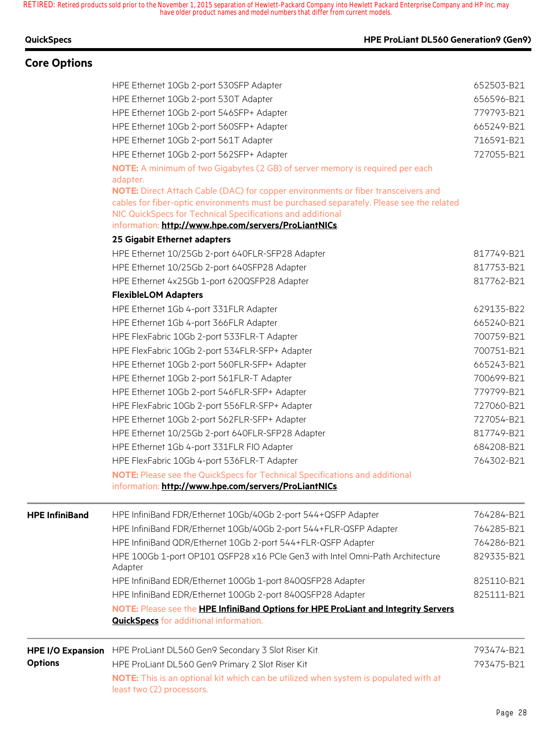## **Core Options**

#### **QuickSpecs HPE ProLiant DL560 Generation9 (Gen9)**

|                          | HPE Ethernet 4x25Gb 1-port 620QSFP28 Adapter                                                                                        | 817762-B21               |
|--------------------------|-------------------------------------------------------------------------------------------------------------------------------------|--------------------------|
|                          | <b>FlexibleLOM Adapters</b>                                                                                                         |                          |
|                          | HPE Ethernet 1Gb 4-port 331FLR Adapter                                                                                              | 629135-B22               |
|                          | HPE Ethernet 1Gb 4-port 366FLR Adapter                                                                                              | 665240-B21               |
|                          | HPE FlexFabric 10Gb 2-port 533FLR-T Adapter                                                                                         | 700759-B21               |
|                          | HPE FlexFabric 10Gb 2-port 534FLR-SFP+ Adapter                                                                                      | 700751-B21               |
|                          | HPE Ethernet 10Gb 2-port 560FLR-SFP+ Adapter<br>HPE Ethernet 10Gb 2-port 561FLR-T Adapter                                           | 665243-B21<br>700699-B21 |
|                          | HPE Ethernet 10Gb 2-port 546FLR-SFP+ Adapter                                                                                        | 779799-B21               |
|                          | HPE FlexFabric 10Gb 2-port 556FLR-SFP+ Adapter                                                                                      | 727060-B21               |
|                          | HPE Ethernet 10Gb 2-port 562FLR-SFP+ Adapter                                                                                        | 727054-B21               |
|                          | HPE Ethernet 10/25Gb 2-port 640FLR-SFP28 Adapter                                                                                    | 817749-B21               |
|                          | HPE Ethernet 1Gb 4-port 331FLR FIO Adapter                                                                                          | 684208-B21               |
|                          | HPE FlexFabric 10Gb 4-port 536FLR-T Adapter                                                                                         | 764302-B21               |
|                          | <b>NOTE:</b> Please see the QuickSpecs for Technical Specifications and additional                                                  |                          |
|                          | information: http://www.hpe.com/servers/ProLiantNICs.                                                                               |                          |
| <b>HPE InfiniBand</b>    | HPE InfiniBand FDR/Ethernet 10Gb/40Gb 2-port 544+QSFP Adapter                                                                       | 764284-B21               |
|                          | HPE InfiniBand FDR/Ethernet 10Gb/40Gb 2-port 544+FLR-QSFP Adapter                                                                   | 764285-B21               |
|                          | HPE InfiniBand QDR/Ethernet 10Gb 2-port 544+FLR-QSFP Adapter                                                                        | 764286-B21               |
|                          | HPE 100Gb 1-port OP101 QSFP28 x16 PCIe Gen3 with Intel Omni-Path Architecture<br>Adapter                                            | 829335-B21               |
|                          | HPE InfiniBand EDR/Ethernet 100Gb 1-port 840QSFP28 Adapter                                                                          | 825110-B21               |
|                          | HPE InfiniBand EDR/Ethernet 100Gb 2-port 840QSFP28 Adapter                                                                          | 825111-B21               |
|                          | NOTE: Please see the HPE InfiniBand Options for HPE ProLiant and Integrity Servers<br><b>QuickSpecs</b> for additional information. |                          |
| <b>HPE I/O Expansion</b> | HPE ProLiant DL560 Gen9 Secondary 3 Slot Riser Kit                                                                                  | 793474-B21               |
| <b>Options</b>           | HPE ProLiant DL560 Gen9 Primary 2 Slot Riser Kit                                                                                    | 793475-B21               |
|                          | NOTE: This is an optional kit which can be utilized when system is populated with at                                                |                          |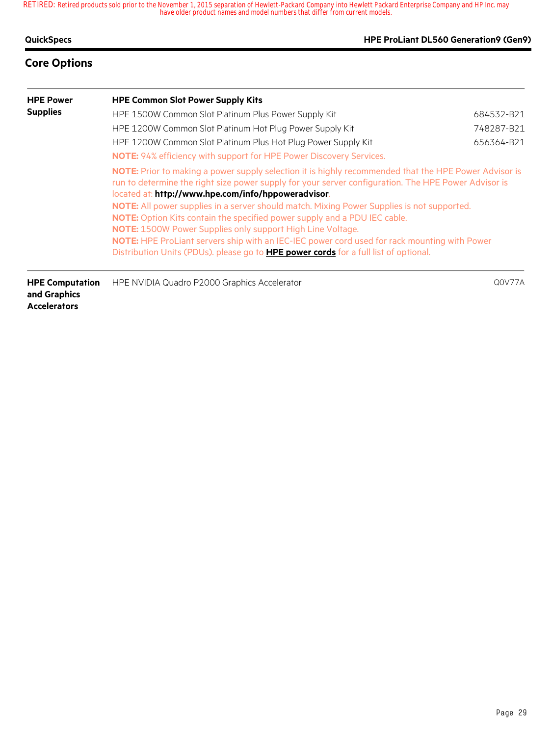#### **QuickSpecs HPE ProLiant DL560 Generation9 (Gen9)**

## **Core Options**

| <b>HPE Power</b> | <b>HPE Common Slot Power Supply Kits</b>                                                                                                                                                                                                                             |            |  |  |  |
|------------------|----------------------------------------------------------------------------------------------------------------------------------------------------------------------------------------------------------------------------------------------------------------------|------------|--|--|--|
| <b>Supplies</b>  | HPE 1500W Common Slot Platinum Plus Power Supply Kit                                                                                                                                                                                                                 | 684532-B21 |  |  |  |
|                  | HPE 1200W Common Slot Platinum Hot Plug Power Supply Kit                                                                                                                                                                                                             | 748287-B21 |  |  |  |
|                  | HPE 1200W Common Slot Platinum Plus Hot Plug Power Supply Kit                                                                                                                                                                                                        | 656364-B21 |  |  |  |
|                  | NOTE: 94% efficiency with support for HPE Power Discovery Services.                                                                                                                                                                                                  |            |  |  |  |
|                  | NOTE: Prior to making a power supply selection it is highly recommended that the HPE Power Advisor is<br>run to determine the right size power supply for your server configuration. The HPE Power Advisor is<br>located at: http://www.hpe.com/info/hppoweradvisor. |            |  |  |  |
|                  | NOTE: All power supplies in a server should match. Mixing Power Supplies is not supported.<br><b>NOTE:</b> Option Kits contain the specified power supply and a PDU IEC cable.<br><b>NOTE:</b> 1500W Power Supplies only support High Line Voltage.                  |            |  |  |  |
|                  | NOTE: HPE ProLiant servers ship with an IEC-IEC power cord used for rack mounting with Power<br>Distribution Units (PDUs). please go to <b>HPE power cords</b> for a full list of optional.                                                                          |            |  |  |  |
|                  |                                                                                                                                                                                                                                                                      |            |  |  |  |

**HPE Computation**  HPE NVIDIA Quadro P2000 Graphics Accelerator Q0V77A **and Graphics Accelerators**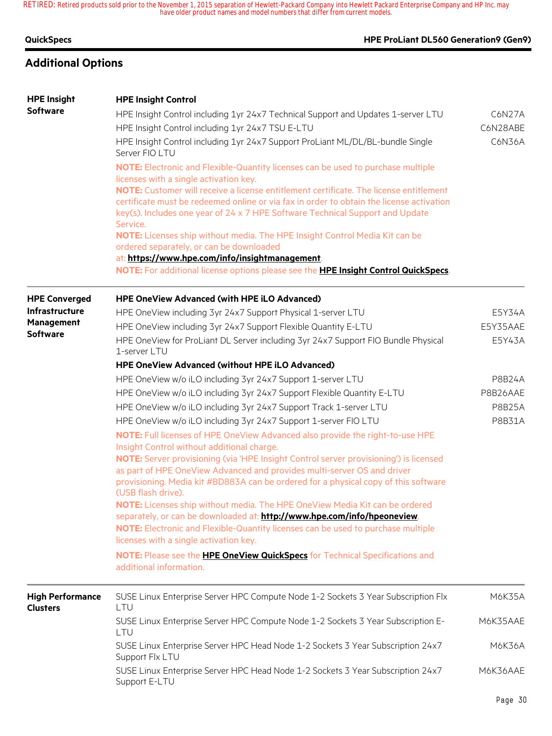### **QuickSpecs HPE ProLiant DL560 Generation9 (Gen9)**

## **Additional Options**

#### **HPE Insight Software HPE Insight Control** HPE Insight Control including 1yr 24x7 Technical Support and Updates 1-server LTU C6N27A HPE Insight Control including 1yr 24x7 TSU E-LTU C6N28ABE HPE Insight Control including 1yr 24x7 Support ProLiant ML/DL/BL-bundle Single Server FIO LTU C6N36A **NOTE:** Electronic and Flexible-Quantity licenses can be used to purchase multiple licenses with a single activation key. **NOTE:** Customer will receive a license entitlement certificate. The license entitlement certificate must be redeemed online or via fax in order to obtain the license activation key(s). Includes one year of 24 x 7 HPE Software Technical Support and Update Service. **NOTE:** Licenses ship without media. The HPE Insight Control Media Kit can be ordered separately, or can be downloaded at: **https://www.hpe.com/info/insightmanagement**. **NOTE:** For additional license options please see the **HPE Insight Control QuickSpecs**. **HPE Converged Infrastructure Management Software HPE OneView Advanced (with HPE iLO Advanced)** HPE OneView including 3yr 24x7 Support Physical 1-server LTU EXAMEL THE STORE RESYSAA HPE OneView including 3yr 24x7 Support Flexible Quantity E-LTU E5Y35AAE HPE OneView for ProLiant DL Server including 3yr 24x7 Support FIO Bundle Physical 1-server LTU E5Y43A **HPE OneView Advanced (without HPE iLO Advanced)** HPE OneView w/o iLO including 3yr 24x7 Support 1-server LTU P8B24A HPE OneView w/o iLO including 3yr 24x7 Support Flexible Quantity E-LTU P8B26AAE HPE OneView w/o iLO including 3yr 24x7 Support Track 1-server LTU P8B25A HPE OneView w/o iLO including 3yr 24x7 Support 1-server FIO LTU P8B31A **NOTE:** Full licenses of HPE OneView Advanced also provide the right-to-use HPE Insight Control without additional charge. **NOTE:** Server provisioning (via 'HPE Insight Control server provisioning') is licensed as part of HPE OneView Advanced and provides multi-server OS and driver provisioning. Media kit #BD883A can be ordered for a physical copy of this software (USB flash drive). **NOTE:** Licenses ship without media. The HPE OneView Media Kit can be ordered separately, or can be downloaded at: **http://www.hpe.com/info/hpeoneview**. **NOTE:** Electronic and Flexible-Quantity licenses can be used to purchase multiple licenses with a single activation key. **NOTE:** Please see the **HPE OneView QuickSpecs** for Technical Specifications and additional information. **High Performance Clusters** SUSE Linux Enterprise Server HPC Compute Node 1-2 Sockets 3 Year Subscription Flx LTU M6K35A SUSE Linux Enterprise Server HPC Compute Node 1-2 Sockets 3 Year Subscription E-LTU M6K35AAE SUSE Linux Enterprise Server HPC Head Node 1-2 Sockets 3 Year Subscription 24x7 Support Flx LTU M6K36A SUSE Linux Enterprise Server HPC Head Node 1-2 Sockets 3 Year Subscription 24x7 Support E-LTU M6K36AAE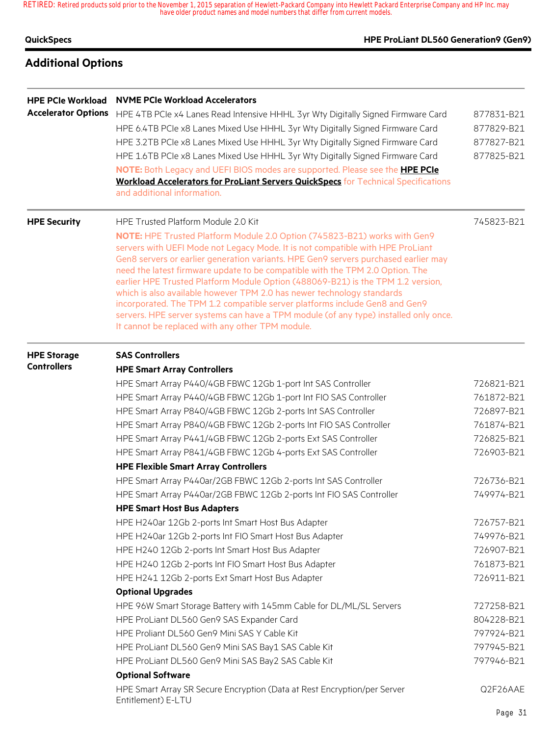| QuickSpecs |  |  |  |
|------------|--|--|--|
|            |  |  |  |

### **HPE ProLiant DL560 Generation9 (Gen9)**

## **Additional Options**

| <b>HPE PCIe Workload</b><br><b>Accelerator Options</b> | <b>NVME PCIe Workload Accelerators</b><br>HPE 4TB PCIe x4 Lanes Read Intensive HHHL 3yr Wty Digitally Signed Firmware Card<br>HPE 6.4TB PCIe x8 Lanes Mixed Use HHHL 3yr Wty Digitally Signed Firmware Card<br>HPE 3.2TB PCIe x8 Lanes Mixed Use HHHL 3yr Wty Digitally Signed Firmware Card<br>HPE 1.6TB PCIe x8 Lanes Mixed Use HHHL 3yr Wty Digitally Signed Firmware Card<br>NOTE: Both Legacy and UEFI BIOS modes are supported. Please see the <b>HPE PCIe</b><br><b>Workload Accelerators for ProLiant Servers QuickSpecs</b> for Technical Specifications<br>and additional information.                                                                                                                                                                                                                                                                                                                                                                                        | 877831-B21<br>877829-B21<br>877827-B21<br>877825-B21                                                                                                                               |
|--------------------------------------------------------|-----------------------------------------------------------------------------------------------------------------------------------------------------------------------------------------------------------------------------------------------------------------------------------------------------------------------------------------------------------------------------------------------------------------------------------------------------------------------------------------------------------------------------------------------------------------------------------------------------------------------------------------------------------------------------------------------------------------------------------------------------------------------------------------------------------------------------------------------------------------------------------------------------------------------------------------------------------------------------------------|------------------------------------------------------------------------------------------------------------------------------------------------------------------------------------|
| <b>HPE Security</b>                                    | HPE Trusted Platform Module 2.0 Kit<br>NOTE: HPE Trusted Platform Module 2.0 Option (745823-B21) works with Gen9<br>servers with UEFI Mode not Legacy Mode. It is not compatible with HPE ProLiant<br>Gen8 servers or earlier generation variants. HPE Gen9 servers purchased earlier may<br>need the latest firmware update to be compatible with the TPM 2.0 Option. The<br>earlier HPE Trusted Platform Module Option (488069-B21) is the TPM 1.2 version,<br>which is also available however TPM 2.0 has newer technology standards<br>incorporated. The TPM 1.2 compatible server platforms include Gen8 and Gen9<br>servers. HPE server systems can have a TPM module (of any type) installed only once.<br>It cannot be replaced with any other TPM module.                                                                                                                                                                                                                      | 745823-B21                                                                                                                                                                         |
| <b>HPE Storage</b><br><b>Controllers</b>               | <b>SAS Controllers</b><br><b>HPE Smart Array Controllers</b><br>HPE Smart Array P440/4GB FBWC 12Gb 1-port Int SAS Controller<br>HPE Smart Array P440/4GB FBWC 12Gb 1-port Int FIO SAS Controller<br>HPE Smart Array P840/4GB FBWC 12Gb 2-ports Int SAS Controller<br>HPE Smart Array P840/4GB FBWC 12Gb 2-ports Int FIO SAS Controller<br>HPE Smart Array P441/4GB FBWC 12Gb 2-ports Ext SAS Controller<br>HPE Smart Array P841/4GB FBWC 12Gb 4-ports Ext SAS Controller<br><b>HPE Flexible Smart Array Controllers</b><br>HPE Smart Array P440ar/2GB FBWC 12Gb 2-ports Int SAS Controller<br>HPE Smart Array P440ar/2GB FBWC 12Gb 2-ports Int FIO SAS Controller<br><b>HPE Smart Host Bus Adapters</b><br>HPE H240ar 12Gb 2-ports Int Smart Host Bus Adapter<br>HPE H240ar 12Gb 2-ports Int FIO Smart Host Bus Adapter<br>HPE H240 12Gb 2-ports Int Smart Host Bus Adapter<br>HPE H240 12Gb 2-ports Int FIO Smart Host Bus Adapter<br>HPE H241 12Gb 2-ports Ext Smart Host Bus Adapter | 726821-B21<br>761872-B21<br>726897-B21<br>761874-B21<br>726825-B21<br>726903-B21<br>726736-B21<br>749974-B21<br>726757-B21<br>749976-B21<br>726907-B21<br>761873-B21<br>726911-B21 |
|                                                        | <b>Optional Upgrades</b><br>HPE 96W Smart Storage Battery with 145mm Cable for DL/ML/SL Servers<br>HPE ProLiant DL560 Gen9 SAS Expander Card<br>HPE Proliant DL560 Gen9 Mini SAS Y Cable Kit<br>HPE ProLiant DL560 Gen9 Mini SAS Bay1 SAS Cable Kit<br>HPE ProLiant DL560 Gen9 Mini SAS Bay2 SAS Cable Kit<br><b>Optional Software</b><br>HPE Smart Array SR Secure Encryption (Data at Rest Encryption/per Server<br>Entitlement) E-LTU                                                                                                                                                                                                                                                                                                                                                                                                                                                                                                                                                | 727258-B21<br>804228-B21<br>797924-B21<br>797945-B21<br>797946-B21<br>Q2F26AAE                                                                                                     |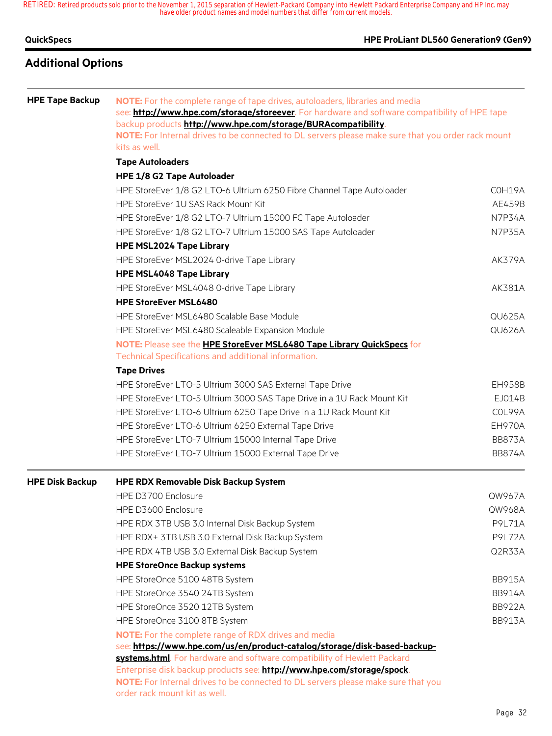| QuickSpecs | HPE ProLiant DL560 Generation9 (Gen9) |
|------------|---------------------------------------|
|            |                                       |

## **Additional Options**

| <b>HPE Tape Backup</b> | NOTE: For the complete range of tape drives, autoloaders, libraries and media<br>see: <b>http://www.hpe.com/storage/storeever</b> . For hardware and software compatibility of HPE tape<br>backup products http://www.hpe.com/storage/BURAcompatibility.<br>NOTE: For Internal drives to be connected to DL servers please make sure that you order rack mount<br>kits as well. |               |  |  |  |  |
|------------------------|---------------------------------------------------------------------------------------------------------------------------------------------------------------------------------------------------------------------------------------------------------------------------------------------------------------------------------------------------------------------------------|---------------|--|--|--|--|
|                        | <b>Tape Autoloaders</b>                                                                                                                                                                                                                                                                                                                                                         |               |  |  |  |  |
|                        | HPE 1/8 G2 Tape Autoloader                                                                                                                                                                                                                                                                                                                                                      |               |  |  |  |  |
|                        | HPE StoreEver 1/8 G2 LTO-6 Ultrium 6250 Fibre Channel Tape Autoloader                                                                                                                                                                                                                                                                                                           | COH19A        |  |  |  |  |
|                        | HPE StoreEver 1U SAS Rack Mount Kit                                                                                                                                                                                                                                                                                                                                             | AE459B        |  |  |  |  |
|                        | HPE StoreEver 1/8 G2 LTO-7 Ultrium 15000 FC Tape Autoloader                                                                                                                                                                                                                                                                                                                     | N7P34A        |  |  |  |  |
|                        | HPE StoreEver 1/8 G2 LTO-7 Ultrium 15000 SAS Tape Autoloader                                                                                                                                                                                                                                                                                                                    | N7P35A        |  |  |  |  |
|                        | <b>HPE MSL2024 Tape Library</b>                                                                                                                                                                                                                                                                                                                                                 |               |  |  |  |  |
|                        | HPE StoreEver MSL2024 0-drive Tape Library                                                                                                                                                                                                                                                                                                                                      | AK379A        |  |  |  |  |
|                        | <b>HPE MSL4048 Tape Library</b>                                                                                                                                                                                                                                                                                                                                                 |               |  |  |  |  |
|                        | HPE StoreEver MSL4048 0-drive Tape Library                                                                                                                                                                                                                                                                                                                                      | AK381A        |  |  |  |  |
|                        | <b>HPE StoreEver MSL6480</b>                                                                                                                                                                                                                                                                                                                                                    |               |  |  |  |  |
|                        | HPE StoreEver MSL6480 Scalable Base Module                                                                                                                                                                                                                                                                                                                                      | <b>QU625A</b> |  |  |  |  |
|                        | HPE StoreEver MSL6480 Scaleable Expansion Module                                                                                                                                                                                                                                                                                                                                | <b>QU626A</b> |  |  |  |  |
|                        | NOTE: Please see the HPE StoreEver MSL6480 Tape Library QuickSpecs for                                                                                                                                                                                                                                                                                                          |               |  |  |  |  |
|                        | Technical Specifications and additional information.                                                                                                                                                                                                                                                                                                                            |               |  |  |  |  |
|                        | <b>Tape Drives</b>                                                                                                                                                                                                                                                                                                                                                              |               |  |  |  |  |
|                        | HPE StoreEver LTO-5 Ultrium 3000 SAS External Tape Drive                                                                                                                                                                                                                                                                                                                        | <b>EH958B</b> |  |  |  |  |
|                        | HPE StoreEver LTO-5 Ultrium 3000 SAS Tape Drive in a 1U Rack Mount Kit                                                                                                                                                                                                                                                                                                          | EJ014B        |  |  |  |  |
|                        | HPE StoreEver LTO-6 Ultrium 6250 Tape Drive in a 1U Rack Mount Kit                                                                                                                                                                                                                                                                                                              | COL99A        |  |  |  |  |
|                        | HPE StoreEver LTO-6 Ultrium 6250 External Tape Drive                                                                                                                                                                                                                                                                                                                            | EH970A        |  |  |  |  |
|                        | HPE StoreEver LTO-7 Ultrium 15000 Internal Tape Drive                                                                                                                                                                                                                                                                                                                           | <b>BB873A</b> |  |  |  |  |
|                        | HPE StoreEver LTO-7 Ultrium 15000 External Tape Drive                                                                                                                                                                                                                                                                                                                           | <b>BB874A</b> |  |  |  |  |
| <b>HPE Disk Backup</b> | HPE RDX Removable Disk Backup System                                                                                                                                                                                                                                                                                                                                            |               |  |  |  |  |
|                        | HPE D3700 Enclosure                                                                                                                                                                                                                                                                                                                                                             | QW967A        |  |  |  |  |
|                        | HPE D3600 Enclosure                                                                                                                                                                                                                                                                                                                                                             | QW968A        |  |  |  |  |
|                        | HPE RDX 3TB USB 3.0 Internal Disk Backup System                                                                                                                                                                                                                                                                                                                                 | <b>P9L71A</b> |  |  |  |  |
|                        | HPE RDX+ 3TB USB 3.0 External Disk Backup System                                                                                                                                                                                                                                                                                                                                | <b>P9L72A</b> |  |  |  |  |
|                        | HPE RDX 4TB USB 3.0 External Disk Backup System                                                                                                                                                                                                                                                                                                                                 | Q2R33A        |  |  |  |  |
|                        | <b>HPE StoreOnce Backup systems</b>                                                                                                                                                                                                                                                                                                                                             |               |  |  |  |  |
|                        | HPE StoreOnce 5100 48TB System                                                                                                                                                                                                                                                                                                                                                  | <b>BB915A</b> |  |  |  |  |
|                        | HPE StoreOnce 3540 24TB System                                                                                                                                                                                                                                                                                                                                                  | <b>BB914A</b> |  |  |  |  |
|                        | HPE StoreOnce 3520 12TB System                                                                                                                                                                                                                                                                                                                                                  | <b>BB922A</b> |  |  |  |  |
|                        | HPE StoreOnce 3100 8TB System                                                                                                                                                                                                                                                                                                                                                   | <b>BB913A</b> |  |  |  |  |
|                        | <b>NOTE:</b> For the complete range of RDX drives and media                                                                                                                                                                                                                                                                                                                     |               |  |  |  |  |
|                        | see: https://www.hpe.com/us/en/product-catalog/storage/disk-based-backup-                                                                                                                                                                                                                                                                                                       |               |  |  |  |  |
|                        | systems.html. For hardware and software compatibility of Hewlett Packard                                                                                                                                                                                                                                                                                                        |               |  |  |  |  |
|                        | Enterprise disk backup products see: http://www.hpe.com/storage/spock.                                                                                                                                                                                                                                                                                                          |               |  |  |  |  |
|                        | NOTE: For Internal drives to be connected to DL servers please make sure that you<br>order rack mount kit as well.                                                                                                                                                                                                                                                              |               |  |  |  |  |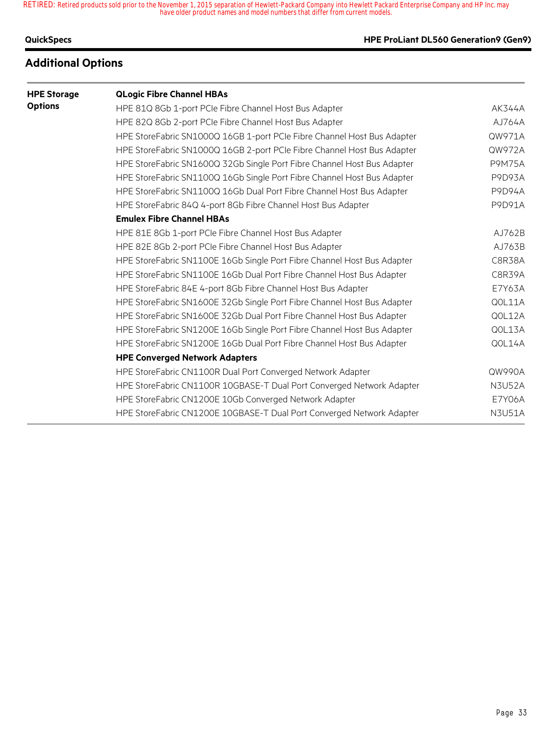### **QuickSpecs HPE ProLiant DL560 Generation9 (Gen9)**

## **Additional Options**

| <b>HPE Storage</b> | <b>QLogic Fibre Channel HBAs</b>                                        |               |
|--------------------|-------------------------------------------------------------------------|---------------|
| <b>Options</b>     | HPE 81Q 8Gb 1-port PCIe Fibre Channel Host Bus Adapter                  | <b>AK344A</b> |
|                    | HPE 82Q 8Gb 2-port PCIe Fibre Channel Host Bus Adapter                  | AJ764A        |
|                    | HPE StoreFabric SN1000Q 16GB 1-port PCIe Fibre Channel Host Bus Adapter | QW971A        |
|                    | HPE StoreFabric SN1000Q 16GB 2-port PCIe Fibre Channel Host Bus Adapter | QW972A        |
|                    | HPE StoreFabric SN1600Q 32Gb Single Port Fibre Channel Host Bus Adapter | <b>P9M75A</b> |
|                    | HPE StoreFabric SN1100Q 16Gb Single Port Fibre Channel Host Bus Adapter | <b>P9D93A</b> |
|                    | HPE StoreFabric SN1100Q 16Gb Dual Port Fibre Channel Host Bus Adapter   | <b>P9D94A</b> |
|                    | HPE StoreFabric 84Q 4-port 8Gb Fibre Channel Host Bus Adapter           | P9D91A        |
|                    | <b>Emulex Fibre Channel HBAs</b>                                        |               |
|                    | HPE 81E 8Gb 1-port PCIe Fibre Channel Host Bus Adapter                  | AJ762B        |
|                    | HPE 82E 8Gb 2-port PCIe Fibre Channel Host Bus Adapter                  | AJ763B        |
|                    | HPE StoreFabric SN1100E 16Gb Single Port Fibre Channel Host Bus Adapter | C8R38A        |
|                    | HPE StoreFabric SN1100E 16Gb Dual Port Fibre Channel Host Bus Adapter   | C8R39A        |
|                    | HPE StoreFabric 84E 4-port 8Gb Fibre Channel Host Bus Adapter           | E7Y63A        |
|                    | HPE StoreFabric SN1600E 32Gb Single Port Fibre Channel Host Bus Adapter | QOL11A        |
|                    | HPE StoreFabric SN1600E 32Gb Dual Port Fibre Channel Host Bus Adapter   | QOL12A        |
|                    | HPE StoreFabric SN1200E 16Gb Single Port Fibre Channel Host Bus Adapter | QOL13A        |
|                    | HPE StoreFabric SN1200E 16Gb Dual Port Fibre Channel Host Bus Adapter   | QOL14A        |
|                    | <b>HPE Converged Network Adapters</b>                                   |               |
|                    | HPE StoreFabric CN1100R Dual Port Converged Network Adapter             | QW990A        |
|                    | HPE StoreFabric CN1100R 10GBASE-T Dual Port Converged Network Adapter   | <b>N3U52A</b> |
|                    | HPE StoreFabric CN1200E 10Gb Converged Network Adapter                  | <b>E7Y06A</b> |
|                    | HPE StoreFabric CN1200E 10GBASE-T Dual Port Converged Network Adapter   | <b>N3U51A</b> |
|                    |                                                                         |               |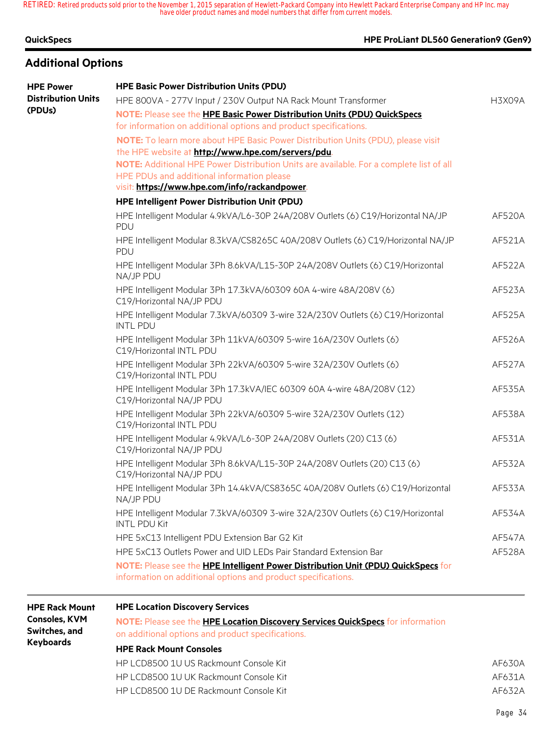| <b>QuickSpecs</b> |  |
|-------------------|--|
|-------------------|--|

## **Additional Options**

## **HPE ProLiant DL560 Generation9 (Gen9)**

| <b>HPE Power</b>          | <b>HPE Basic Power Distribution Units (PDU)</b>                                                                                                    |               |
|---------------------------|----------------------------------------------------------------------------------------------------------------------------------------------------|---------------|
| <b>Distribution Units</b> | HPE 800VA - 277V Input / 230V Output NA Rack Mount Transformer                                                                                     | H3X09A        |
| (PDUs)                    | NOTE: Please see the HPE Basic Power Distribution Units (PDU) QuickSpecs                                                                           |               |
|                           | for information on additional options and product specifications.                                                                                  |               |
|                           | NOTE: To learn more about HPE Basic Power Distribution Units (PDU), please visit                                                                   |               |
|                           | the HPE website at http://www.hpe.com/servers/pdu.                                                                                                 |               |
|                           | NOTE: Additional HPE Power Distribution Units are available. For a complete list of all                                                            |               |
|                           | HPE PDUs and additional information please                                                                                                         |               |
|                           | visit: https://www.hpe.com/info/rackandpower.                                                                                                      |               |
|                           | HPE Intelligent Power Distribution Unit (PDU)                                                                                                      |               |
|                           | HPE Intelligent Modular 4.9kVA/L6-30P 24A/208V Outlets (6) C19/Horizontal NA/JP<br>PDU                                                             | AF520A        |
|                           | HPE Intelligent Modular 8.3kVA/CS8265C 40A/208V Outlets (6) C19/Horizontal NA/JP<br>PDU                                                            | AF521A        |
|                           | HPE Intelligent Modular 3Ph 8.6kVA/L15-30P 24A/208V Outlets (6) C19/Horizontal<br>NA/JP PDU                                                        | AF522A        |
|                           | HPE Intelligent Modular 3Ph 17.3kVA/60309 60A 4-wire 48A/208V (6)<br>C19/Horizontal NA/JP PDU                                                      | AF523A        |
|                           | HPE Intelligent Modular 7.3kVA/60309 3-wire 32A/230V Outlets (6) C19/Horizontal<br><b>INTL PDU</b>                                                 | AF525A        |
|                           | HPE Intelligent Modular 3Ph 11kVA/60309 5-wire 16A/230V Outlets (6)<br>C19/Horizontal INTL PDU                                                     | AF526A        |
|                           | HPE Intelligent Modular 3Ph 22kVA/60309 5-wire 32A/230V Outlets (6)<br>C19/Horizontal INTL PDU                                                     | <b>AF527A</b> |
|                           | HPE Intelligent Modular 3Ph 17.3kVA/IEC 60309 60A 4-wire 48A/208V (12)<br>C19/Horizontal NA/JP PDU                                                 | AF535A        |
|                           | HPE Intelligent Modular 3Ph 22kVA/60309 5-wire 32A/230V Outlets (12)<br>C19/Horizontal INTL PDU                                                    | AF538A        |
|                           | HPE Intelligent Modular 4.9kVA/L6-30P 24A/208V Outlets (20) C13 (6)<br>C19/Horizontal NA/JP PDU                                                    | AF531A        |
|                           | HPE Intelligent Modular 3Ph 8.6kVA/L15-30P 24A/208V Outlets (20) C13 (6)<br>C19/Horizontal NA/JP PDU                                               | AF532A        |
|                           | HPE Intelligent Modular 3Ph 14.4kVA/CS8365C 40A/208V Outlets (6) C19/Horizontal<br>NA/JP PDU                                                       | AF533A        |
|                           | HPE Intelligent Modular 7.3kVA/60309 3-wire 32A/230V Outlets (6) C19/Horizontal<br><b>INTL PDU Kit</b>                                             | AF534A        |
|                           | HPE 5xC13 Intelligent PDU Extension Bar G2 Kit                                                                                                     | AF547A        |
|                           | HPE 5xC13 Outlets Power and UID LEDs Pair Standard Extension Bar                                                                                   | <b>AF528A</b> |
|                           | NOTE: Please see the HPE Intelligent Power Distribution Unit (PDU) QuickSpecs for<br>information on additional options and product specifications. |               |

| <b>HPE Rack Mount</b>                 | <b>HPE Location Discovery Services</b>                                                                                               |        |
|---------------------------------------|--------------------------------------------------------------------------------------------------------------------------------------|--------|
| <b>Consoles, KVM</b><br>Switches, and | NOTE: Please see the HPE Location Discovery Services QuickSpecs for information<br>on additional options and product specifications. |        |
| Keyboards                             | <b>HPE Rack Mount Consoles</b>                                                                                                       |        |
|                                       | HP LCD8500 1U US Rackmount Console Kit                                                                                               | AF630A |
|                                       | HP LCD8500 1U UK Rackmount Console Kit                                                                                               | AF631A |
|                                       | HP LCD8500 1U DE Rackmount Console Kit                                                                                               | AF632A |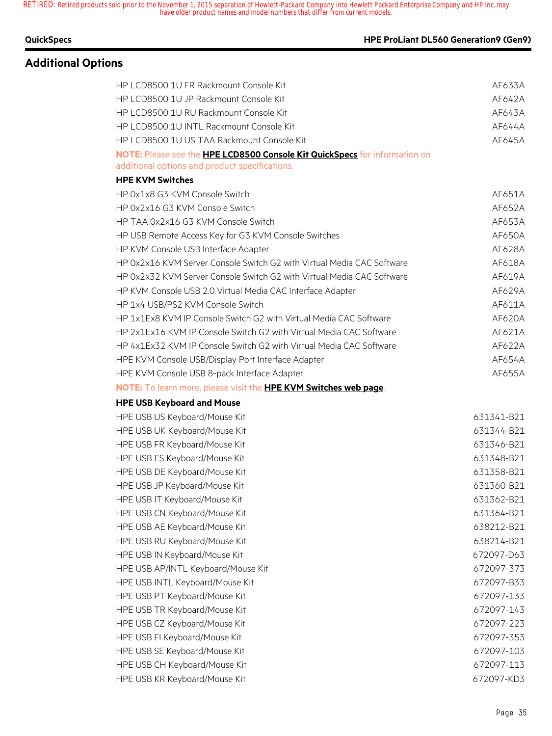### **QuickSpecs HPE ProLiant DL560 Generation9 (Gen9)**

## **Additional Options**

## HP LCD8500 1U FR Rackmount Console Kit AF633A HP LCD8500 1U JP Rackmount Console Kit AF642A HP LCD8500 1U RU Rackmount Console Kit AF643A HP LCD8500 1U INTL Rackmount Console Kit AF644A HP LCD8500 1U US TAA Rackmount Console Kit AF645A **NOTE:** Please see the **HPE LCD8500 Console Kit QuickSpecs** for information on additional options and product specifications. **HPE KVM Switches** HP 0x1x8 G3 KVM Console Switch AF651A HP 0x2x16 G3 KVM Console Switch AF652A HP TAA 0x2x16 G3 KVM Console Switch AF653A HP USB Remote Access Key for G3 KVM Console Switches AT AT AT AF650A HP KVM Console USB Interface Adapter And Afford AF628A HP 0x2x16 KVM Server Console Switch G2 with Virtual Media CAC Software AT618A HP 0x2x32 KVM Server Console Switch G2 with Virtual Media CAC Software AT6419A HP KVM Console USB 2.0 Virtual Media CAC Interface Adapter ATE AF629A HP 1x4 USB/PS2 KVM Console Switch AF611A HP 1x1Ex8 KVM IP Console Switch G2 with Virtual Media CAC Software AT6020A HP 2x1Ex16 KVM IP Console Switch G2 with Virtual Media CAC Software ATE AF621A HP 4x1Ex32 KVM IP Console Switch G2 with Virtual Media CAC Software AT6422A HPE KVM Console USB/Display Port Interface Adapter And According the AF654A HPE KVM Console USB 8-pack Interface Adapter And According the AF655A **NOTE:** To learn more, please visit the **HPE KVM Switches web page**. **HPE USB Keyboard and Mouse** HPE USB US Keyboard/Mouse Kit 631341-B21 HPE USB UK Keyboard/Mouse Kit 631344-B21 HPE USB FR Keyboard/Mouse Kit 631346-B21 HPE USB ES Keyboard/Mouse Kit 631348-B21 HPE USB DE Keyboard/Mouse Kit 631358-B21 HPE USB JP Keyboard/Mouse Kit 631360-B21 HPE USB IT Keyboard/Mouse Kit 631362-B21 HPE USB CN Keyboard/Mouse Kit 631364-B21 HPE USB AE Keyboard/Mouse Kit 638212-B21 HPE USB RU Keyboard/Mouse Kit 638214-B21 HPE USB IN Keyboard/Mouse Kit 672097-D63 HPE USB AP/INTL Keyboard/Mouse Kit 672097-373 HPE USB INTL Keyboard/Mouse Kit 672097-B33 HPE USB PT Keyboard/Mouse Kit 672097-133 HPE USB TR Keyboard/Mouse Kit 672097-143 HPE USB CZ Keyboard/Mouse Kit 672097-223 HPE USB FI Keyboard/Mouse Kit 672097-353 HPE USB SE Keyboard/Mouse Kit 672097-103 HPE USB CH Keyboard/Mouse Kit 672097-113 HPE USB KR Keyboard/Mouse Kit 672097-KD3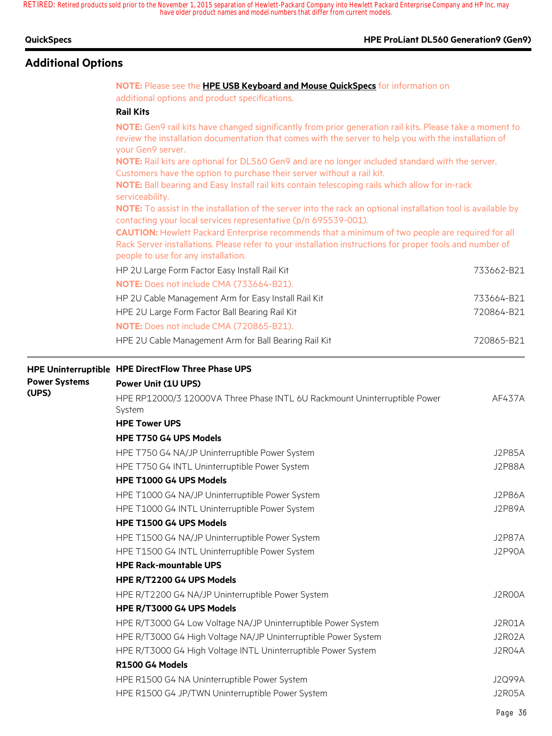**HPE ProLiant DL560 Generation9 (Gen9)** 

|  |  |  | QuickSpecs |  |
|--|--|--|------------|--|
|--|--|--|------------|--|

## **Additional Options**

## **NOTE:** Please see the **HPE USB Keyboard and Mouse QuickSpecs** for information on additional options and product specifications. **Rail Kits NOTE:** Gen9 rail kits have changed significantly from prior generation rail kits. Please take a moment to review the installation documentation that comes with the server to help you with the installation of your Gen9 server. **NOTE:** Rail kits are optional for DL560 Gen9 and are no longer included standard with the server. Customers have the option to purchase their server without a rail kit. **NOTE:** Ball bearing and Easy Install rail kits contain telescoping rails which allow for in-rack serviceability. **NOTE:** To assist in the installation of the server into the rack an optional installation tool is available by contacting your local services representative (p/n 695539-001). **CAUTION:** Hewlett Packard Enterprise recommends that a minimum of two people are required for all Rack Server installations. Please refer to your installation instructions for proper tools and number of people to use for any installation. HP 2U Large Form Factor Easy Install Rail Kit 733662-B21 **NOTE:** Does not include CMA (733664-B21). HP 2U Cable Management Arm for Easy Install Rail Kit 733664-B21 HPE 2U Large Form Factor Ball Bearing Rail Kit 720864-B21 **NOTE:** Does not include CMA (720865-B21). HPE 2U Cable Management Arm for Ball Bearing Rail Kit 720865-B21 **HPE Uninterruptible HPE DirectFlow Three Phase UPS Power Systems (UPS) Power Unit (1U UPS)** HPE RP12000/3 12000VA Three Phase INTL 6U Rackmount Uninterruptible Power System AF437A **HPE Tower UPS HPE T750 G4 UPS Models** HPE T750 G4 NA/JP Uninterruptible Power System J2P85A HPE T750 G4 INTL Uninterruptible Power System J2P88A **HPE T1000 G4 UPS Models** HPE T1000 G4 NA/JP Uninterruptible Power System JP United that the State of the Magnus J2P86A HPE T1000 G4 INTL Uninterruptible Power System June 1000 States and the United States of the USP89A **HPE T1500 G4 UPS Models** HPE T1500 G4 NA/JP Uninterruptible Power System J2P87A HPE T1500 G4 INTL Uninterruptible Power System J2P90A **HPE Rack-mountable UPS HPE R/T2200 G4 UPS Models** HPE R/T2200 G4 NA/JP Uninterruptible Power System John Christian Muslim Christmas J2R00A **HPE R/T3000 G4 UPS Models** HPE R/T3000 G4 Low Voltage NA/JP Uninterruptible Power System JOHN J2R01A HPE R/T3000 G4 High Voltage NA/JP Uninterruptible Power System J2R02A HPE R/T3000 G4 High Voltage INTL Uninterruptible Power System J2R04A **R1500 G4 Models** HPE R1500 G4 NA Uninterruptible Power System J2Q99A HPE R1500 G4 JP/TWN Uninterruptible Power System June 100 March 2005 A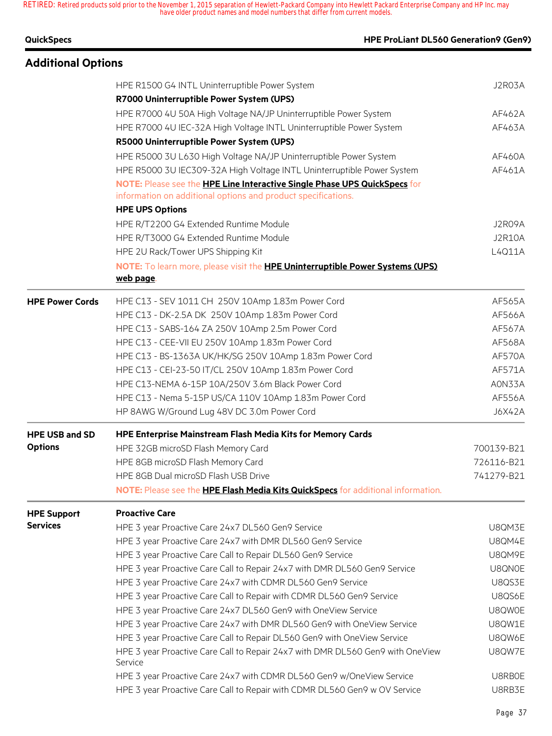| <b>QuickSpecs</b>         | HPE ProLiant DL560 Generation9 (Gen9)                                                |               |
|---------------------------|--------------------------------------------------------------------------------------|---------------|
| <b>Additional Options</b> |                                                                                      |               |
|                           | HPE R1500 G4 INTL Uninterruptible Power System                                       | J2R03A        |
|                           | R7000 Uninterruptible Power System (UPS)                                             |               |
|                           | HPE R7000 4U 50A High Voltage NA/JP Uninterruptible Power System                     | AF462A        |
|                           | HPE R7000 4U IEC-32A High Voltage INTL Uninterruptible Power System                  | AF463A        |
|                           | R5000 Uninterruptible Power System (UPS)                                             |               |
|                           | HPE R5000 3U L630 High Voltage NA/JP Uninterruptible Power System                    | AF460A        |
|                           | HPE R5000 3U IEC309-32A High Voltage INTL Uninterruptible Power System               | AF461A        |
|                           | NOTE: Please see the HPE Line Interactive Single Phase UPS QuickSpecs for            |               |
|                           | information on additional options and product specifications.                        |               |
|                           | <b>HPE UPS Options</b>                                                               |               |
|                           | HPE R/T2200 G4 Extended Runtime Module                                               | J2R09A        |
|                           | HPE R/T3000 G4 Extended Runtime Module                                               | <b>J2R10A</b> |
|                           | HPE 2U Rack/Tower UPS Shipping Kit                                                   | L4Q11A        |
|                           | NOTE: To learn more, please visit the <b>HPE Uninterruptible Power Systems (UPS)</b> |               |
|                           | web page.                                                                            |               |
| <b>HPE Power Cords</b>    | HPE C13 - SEV 1011 CH 250V 10Amp 1.83m Power Cord                                    | AF565A        |
|                           | HPE C13 - DK-2.5A DK 250V 10Amp 1.83m Power Cord                                     | AF566A        |
|                           | HPE C13 - SABS-164 ZA 250V 10Amp 2.5m Power Cord                                     | AF567A        |
|                           | HPE C13 - CEE-VII EU 250V 10Amp 1.83m Power Cord                                     | AF568A        |
|                           | HPE C13 - BS-1363A UK/HK/SG 250V 10Amp 1.83m Power Cord                              | AF570A        |
|                           | HPE C13 - CEI-23-50 IT/CL 250V 10Amp 1.83m Power Cord                                | AF571A        |
|                           | HPE C13-NEMA 6-15P 10A/250V 3.6m Black Power Cord                                    | A0N33A        |
|                           | HPE C13 - Nema 5-15P US/CA 110V 10Amp 1.83m Power Cord                               | AF556A        |
|                           | HP 8AWG W/Ground Lug 48V DC 3.0m Power Cord                                          | <b>J6X42A</b> |
| <b>HPE USB and SD</b>     | <b>HPE Enterprise Mainstream Flash Media Kits for Memory Cards</b>                   |               |
| <b>Options</b>            | HPE 32GB microSD Flash Memory Card                                                   | 700139-B21    |
|                           | HPE 8GB microSD Flash Memory Card                                                    | 726116-B21    |
|                           | HPE 8GB Dual microSD Flash USB Drive                                                 | 741279-B21    |
|                           | NOTE: Please see the HPE Flash Media Kits QuickSpecs for additional information.     |               |
| <b>HPE Support</b>        | <b>Proactive Care</b>                                                                |               |
| <b>Services</b>           | HPE 3 year Proactive Care 24x7 DL560 Gen9 Service                                    | U8QM3E        |
|                           | HPE 3 year Proactive Care 24x7 with DMR DL560 Gen9 Service                           | U8QM4E        |

HPE 3 year Proactive Care Call to Repair DL560 Gen9 Service **USQM9E** HPE 3 year Proactive Care Call to Repair 24x7 with DMR DL560 Gen9 Service USQN0E HPE 3 year Proactive Care 24x7 with CDMR DL560 Gen9 Service USA USAS3E HPE 3 year Proactive Care Call to Repair with CDMR DL560 Gen9 Service **URGS6E** HPE 3 year Proactive Care 24x7 DL560 Gen9 with OneView Service The USQW0E HPE 3 year Proactive Care 24x7 with DMR DL560 Gen9 with OneView Service USQW1E HPE 3 year Proactive Care Call to Repair DL560 Gen9 with OneView Service **URGW6E** 

HPE 3 year Proactive Care Call to Repair 24x7 with DMR DL560 Gen9 with OneView

Service

U8QW7E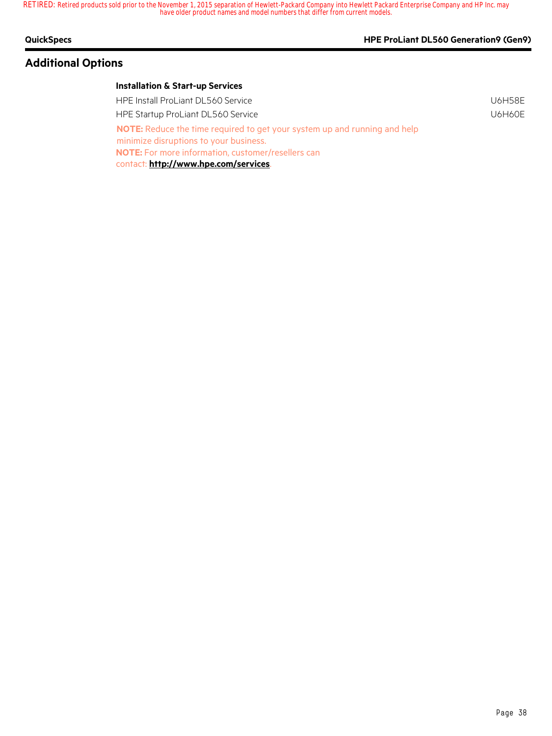## **Additional Options**

### **QuickSpecs HPE ProLiant DL560 Generation9 (Gen9)**

| <b>HPE Install ProLiant DL560 Service</b>                                                                                  | U6H58F |
|----------------------------------------------------------------------------------------------------------------------------|--------|
| HPE Startup ProLiant DL560 Service                                                                                         | U6H60E |
| <b>NOTE:</b> Reduce the time required to get your system up and running and help<br>minimize disruptions to your business. |        |
| <b>NOTE:</b> For more information, customer/resellers can                                                                  |        |
| contact: http://www.hpe.com/services.                                                                                      |        |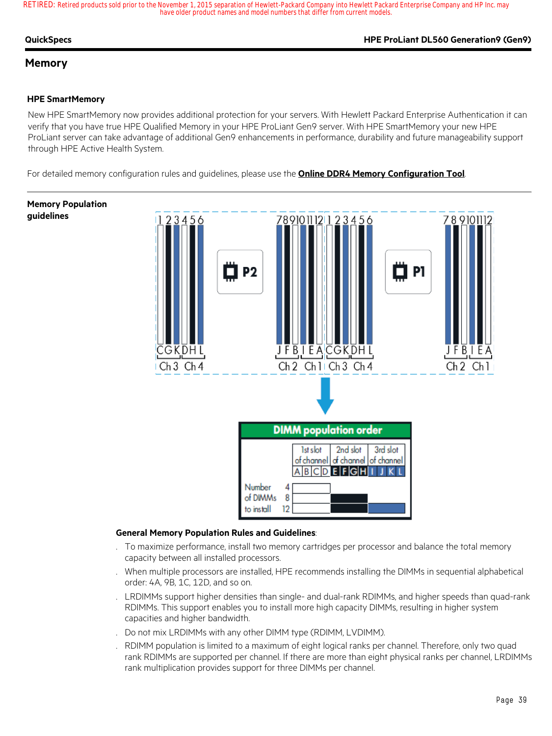#### **QuickSpecs HPE ProLiant DL560 Generation9 (Gen9)**

### **Memory**

#### **HPE SmartMemory**

New HPE SmartMemory now provides additional protection for your servers. With Hewlett Packard Enterprise Authentication it can verify that you have true HPE Qualified Memory in your HPE ProLiant Gen9 server. With HPE SmartMemory your new HPE ProLiant server can take advantage of additional Gen9 enhancements in performance, durability and future manageability support through HPE Active Health System.

For detailed memory configuration rules and guidelines, please use the **Online DDR4 Memory Configuration Tool**.

## **Memory Population guidelines**



#### **General Memory Population Rules and Guidelines**:

- . To maximize performance, install two memory cartridges per processor and balance the total memory capacity between all installed processors.
- . When multiple processors are installed, HPE recommends installing the DIMMs in sequential alphabetical order: 4A, 9B, 1C, 12D, and so on.
- . LRDIMMs support higher densities than single- and dual-rank RDIMMs, and higher speeds than quad-rank RDIMMs. This support enables you to install more high capacity DIMMs, resulting in higher system capacities and higher bandwidth.
- . Do not mix LRDIMMs with any other DIMM type (RDIMM, LVDIMM).
- . RDIMM population is limited to a maximum of eight logical ranks per channel. Therefore, only two quad rank RDIMMs are supported per channel. If there are more than eight physical ranks per channel, LRDIMMs rank multiplication provides support for three DIMMs per channel.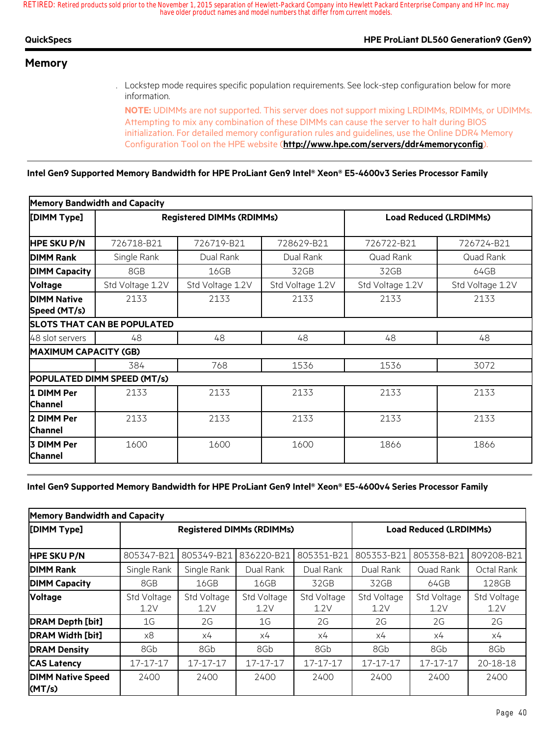| QuickSpecs | <b>HPE ProLiant DL560 Generation9 (Gen9)</b> |
|------------|----------------------------------------------|
| . .        |                                              |

### **Memory**

. Lockstep mode requires specific population requirements. See lock-step configuration below for more information.

**NOTE:** UDIMMs are not supported. This server does not support mixing LRDIMMs, RDIMMs, or UDIMMs. Attempting to mix any combination of these DIMMs can cause the server to halt during BIOS initialization. For detailed memory configuration rules and guidelines, use the Online DDR4 Memory Configuration Tool on the HPE website (**http://www.hpe.com/servers/ddr4memoryconfig**).

**Intel Gen9 Supported Memory Bandwidth for HPE ProLiant Gen9 Intel® Xeon® E5-4600v3 Series Processor Family**

|                                    | <b>Memory Bandwidth and Capacity</b> |                                  |                  |                  |                               |
|------------------------------------|--------------------------------------|----------------------------------|------------------|------------------|-------------------------------|
| [DIMM Type]                        |                                      | <b>Registered DIMMs (RDIMMs)</b> |                  |                  | <b>Load Reduced (LRDIMMs)</b> |
| <b>HPE SKU P/N</b>                 | 726718-B21                           | 726719-B21                       | 728629-B21       | 726722-B21       | 726724-B21                    |
| <b>DIMM Rank</b>                   | Single Rank                          | Dual Rank                        | Dual Rank        | Quad Rank        | Quad Rank                     |
| <b>DIMM Capacity</b>               | 8GB                                  | 16GB                             | 32GB             | 32GB             | 64GB                          |
| <b>Voltage</b>                     | Std Voltage 1.2V                     | Std Voltage 1.2V                 | Std Voltage 1.2V | Std Voltage 1.2V | Std Voltage 1.2V              |
| <b>DIMM Native</b><br>Speed (MT/s) | 2133                                 | 2133                             | 2133             | 2133             | 2133                          |
|                                    | <b>SLOTS THAT CAN BE POPULATED</b>   |                                  |                  |                  |                               |
| 48 slot servers                    | 48                                   | 48                               | 48               | 48               | 48                            |
| <b>MAXIMUM CAPACITY (GB)</b>       |                                      |                                  |                  |                  |                               |
|                                    | 384                                  | 768                              | 1536             | 1536             | 3072                          |
|                                    | POPULATED DIMM SPEED (MT/s)          |                                  |                  |                  |                               |
| 1 DIMM Per<br><b>Channel</b>       | 2133                                 | 2133                             | 2133             | 2133             | 2133                          |
| 2 DIMM Per<br><b>Channel</b>       | 2133                                 | 2133                             | 2133             | 2133             | 2133                          |
| 3 DIMM Per<br>Channel              | 1600                                 | 1600                             | 1600             | 1866             | 1866                          |

#### **Intel Gen9 Supported Memory Bandwidth for HPE ProLiant Gen9 Intel® Xeon® E5-4600v4 Series Processor Family**

| <b>Memory Bandwidth and Capacity</b> |                                  |                     |                     |                               |                     |                     |                     |
|--------------------------------------|----------------------------------|---------------------|---------------------|-------------------------------|---------------------|---------------------|---------------------|
| [DIMM Type]                          | <b>Registered DIMMs (RDIMMs)</b> |                     |                     | <b>Load Reduced (LRDIMMs)</b> |                     |                     |                     |
| <b>HPE SKU P/N</b>                   | 805347-B21                       | 805349-B21          | 836220-B21          | 805351-B21                    | 805353-B21          | 805358-B21          | 809208-B21          |
| <b>DIMM Rank</b>                     | Single Rank                      | Single Rank         | Dual Rank           | Dual Rank                     | Dual Rank           | Quad Rank           | Octal Rank          |
| <b>DIMM Capacity</b>                 | 8GB                              | 16GB                | 16GB                | 32GB                          | 32GB                | 64GB                | 128GB               |
| <b>Voltage</b>                       | Std Voltage<br>1.2V              | Std Voltage<br>1.2V | Std Voltage<br>1.2V | Std Voltage<br>1.2V           | Std Voltage<br>1.2V | Std Voltage<br>1.2V | Std Voltage<br>1.2V |
| <b>DRAM Depth [bit]</b>              | 1G                               | 2G                  | 1G                  | 2G                            | 2G                  | 2G                  | 2G                  |
| <b>DRAM Width [bit]</b>              | х8                               | х4                  | х4                  | х4                            | х4                  | x4                  | х4                  |
| <b>DRAM Density</b>                  | 8Gb                              | 8Gb                 | 8Gb                 | 8Gb                           | 8Gb                 | 8Gb                 | 8Gb                 |
| <b>CAS Latency</b>                   | 17-17-17                         | 17-17-17            | 17-17-17            | 17-17-17                      | 17-17-17            | 17-17-17            | 20-18-18            |
| <b>DIMM Native Speed</b><br>(MT/s)   | 2400                             | 2400                | 2400                | 2400                          | 2400                | 2400                | 2400                |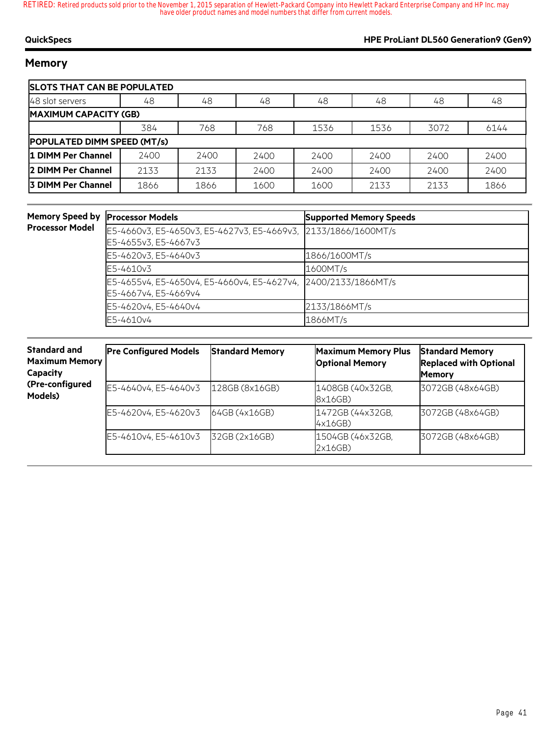### **QuickSpecs HPE ProLiant DL560 Generation9 (Gen9)**

## **Memory**

| <b>SLOTS THAT CAN BE POPULATED</b> |      |      |      |      |      |      |      |
|------------------------------------|------|------|------|------|------|------|------|
| 48 slot servers                    | 48   | 48   | 48   | 48   | 48   | 48   | 48   |
| <b>MAXIMUM CAPACITY (GB)</b>       |      |      |      |      |      |      |      |
|                                    | 384  | 768  | 768  | 1536 | 1536 | 3072 | 6144 |
| <b>POPULATED DIMM SPEED (MT/s)</b> |      |      |      |      |      |      |      |
| 1 DIMM Per Channel                 | 2400 | 2400 | 2400 | 2400 | 2400 | 2400 | 2400 |
| 2 DIMM Per Channel                 | 2133 | 2133 | 2400 | 2400 | 2400 | 2400 | 2400 |
| <b>3 DIMM Per Channel</b>          | 1866 | 1866 | 1600 | 1600 | 2133 | 2133 | 1866 |

| <b>Memory Speed by</b> | <b>Processor Models</b>                                                                | <b>Supported Memory Speeds</b> |
|------------------------|----------------------------------------------------------------------------------------|--------------------------------|
| <b>Processor Model</b> | E5-4660v3, E5-4650v3, E5-4627v3, E5-4669v3, 2133/1866/1600MT/s<br>E5-4655v3, E5-4667v3 |                                |
|                        | E5-4620v3, E5-4640v3                                                                   | 1866/1600MT/s                  |
|                        | E5-4610v3                                                                              | 1600MT/s                       |
|                        | E5-4655v4, E5-4650v4, E5-4660v4, E5-4627v4,<br>E5-4667v4, E5-4669v4                    | 2400/2133/1866MT/s             |
|                        | E5-4620v4, E5-4640v4                                                                   | 2133/1866MT/s                  |
|                        | E5-4610v4                                                                              | 1866MT/s                       |

| <b>Standard and</b><br><b>Maximum Memory</b><br>Capacity | <b>Pre Configured Models</b> | <b>Standard Memory</b> | <b>Maximum Memory Plus</b><br><b>Optional Memory</b> | <b>Standard Memory</b><br><b>Replaced with Optional</b><br><b>Memory</b> |
|----------------------------------------------------------|------------------------------|------------------------|------------------------------------------------------|--------------------------------------------------------------------------|
| (Pre-configured<br>Models)                               | E5-4640v4, E5-4640v3         | 128GB (8x16GB)         | 1408GB (40x32GB,<br>8x16GB)                          | 3072GB (48x64GB)                                                         |
|                                                          | E5-4620v4, E5-4620v3         | 64GB (4x16GB)          | 1472GB (44x32GB,<br>4x16GB)                          | 3072GB (48x64GB)                                                         |
|                                                          | E5-4610v4, E5-4610v3         | 32GB (2x16GB)          | 1504GB (46x32GB,<br>2x16GB)                          | 3072GB (48x64GB)                                                         |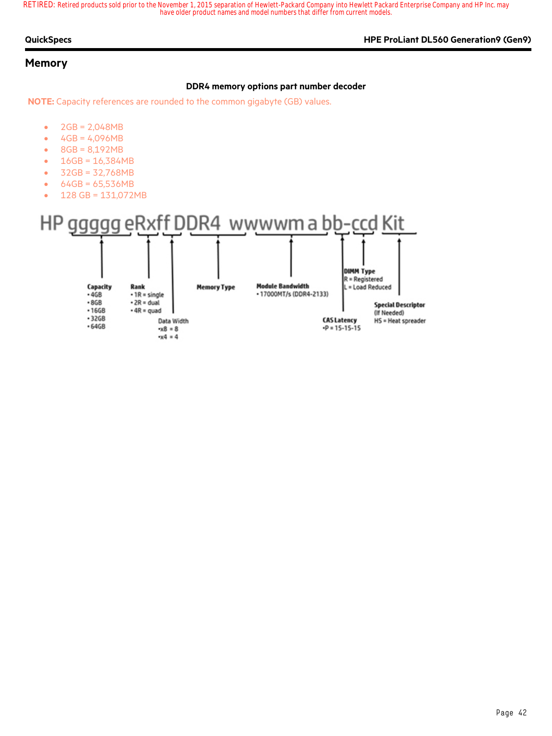#### **QuickSpecs HPE ProLiant DL560 Generation9 (Gen9)**

#### **Memory**

#### **DDR4 memory options part number decoder**

**NOTE:** Capacity references are rounded to the common gigabyte (GB) values.

- $2GB = 2,048MB$
- $4GB = 4,096MB$
- $8GB = 8,192MB$
- $16GB = 16,384MB$
- 32GB = 32,768MB
- $64GB = 65,536MB$
- 128 GB = 131,072MB

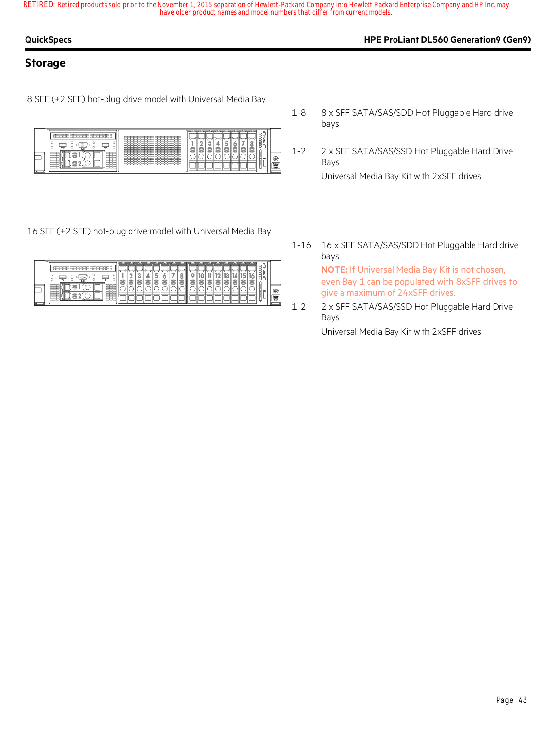### **QuickSpecs HPE ProLiant DL560 Generation9 (Gen9)**

### **Storage**

8 SFF (+2 SFF) hot-plug drive model with Universal Media Bay



16 SFF (+2 SFF) hot-plug drive model with Universal Media Bay

| I<br>⊨<br><b>SERE</b><br>88888<br>$-222$<br>$\sim$<br>◡<br>∽<br>◡<br>∽<br>∽<br>ے<br>∽<br>≕<br>----<br><b>Partia</b><br>IY. |
|----------------------------------------------------------------------------------------------------------------------------|
|----------------------------------------------------------------------------------------------------------------------------|

- 1-8 8 x SFF SATA/SAS/SDD Hot Pluggable Hard drive bays
- 1-2 2 x SFF SATA/SAS/SSD Hot Pluggable Hard Drive Bays

Universal Media Bay Kit with 2xSFF drives

1-16 16 x SFF SATA/SAS/SDD Hot Pluggable Hard drive bays

**NOTE:** If Universal Media Bay Kit is not chosen, even Bay 1 can be populated with 8xSFF drives to give a maximum of 24xSFF drives.

1-2 2 x SFF SATA/SAS/SSD Hot Pluggable Hard Drive Bays

Universal Media Bay Kit with 2xSFF drives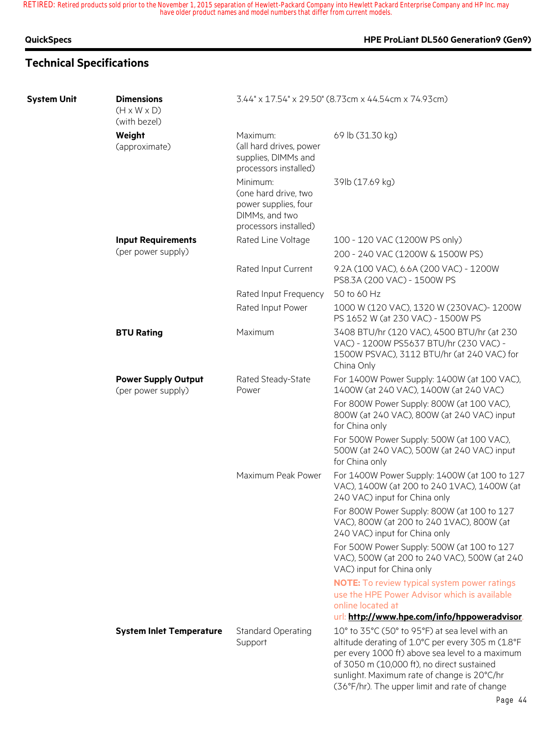### **QuickSpecs HPE ProLiant DL560 Generation9 (Gen9)**

## **Technical Specifications**

| <b>System Unit</b> | <b>Dimensions</b><br>$(H \times W \times D)$<br>(with bezel) |                                                                                                     | 3.44" x 17.54" x 29.50" (8.73cm x 44.54cm x 74.93cm)                                                                                                                                                                                                                                                 |
|--------------------|--------------------------------------------------------------|-----------------------------------------------------------------------------------------------------|------------------------------------------------------------------------------------------------------------------------------------------------------------------------------------------------------------------------------------------------------------------------------------------------------|
|                    | Weight<br>(approximate)                                      | Maximum:<br>(all hard drives, power<br>supplies, DIMMs and<br>processors installed)                 | 69 lb (31.30 kg)                                                                                                                                                                                                                                                                                     |
|                    |                                                              | Minimum:<br>(one hard drive, two<br>power supplies, four<br>DIMMs, and two<br>processors installed) | 39lb (17.69 kg)                                                                                                                                                                                                                                                                                      |
|                    | <b>Input Requirements</b>                                    | Rated Line Voltage                                                                                  | 100 - 120 VAC (1200W PS only)                                                                                                                                                                                                                                                                        |
|                    | (per power supply)                                           |                                                                                                     | 200 - 240 VAC (1200W & 1500W PS)                                                                                                                                                                                                                                                                     |
|                    |                                                              | Rated Input Current                                                                                 | 9.2A (100 VAC), 6.6A (200 VAC) - 1200W<br>PS8.3A (200 VAC) - 1500W PS                                                                                                                                                                                                                                |
|                    |                                                              | Rated Input Frequency                                                                               | 50 to 60 Hz                                                                                                                                                                                                                                                                                          |
|                    |                                                              | Rated Input Power                                                                                   | 1000 W (120 VAC), 1320 W (230VAC)-1200W<br>PS 1652 W (at 230 VAC) - 1500W PS                                                                                                                                                                                                                         |
|                    | <b>BTU Rating</b>                                            | Maximum                                                                                             | 3408 BTU/hr (120 VAC), 4500 BTU/hr (at 230<br>VAC) - 1200W PS5637 BTU/hr (230 VAC) -<br>1500W PSVAC), 3112 BTU/hr (at 240 VAC) for<br>China Only                                                                                                                                                     |
|                    | <b>Power Supply Output</b><br>(per power supply)             | Rated Steady-State<br>Power                                                                         | For 1400W Power Supply: 1400W (at 100 VAC),<br>1400W (at 240 VAC), 1400W (at 240 VAC)                                                                                                                                                                                                                |
|                    |                                                              |                                                                                                     | For 800W Power Supply: 800W (at 100 VAC),<br>800W (at 240 VAC), 800W (at 240 VAC) input<br>for China only                                                                                                                                                                                            |
|                    |                                                              |                                                                                                     | For 500W Power Supply: 500W (at 100 VAC),<br>500W (at 240 VAC), 500W (at 240 VAC) input<br>for China only                                                                                                                                                                                            |
|                    |                                                              | Maximum Peak Power                                                                                  | For 1400W Power Supply: 1400W (at 100 to 127<br>VAC), 1400W (at 200 to 240 1VAC), 1400W (at<br>240 VAC) input for China only                                                                                                                                                                         |
|                    |                                                              |                                                                                                     | For 800W Power Supply: 800W (at 100 to 127<br>VAC), 800W (at 200 to 240 1VAC), 800W (at<br>240 VAC) input for China only                                                                                                                                                                             |
|                    |                                                              |                                                                                                     | For 500W Power Supply: 500W (at 100 to 127<br>VAC), 500W (at 200 to 240 VAC), 500W (at 240<br>VAC) input for China only                                                                                                                                                                              |
|                    |                                                              |                                                                                                     | <b>NOTE:</b> To review typical system power ratings<br>use the HPE Power Advisor which is available<br>online located at                                                                                                                                                                             |
|                    |                                                              |                                                                                                     | url: http://www.hpe.com/info/hppoweradvisor.                                                                                                                                                                                                                                                         |
|                    | <b>System Inlet Temperature</b>                              | <b>Standard Operating</b><br>Support                                                                | 10° to 35°C (50° to 95°F) at sea level with an<br>altitude derating of 1.0°C per every 305 m (1.8°F<br>per every 1000 ft) above sea level to a maximum<br>of 3050 m (10,000 ft), no direct sustained<br>sunlight. Maximum rate of change is 20°C/hr<br>(36°F/hr). The upper limit and rate of change |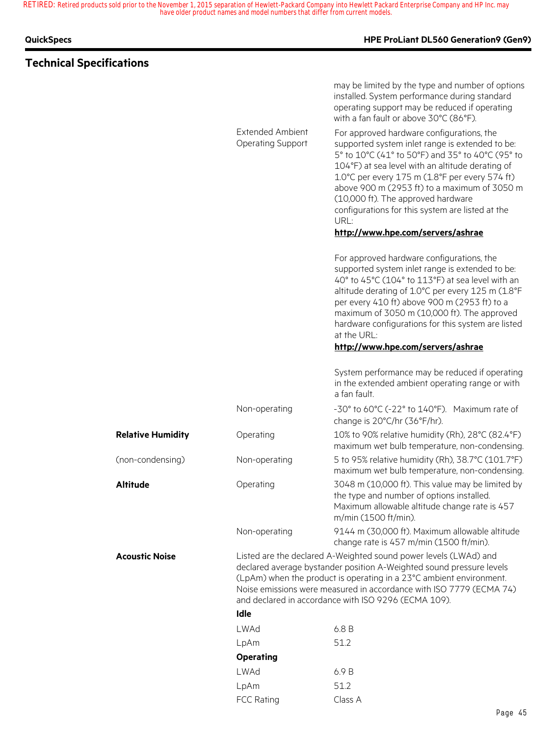### **QuickSpecs HPE ProLiant DL560 Generation9 (Gen9)**

## **Technical Specifications**

may be limited by the type and number of options installed. System performance during standard operating support may be reduced if operating

with a fan fault or above 30°C (86°F).

|                          | <b>Extended Ambient</b><br><b>Operating Support</b> | For approved hardware configurations, the<br>supported system inlet range is extended to be:<br>5° to 10°C (41° to 50°F) and 35° to 40°C (95° to<br>104°F) at sea level with an altitude derating of<br>1.0°C per every 175 m (1.8°F per every 574 ft)<br>above 900 m (2953 ft) to a maximum of 3050 m<br>(10,000 ft). The approved hardware<br>configurations for this system are listed at the<br>URL:<br>http://www.hpe.com/servers/ashrae |
|--------------------------|-----------------------------------------------------|-----------------------------------------------------------------------------------------------------------------------------------------------------------------------------------------------------------------------------------------------------------------------------------------------------------------------------------------------------------------------------------------------------------------------------------------------|
|                          |                                                     | For approved hardware configurations, the<br>supported system inlet range is extended to be:<br>40° to 45°C (104° to 113°F) at sea level with an<br>altitude derating of 1.0°C per every 125 m (1.8°F<br>per every 410 ft) above 900 m (2953 ft) to a<br>maximum of 3050 m (10,000 ft). The approved<br>hardware configurations for this system are listed<br>at the URL:<br>http://www.hpe.com/servers/ashrae                                |
|                          |                                                     |                                                                                                                                                                                                                                                                                                                                                                                                                                               |
|                          |                                                     | System performance may be reduced if operating<br>in the extended ambient operating range or with<br>a fan fault.                                                                                                                                                                                                                                                                                                                             |
|                          | Non-operating                                       | -30° to 60°C (-22° to 140°F). Maximum rate of<br>change is 20°C/hr (36°F/hr).                                                                                                                                                                                                                                                                                                                                                                 |
| <b>Relative Humidity</b> | Operating                                           | 10% to 90% relative humidity (Rh), 28°C (82.4°F)<br>maximum wet bulb temperature, non-condensing.                                                                                                                                                                                                                                                                                                                                             |
| (non-condensing)         | Non-operating                                       | 5 to 95% relative humidity (Rh), 38.7°C (101.7°F)<br>maximum wet bulb temperature, non-condensing.                                                                                                                                                                                                                                                                                                                                            |
| Altitude                 | Operating                                           | 3048 m (10,000 ft). This value may be limited by<br>the type and number of options installed.<br>Maximum allowable altitude change rate is 457<br>m/min (1500 ft/min).                                                                                                                                                                                                                                                                        |
|                          | Non-operating                                       | 9144 m (30,000 ft). Maximum allowable altitude<br>change rate is 457 m/min (1500 ft/min).                                                                                                                                                                                                                                                                                                                                                     |
| Acoustic Noise           |                                                     | Listed are the declared A-Weighted sound power levels (LWAd) and<br>declared average bystander position A-Weighted sound pressure levels<br>(LpAm) when the product is operating in a 23°C ambient environment.<br>Noise emissions were measured in accordance with ISO 7779 (ECMA 74)<br>and declared in accordance with ISO 9296 (ECMA 109).                                                                                                |
|                          | Idle                                                |                                                                                                                                                                                                                                                                                                                                                                                                                                               |
|                          | LWAd                                                | 6.8B                                                                                                                                                                                                                                                                                                                                                                                                                                          |
|                          | LpAm                                                | 51.2                                                                                                                                                                                                                                                                                                                                                                                                                                          |
|                          | <b>Operating</b>                                    |                                                                                                                                                                                                                                                                                                                                                                                                                                               |
|                          | <b>LWAd</b>                                         | 6.9 B                                                                                                                                                                                                                                                                                                                                                                                                                                         |
|                          | LpAm                                                | 51.2                                                                                                                                                                                                                                                                                                                                                                                                                                          |
|                          | <b>FCC Rating</b>                                   | Class A                                                                                                                                                                                                                                                                                                                                                                                                                                       |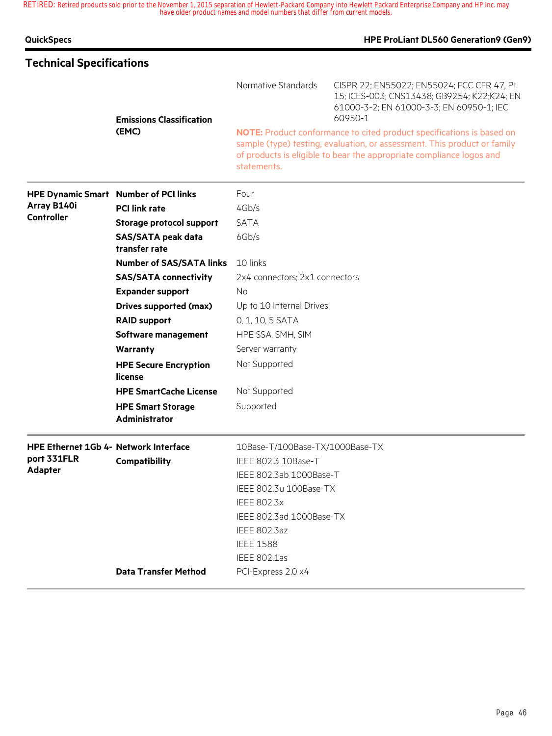| <b>QuickSpecs</b>                     |                                                  |                                 | HPE ProLiant DL560 Generation9 (Gen9)                                                                                                                                                                                     |  |  |  |
|---------------------------------------|--------------------------------------------------|---------------------------------|---------------------------------------------------------------------------------------------------------------------------------------------------------------------------------------------------------------------------|--|--|--|
| <b>Technical Specifications</b>       |                                                  |                                 |                                                                                                                                                                                                                           |  |  |  |
|                                       | <b>Emissions Classification</b>                  | Normative Standards             | CISPR 22; EN55022; EN55024; FCC CFR 47, Pt<br>15; ICES-003; CNS13438; GB9254; K22;K24; EN<br>61000-3-2; EN 61000-3-3; EN 60950-1; IEC<br>60950-1                                                                          |  |  |  |
|                                       | (EMC)                                            | statements.                     | NOTE: Product conformance to cited product specifications is based on<br>sample (type) testing, evaluation, or assessment. This product or family<br>of products is eligible to bear the appropriate compliance logos and |  |  |  |
|                                       | <b>HPE Dynamic Smart Number of PCI links</b>     | Four                            |                                                                                                                                                                                                                           |  |  |  |
| Array B140i                           | <b>PCI link rate</b>                             | 4Gb/s                           |                                                                                                                                                                                                                           |  |  |  |
| <b>Controller</b>                     | <b>Storage protocol support</b>                  | <b>SATA</b>                     |                                                                                                                                                                                                                           |  |  |  |
|                                       | <b>SAS/SATA peak data</b><br>transfer rate       | 6Gb/s                           |                                                                                                                                                                                                                           |  |  |  |
|                                       | <b>Number of SAS/SATA links</b>                  | 10 links                        |                                                                                                                                                                                                                           |  |  |  |
|                                       | <b>SAS/SATA connectivity</b>                     | 2x4 connectors; 2x1 connectors  |                                                                                                                                                                                                                           |  |  |  |
|                                       | <b>Expander support</b>                          | <b>No</b>                       |                                                                                                                                                                                                                           |  |  |  |
|                                       | <b>Drives supported (max)</b>                    | Up to 10 Internal Drives        |                                                                                                                                                                                                                           |  |  |  |
|                                       | <b>RAID support</b>                              | 0, 1, 10, 5 SATA                |                                                                                                                                                                                                                           |  |  |  |
|                                       | Software management                              | HPE SSA, SMH, SIM               |                                                                                                                                                                                                                           |  |  |  |
|                                       | Warranty                                         | Server warranty                 |                                                                                                                                                                                                                           |  |  |  |
|                                       | <b>HPE Secure Encryption</b><br>license          | Not Supported                   |                                                                                                                                                                                                                           |  |  |  |
|                                       | <b>HPE SmartCache License</b>                    | Not Supported                   |                                                                                                                                                                                                                           |  |  |  |
|                                       | <b>HPE Smart Storage</b><br><b>Administrator</b> | Supported                       |                                                                                                                                                                                                                           |  |  |  |
| HPE Ethernet 1Gb 4- Network Interface |                                                  | 10Base-T/100Base-TX/1000Base-TX |                                                                                                                                                                                                                           |  |  |  |
| port 331FLR                           | Compatibility                                    | IEEE 802.3 10Base-T             |                                                                                                                                                                                                                           |  |  |  |
| Adapter                               |                                                  | IEEE 802.3ab 1000Base-T         |                                                                                                                                                                                                                           |  |  |  |
|                                       |                                                  | IEEE 802.3u 100Base-TX          |                                                                                                                                                                                                                           |  |  |  |
|                                       |                                                  | <b>IEEE 802.3x</b>              |                                                                                                                                                                                                                           |  |  |  |
|                                       |                                                  | IEEE 802.3ad 1000Base-TX        |                                                                                                                                                                                                                           |  |  |  |
|                                       |                                                  | <b>IEEE 802.3az</b>             |                                                                                                                                                                                                                           |  |  |  |
|                                       |                                                  | <b>IEEE 1588</b>                |                                                                                                                                                                                                                           |  |  |  |
|                                       |                                                  | <b>IEEE 802.1as</b>             |                                                                                                                                                                                                                           |  |  |  |
|                                       | <b>Data Transfer Method</b>                      | PCI-Express 2.0 x4              |                                                                                                                                                                                                                           |  |  |  |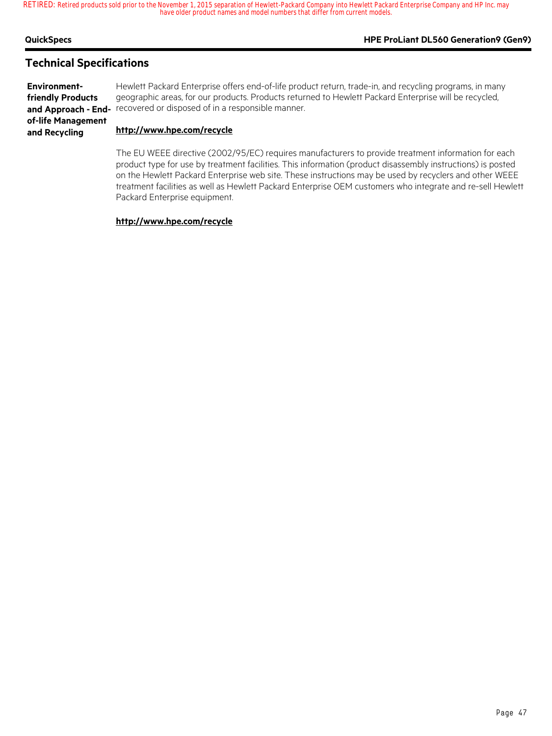### **QuickSpecs HPE ProLiant DL560 Generation9 (Gen9)**

### **Technical Specifications**

**Environmentfriendly Products of-life Management and Recycling**

**and Approach - End-** recovered or disposed of in a responsible manner. Hewlett Packard Enterprise offers end-of-life product return, trade-in, and recycling programs, in many geographic areas, for our products. Products returned to Hewlett Packard Enterprise will be recycled,

#### **http://www.hpe.com/recycle**

The EU WEEE directive (2002/95/EC) requires manufacturers to provide treatment information for each product type for use by treatment facilities. This information (product disassembly instructions) is posted on the Hewlett Packard Enterprise web site. These instructions may be used by recyclers and other WEEE treatment facilities as well as Hewlett Packard Enterprise OEM customers who integrate and re-sell Hewlett Packard Enterprise equipment.

#### **http://www.hpe.com/recycle**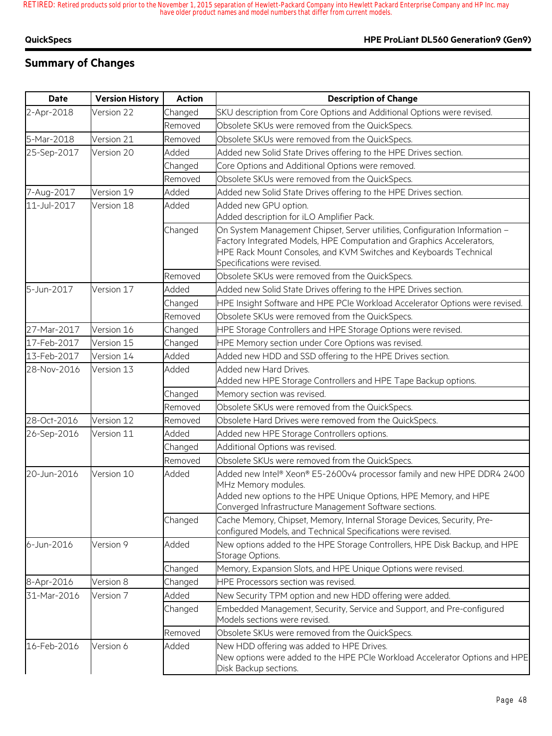## **Summary of Changes**

| <b>Date</b> | <b>Version History</b> | <b>Action</b> | <b>Description of Change</b>                                                                                                                                                                                                                              |
|-------------|------------------------|---------------|-----------------------------------------------------------------------------------------------------------------------------------------------------------------------------------------------------------------------------------------------------------|
| 2-Apr-2018  | Version 22             | Changed       | SKU description from Core Options and Additional Options were revised.                                                                                                                                                                                    |
|             |                        | Removed       | Obsolete SKUs were removed from the QuickSpecs.                                                                                                                                                                                                           |
| 5-Mar-2018  | Version 21             | Removed       | Obsolete SKUs were removed from the QuickSpecs.                                                                                                                                                                                                           |
| 25-Sep-2017 | Version 20             | Added         | Added new Solid State Drives offering to the HPE Drives section.                                                                                                                                                                                          |
|             |                        | Changed       | Core Options and Additional Options were removed.                                                                                                                                                                                                         |
|             |                        | Removed       | Obsolete SKUs were removed from the QuickSpecs.                                                                                                                                                                                                           |
| 7-Aug-2017  | Version 19             | Added         | Added new Solid State Drives offering to the HPE Drives section.                                                                                                                                                                                          |
| 11-Jul-2017 | Version 18             | Added         | Added new GPU option.<br>Added description for iLO Amplifier Pack.                                                                                                                                                                                        |
|             |                        | Changed       | On System Management Chipset, Server utilities, Configuration Information -<br>Factory Integrated Models, HPE Computation and Graphics Accelerators,<br>HPE Rack Mount Consoles, and KVM Switches and Keyboards Technical<br>Specifications were revised. |
|             |                        | Removed       | Obsolete SKUs were removed from the QuickSpecs.                                                                                                                                                                                                           |
| 5-Jun-2017  | Version 17             | Added         | Added new Solid State Drives offering to the HPE Drives section.                                                                                                                                                                                          |
|             |                        | Changed       | HPE Insight Software and HPE PCIe Workload Accelerator Options were revised.                                                                                                                                                                              |
|             |                        | Removed       | Obsolete SKUs were removed from the QuickSpecs.                                                                                                                                                                                                           |
| 27-Mar-2017 | Version 16             | Changed       | HPE Storage Controllers and HPE Storage Options were revised.                                                                                                                                                                                             |
| 17-Feb-2017 | Version 15             | Changed       | HPE Memory section under Core Options was revised.                                                                                                                                                                                                        |
| 13-Feb-2017 | Version 14             | Added         | Added new HDD and SSD offering to the HPE Drives section.                                                                                                                                                                                                 |
| 28-Nov-2016 | Version 13             | Added         | Added new Hard Drives.<br>Added new HPE Storage Controllers and HPE Tape Backup options.                                                                                                                                                                  |
|             |                        | Changed       | Memory section was revised.                                                                                                                                                                                                                               |
|             |                        | Removed       | Obsolete SKUs were removed from the QuickSpecs.                                                                                                                                                                                                           |
| 28-Oct-2016 | Version 12             | Removed       | Obsolete Hard Drives were removed from the QuickSpecs.                                                                                                                                                                                                    |
| 26-Sep-2016 | Version 11             | Added         | Added new HPE Storage Controllers options.                                                                                                                                                                                                                |
|             |                        | Changed       | Additional Options was revised.                                                                                                                                                                                                                           |
|             |                        | Removed       | Obsolete SKUs were removed from the QuickSpecs.                                                                                                                                                                                                           |
| 20-Jun-2016 | Version 10             | Added         | Added new Intel® Xeon® E5-2600v4 processor family and new HPE DDR4 2400<br>MHz Memory modules.<br>Added new options to the HPE Unique Options, HPE Memory, and HPE<br>Converged Infrastructure Management Software sections.                              |
|             |                        | Changed       | Cache Memory, Chipset, Memory, Internal Storage Devices, Security, Pre-<br>configured Models, and Technical Specifications were revised.                                                                                                                  |
| 6-Jun-2016  | Version 9              | Added         | New options added to the HPE Storage Controllers, HPE Disk Backup, and HPE<br>Storage Options.                                                                                                                                                            |
|             |                        | Changed       | Memory, Expansion Slots, and HPE Unique Options were revised.                                                                                                                                                                                             |
| 8-Apr-2016  | Version 8              | Changed       | HPE Processors section was revised.                                                                                                                                                                                                                       |
| 31-Mar-2016 | Version 7              | Added         | New Security TPM option and new HDD offering were added.                                                                                                                                                                                                  |
|             |                        | Changed       | Embedded Management, Security, Service and Support, and Pre-configured<br>Models sections were revised.                                                                                                                                                   |
|             |                        | Removed       | Obsolete SKUs were removed from the QuickSpecs.                                                                                                                                                                                                           |
| 16-Feb-2016 | Version 6              | Added         | New HDD offering was added to HPE Drives.<br>New options were added to the HPE PCIe Workload Accelerator Options and HPE<br>Disk Backup sections.                                                                                                         |